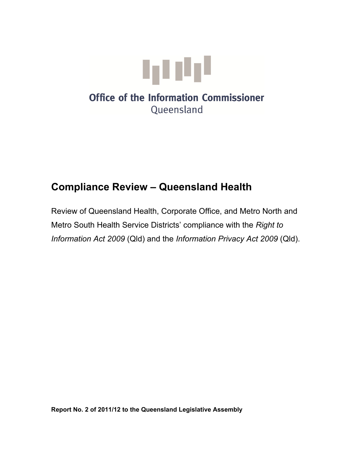

# **Office of the Information Commissioner** Queensland

# **Compliance Review – Queensland Health**

Review of Queensland Health, Corporate Office, and Metro North and Metro South Health Service Districts' compliance with the *Right to Information Act 2009* (Qld) and the *Information Privacy Act 2009* (Qld).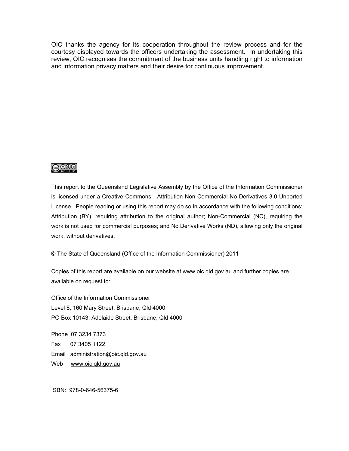OIC thanks the agency for its cooperation throughout the review process and for the courtesy displayed towards the officers undertaking the assessment. In undertaking this review, OIC recognises the commitment of the business units handling right to information and information privacy matters and their desire for continuous improvement.



This report to the Queensland Legislative Assembly by the Office of the Information Commissioner is licensed under a Creative Commons - Attribution Non Commercial No Derivatives 3.0 Unported License. People reading or using this report may do so in accordance with the following conditions: Attribution (BY), requiring attribution to the original author; Non-Commercial (NC), requiring the work is not used for commercial purposes; and No Derivative Works (ND), allowing only the original work, without derivatives.

© The State of Queensland (Office of the Information Commissioner) 2011

Copies of this report are available on our website at www.oic.qld.gov.au and further copies are available on request to:

Office of the Information Commissioner Level 8, 160 Mary Street, Brisbane, Qld 4000 PO Box 10143, Adelaide Street, Brisbane, Qld 4000

Phone 07 3234 7373 Fax 07 3405 1122 Email administration@oic.qld.gov.au Web [www.oic.qld.gov.au](http://www.oic.qld.gov.au/)

ISBN: 978-0-646-56375-6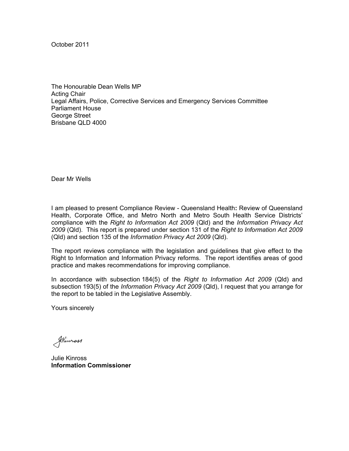October 2011

The Honourable Dean Wells MP Acting Chair Legal Affairs, Police, Corrective Services and Emergency Services Committee Parliament House George Street Brisbane QLD 4000

Dear Mr Wells

I am pleased to present Compliance Review - Queensland Health**:** Review of Queensland Health, Corporate Office, and Metro North and Metro South Health Service Districts' compliance with the *Right to Information Act 2009* (Qld) and the *Information Privacy Act 2009* (Qld). This report is prepared under section 131 of the *Right to Information Act 2009*  (Qld) and section 135 of the *Information Privacy Act 2009* (Qld).

The report reviews compliance with the legislation and guidelines that give effect to the Right to Information and Information Privacy reforms. The report identifies areas of good practice and makes recommendations for improving compliance.

In accordance with subsection 184(5) of the *Right to Information Act 2009* (Qld) and subsection 193(5) of the *Information Privacy Act 2009* (Qld), I request that you arrange for the report to be tabled in the Legislative Assembly.

Yours sincerely

Stimmass

Julie Kinross **Information Commissioner**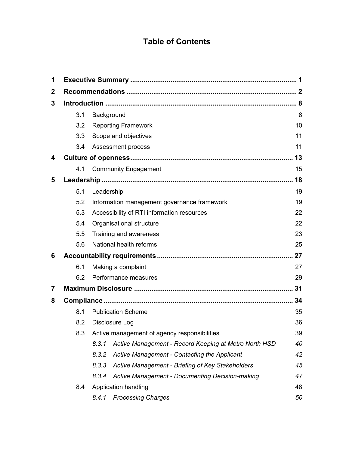# **Table of Contents**

| 1           |                                                     |                                                                |    |  |  |
|-------------|-----------------------------------------------------|----------------------------------------------------------------|----|--|--|
| $\mathbf 2$ |                                                     |                                                                |    |  |  |
| 3           |                                                     |                                                                |    |  |  |
|             | 3.1<br>Background                                   |                                                                | 8  |  |  |
|             | 3.2                                                 | <b>Reporting Framework</b>                                     | 10 |  |  |
|             | 3.3                                                 | Scope and objectives                                           | 11 |  |  |
|             | 3.4                                                 | Assessment process                                             | 11 |  |  |
| 4           |                                                     |                                                                |    |  |  |
|             | 4.1                                                 | <b>Community Engagement</b>                                    | 15 |  |  |
| 5           |                                                     |                                                                |    |  |  |
|             | 5.1                                                 | Leadership                                                     |    |  |  |
|             | 5.2                                                 | Information management governance framework                    | 19 |  |  |
|             | 5.3                                                 | Accessibility of RTI information resources                     |    |  |  |
|             | 5.4                                                 | Organisational structure                                       |    |  |  |
|             | 5.5                                                 | Training and awareness                                         |    |  |  |
|             | 5.6                                                 | National health reforms                                        | 25 |  |  |
| 6           |                                                     |                                                                |    |  |  |
|             | 6.1                                                 | Making a complaint                                             |    |  |  |
|             | 6.2                                                 | Performance measures                                           |    |  |  |
| 7           |                                                     |                                                                |    |  |  |
| 8           |                                                     |                                                                |    |  |  |
|             | 8.1                                                 | <b>Publication Scheme</b>                                      |    |  |  |
|             | 8.2                                                 | Disclosure Log                                                 |    |  |  |
|             | Active management of agency responsibilities<br>8.3 |                                                                | 39 |  |  |
|             |                                                     | 8.3.1<br>Active Management - Record Keeping at Metro North HSD | 40 |  |  |
|             |                                                     | 8.3.2<br>Active Management - Contacting the Applicant          | 42 |  |  |
|             |                                                     | 8.3.3<br>Active Management - Briefing of Key Stakeholders      | 45 |  |  |
|             |                                                     | 8.3.4<br>Active Management - Documenting Decision-making       | 47 |  |  |
|             | Application handling<br>8.4                         |                                                                |    |  |  |
|             |                                                     | <b>Processing Charges</b><br>8.4.1                             | 50 |  |  |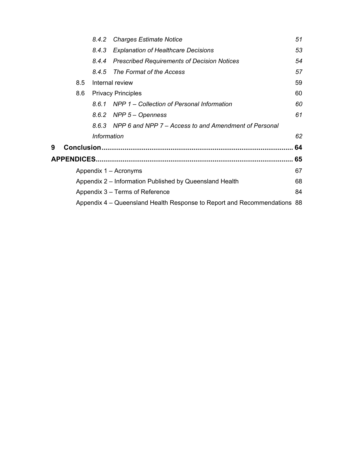|                                  |                                                                          | 8.4.2              | <b>Charges Estimate Notice</b>                              | 51 |  |  |  |
|----------------------------------|--------------------------------------------------------------------------|--------------------|-------------------------------------------------------------|----|--|--|--|
|                                  |                                                                          | 8.4.3              | <b>Explanation of Healthcare Decisions</b>                  | 53 |  |  |  |
|                                  |                                                                          | 8.4.4              | <b>Prescribed Requirements of Decision Notices</b>          | 54 |  |  |  |
|                                  |                                                                          | 8.4.5              | The Format of the Access                                    | 57 |  |  |  |
|                                  | Internal review<br>8.5                                                   |                    |                                                             |    |  |  |  |
| <b>Privacy Principles</b><br>8.6 |                                                                          |                    |                                                             | 60 |  |  |  |
|                                  |                                                                          |                    | 8.6.1 NPP 1 – Collection of Personal Information            | 60 |  |  |  |
|                                  |                                                                          | 8.6.2              | NPP 5 – Openness                                            | 61 |  |  |  |
|                                  |                                                                          |                    | 8.6.3 NPP 6 and NPP 7 – Access to and Amendment of Personal |    |  |  |  |
|                                  |                                                                          | <b>Information</b> |                                                             | 62 |  |  |  |
| 9                                |                                                                          |                    |                                                             | 64 |  |  |  |
|                                  |                                                                          |                    |                                                             |    |  |  |  |
|                                  | 67<br>Appendix 1 – Acronyms                                              |                    |                                                             |    |  |  |  |
|                                  | Appendix 2 – Information Published by Queensland Health                  |                    |                                                             |    |  |  |  |
|                                  | Appendix 3 – Terms of Reference                                          |                    |                                                             |    |  |  |  |
|                                  | Appendix 4 – Queensland Health Response to Report and Recommendations 88 |                    |                                                             |    |  |  |  |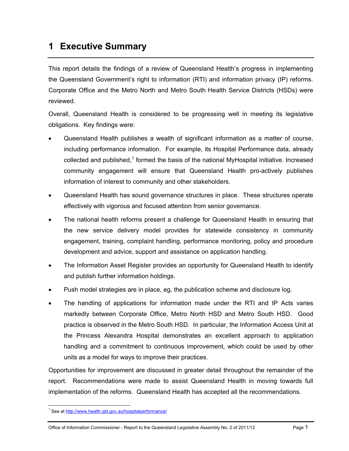# <span id="page-6-0"></span>**1 Executive Summary**

This report details the findings of a review of Queensland Health's progress in implementing the Queensland Government's right to information (RTI) and information privacy (IP) reforms. Corporate Office and the Metro North and Metro South Health Service Districts (HSDs) were reviewed.

Overall, Queensland Health is considered to be progressing well in meeting its legislative obligations. Key findings were:

- Queensland Health publishes a wealth of significant information as a matter of course, including performance information. For example, its Hospital Performance data, already collected and published,<sup>1</sup> formed the basis of the national MyHospital initiative. Increased community engagement will ensure that Queensland Health pro-actively publishes information of interest to community and other stakeholders.
- Queensland Health has sound governance structures in place. These structures operate effectively with vigorous and focused attention from senior governance.
- The national health reforms present a challenge for Queensland Health in ensuring that the new service delivery model provides for statewide consistency in community engagement, training, complaint handling, performance monitoring, policy and procedure development and advice, support and assistance on application handling.
- The Information Asset Register provides an opportunity for Queensland Health to identify and publish further information holdings.
- Push model strategies are in place, eg, the publication scheme and disclosure log.
- The handling of applications for information made under the RTI and IP Acts varies markedly between Corporate Office, Metro North HSD and Metro South HSD. Good practice is observed in the Metro South HSD. In particular, the Information Access Unit at the Princess Alexandra Hospital demonstrates an excellent approach to application handling and a commitment to continuous improvement, which could be used by other units as a model for ways to improve their practices.

Opportunities for improvement are discussed in greater detail throughout the remainder of the report. Recommendations were made to assist Queensland Health in moving towards full implementation of the reforms. Queensland Health has accepted all the recommendations.

1

<span id="page-6-1"></span><sup>&</sup>lt;sup>1</sup> See at http://www.health.qld.gov.au/hospitalperformance/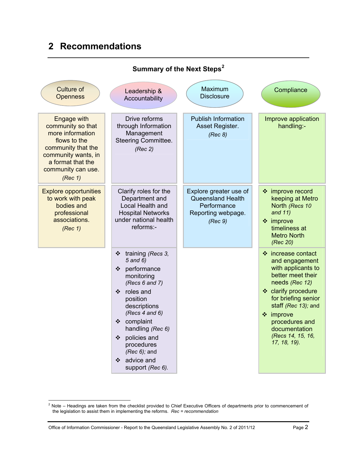# <span id="page-7-0"></span>**2 Recommendations**

| Leadership &<br>Accountability                                                                                                                                                                                                                                              | Maximum<br><b>Disclosure</b>                                                                       | Compliance                                                                                                                                                                                                                                                  |  |  |  |  |  |  |  |
|-----------------------------------------------------------------------------------------------------------------------------------------------------------------------------------------------------------------------------------------------------------------------------|----------------------------------------------------------------------------------------------------|-------------------------------------------------------------------------------------------------------------------------------------------------------------------------------------------------------------------------------------------------------------|--|--|--|--|--|--|--|
| Drive reforms<br>through Information<br>Management<br><b>Steering Committee.</b><br>(Rec 2)                                                                                                                                                                                 | <b>Publish Information</b><br>Asset Register.<br>(Rec 8)                                           | Improve application<br>handling:-                                                                                                                                                                                                                           |  |  |  |  |  |  |  |
| Clarify roles for the<br>Department and<br>Local Health and<br><b>Hospital Networks</b><br>under national health<br>reforms:-                                                                                                                                               | Explore greater use of<br><b>Queensland Health</b><br>Performance<br>Reporting webpage.<br>(Rec 9) | ❖ improve record<br>keeping at Metro<br>North (Recs 10<br>and $11)$<br>$\div$ improve<br>timeliness at<br><b>Metro North</b><br>(Rec 20)                                                                                                                    |  |  |  |  |  |  |  |
| training (Recs 3,<br>❖<br>5 and 6)<br>performance<br>❖<br>monitoring<br>(Recs $6$ and $7$ )<br>roles and<br>❖<br>position<br>descriptions<br>(Recs 4 and 6)<br>complaint<br>❖<br>handling (Rec 6)<br>policies and<br>❖<br>procedures<br>( $Rec 6$ ); and<br>advice and<br>❖ |                                                                                                    | ❖ increase contact<br>and engagement<br>with applicants to<br>better meet their<br>needs (Rec 12)<br>❖ clarify procedure<br>for briefing senior<br>staff (Rec 13); and<br>❖ improve<br>procedures and<br>documentation<br>(Recs 14, 15, 16,<br>17, 18, 19). |  |  |  |  |  |  |  |
|                                                                                                                                                                                                                                                                             | support (Rec 6).                                                                                   |                                                                                                                                                                                                                                                             |  |  |  |  |  |  |  |

# **Summary of the Next Steps[2](#page-6-1)**

<span id="page-7-1"></span> 2 Note – Headings are taken from the checklist provided to Chief Executive Officers of departments prior to commencement of the legislation to assist them in implementing the reforms. *Rec = recommendation*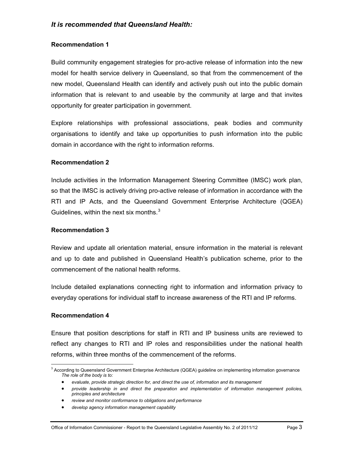#### <span id="page-8-1"></span>**Recommendation 1**

[Build community engagement strategies for pro-active release of information into the new](#page-22-0)  [model for health service delivery in Queensland, so that from the commencement of the](#page-22-0)  [new model, Queensland Health can identify and actively push out into the public domain](#page-22-0)  [information that is relevant to and useable by the community at large and that invites](#page-22-0)  [opportunity for greater participation in government.](#page-22-0) 

[Explore relationships with professional associations, peak bodies and community](#page-22-0)  [organisations to identify and take up opportunities to push information into the public](#page-22-0)  [domain in accordance with the right to information reforms.](#page-22-0)

#### <span id="page-8-2"></span>**Recommendation 2**

[Include activities in the Information Management Steering Committee \(IMSC\) work plan,](#page-26-0)  [so that the IMSC is actively driving pro-active release of information in accordance with the](#page-26-0)  [RTI and IP Acts, and the Queensland Government Enterprise Architecture \(QGEA\)](#page-26-0)  [Guidelines, within the next six months.](#page-26-0) $3$ 

#### <span id="page-8-3"></span>**Recommendation 3**

[Review and update all orientation material, ensure information in the material is relevant](#page-27-2)  [and up to date and published in Queensland Health's publication scheme, prior to the](#page-27-2)  [commencement of the national health reforms.](#page-27-2) 

[Include detailed explanations connecting right to information and information privacy to](#page-27-2)  [everyday operations for individual staff to increase awareness of the RTI and IP reforms.](#page-27-2)

#### <span id="page-8-4"></span>**Recommendation 4**

[Ensure that position descriptions for staff in RTI and IP business units are reviewed to](#page-28-1)  [reflect any changes to RTI and IP roles and responsibilities under the national health](#page-28-1)  [reforms, within three months of the commencement of the reforms.](#page-28-1) 

 3 According to Queensland Government Enterprise Architecture (QGEA) guideline on implementing information governance *The role of the body is to:* 

*evaluate, provide strategic direction for, and direct the use of, information and its management* 

*provide leadership in and direct the preparation and implementation of information management policies, principles and architecture* 

<span id="page-8-0"></span>*review and monitor conformance to obligations and performance* 

*develop agency information management capability*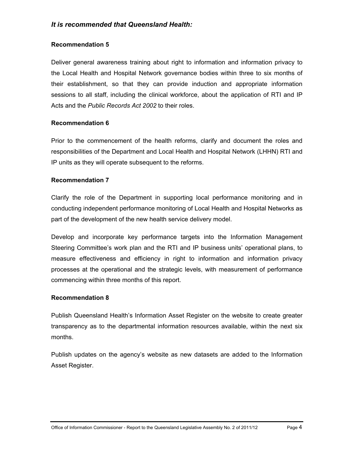#### <span id="page-9-0"></span>**Recommendation 5**

[Deliver general awareness training about right to information and information privacy to](#page-29-0)  [the Local Health and Hospital Network governance bodies within three to six months of](#page-29-0)  [their establishment, so that they can provide induction and appropriate information](#page-29-0)  [sessions to all staff, including the clinical workforce, about the application of RTI and IP](#page-29-0)  Acts and the *[Public Records Act 2002](#page-29-0)* to their roles.

#### <span id="page-9-1"></span>**Recommendation 6**

[Prior to the commencement of the health reforms, clarify and document the roles and](#page-31-0)  [responsibilities of the Department and Local Health and Hospital Network \(LHHN\) RTI and](#page-31-0)  [IP units as they will operate subsequent to the reforms.](#page-31-0) 

#### <span id="page-9-2"></span>**Recommendation 7**

[Clarify the role of the Department in supporting local performance monitoring and in](#page-35-0)  [conducting independent performance monitoring of Local Health and Hospital Networks as](#page-35-0)  [part of the development of the new health service delivery model.](#page-35-0) 

[Develop and incorporate key performance targets into the Information Management](#page-35-0)  [Steering Committee's work plan and the RTI and IP business units' operational plans, to](#page-35-0)  [measure effectiveness and efficiency in right to information and information privacy](#page-35-0)  [processes at the operational and the strategic levels, with measurement of performance](#page-35-0)  [commencing within three months of this report.](#page-35-0) 

#### **Recommendation 8**

[Publish Queensland Health's Information Asset Register on the website to create greater](#page-38-0)  [transparency as to the departmental information resources available, within the next six](#page-38-0)  [months.](#page-38-0) 

[Publish updates on the agency's website as new datasets are added to the Information](#page-38-0)  [Asset Register.](#page-38-0)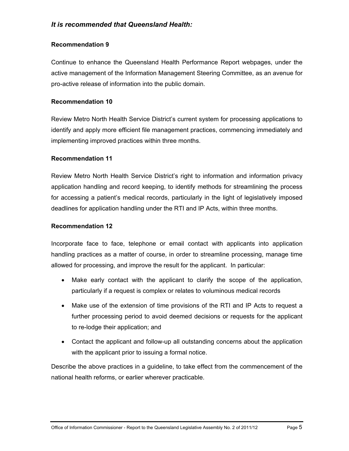#### **Recommendation 9**

[Continue to enhance the Queensland Health Performance Report webpages, under the](#page-38-1)  [active management of the Information Management Steering Committee, as an avenue for](#page-38-1)  [pro-active release of information into the public domain.](#page-38-1) 

### **Recommendation 10**

[Review Metro North Health Service District's current system for processing applications to](#page-46-0)  [identify and apply more efficient file management practices, commencing immediately and](#page-46-0)  [implementing improved practices within three months.](#page-46-0)

#### **Recommendation 11**

[Review Metro North Health Service District's right to information and information privacy](#page-46-1)  [application handling and record keeping, to identify methods for streamlining the process](#page-46-1)  [for accessing a patient's medical records, particularly in the light of legislatively imposed](#page-46-1)  [deadlines for application handling under the RTI and IP Acts, within three months.](#page-46-1)

#### **Recommendation 12**

[Incorporate face to face, telephone or email contact with applicants into application](#page-49-0)  [handling practices as a matter of course, in order to streamline processing, manage time](#page-49-0)  [allowed for processing, and improve the result for the applicant. In particular:](#page-49-0) 

- [Make early contact with the applicant to clarify the scope of the application,](#page-49-0)  [particularly if a request is complex or relates to voluminous medical records](#page-49-0)
- [Make use of the extension of time provisions of the RTI and IP Acts to request a](#page-49-0)  [further processing period to avoid deemed decisions or requests for the applicant](#page-49-0)  [to re-lodge their application; and](#page-49-0)
- [Contact the applicant and follow-up all outstanding concerns about the application](#page-49-0)  [with the applicant prior to issuing a formal notice.](#page-49-0)

[Describe the above practices in a guideline, to take effect from the commencement of the](#page-49-0)  [national health reforms, or earlier wherever practic](#page-49-0)able.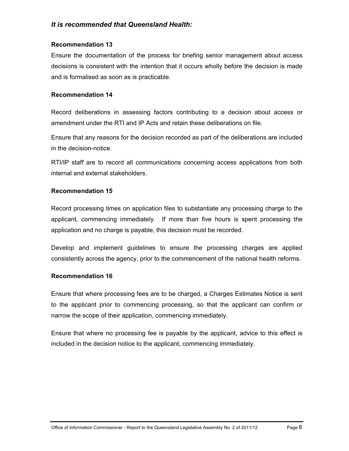#### **Recommendation 13**

[Ensure the documentation of the process for briefing senior management about access](#page-52-1)  [decisions is consistent with the intention that it occurs wholly before the decision is made](#page-52-1)  [and is formalised as soon as is practicable.](#page-52-1) 

#### **Recommendation 14**

[Record deliberations in assessing factors contributing to a decision about access or](#page-53-1)  [amendment under the RTI and IP Acts and retain these deliberations on file.](#page-53-1) 

[Ensure that any reasons for the decision recorded as part of the deliberations are included](#page-53-1)  [in the decision-notice.](#page-53-1) 

[RTI/IP staff are to record all communications concerning access applications from both](#page-53-1)  [internal and external stakeholders.](#page-53-1)

#### **Recommendation 15**

[Record processing times on application files to substantiate any processing charge to the](#page-56-1)  [applicant, commencing immediately. If more than five hours is spent processing the](#page-56-1)  [application and no charge is payable, this decision must be recorded.](#page-56-1) 

[Develop and implement guidelines to ensure the processing charges are applied](#page-56-1)  [consistently across the agency, prior to the commencement of the national health reforms.](#page-56-1)

#### **Recommendation 16**

[Ensure that where processing fees are to be charged, a Charges Estimates Notice is sent](#page-58-1)  [to the applicant prior to commencing processing, so that the applicant can confirm or](#page-58-1)  [narrow the scope of their application, commencing immediately.](#page-58-1) 

[Ensure that where no processing fee is payable by the applicant, advice to this effect is](#page-58-1)  [included in the decision notice to the applicant, commencing immediately.](#page-58-1)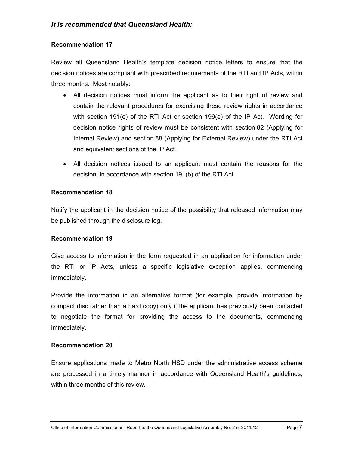#### **Recommendation 17**

[Review all Queensland Health's template decision notice letters to ensure that the](#page-61-0)  [decision notices are compliant with prescribed requirements of the RTI and IP Acts, within](#page-61-0)  [three months. Most notably:](#page-61-0) 

- [All decision notices must inform the applicant as to their right of review and](#page-61-0)  [contain the relevant procedures for exercising these review rights in accordance](#page-61-0)  [with section 191\(e\) of the RTI Act or section 199\(e\) of the IP Act. Wording for](#page-61-0)  [decision notice rights of review must be consistent with section 82 \(Applying for](#page-61-0)  [Internal Review\) and section 88 \(Applying for External Review\) under the RTI Act](#page-61-0)  [and equivalent sections of the IP Act.](#page-61-0)
- [All decision notices issued to an applicant must contain the reasons for the](#page-61-0)  [decision, in accordance with section 191\(b\) of the RTI A](#page-61-0)ct.

#### **Recommendation 18**

[Notify the applicant in the decision notice of the possibility that released information may](#page-62-1)  [be published through the disclosure log.](#page-62-1)

#### **Recommendation 19**

[Give access to information in the form requested in an application for information under](#page-63-0)  [the RTI or IP Acts, unless a specific legislative exception applies, commencing](#page-63-0) [immediately.](#page-63-0) 

[Provide the information in an alternative format \(for example, provide information by](#page-63-0)  [compact disc rather than a hard copy\) only if the applicant has previously been contacted](#page-63-0)  [to negotiate the format for providing the access to the documents, commencing](#page-63-0)  [immediately.](#page-63-0) 

#### **Recommendation 20**

[Ensure applications made to Metro North HSD under the administrative access scheme](#page-68-0)  [are processed in a timely manner in accordance with Queensland Health's guidelines,](#page-68-0)  [within three months of this review.](#page-68-0)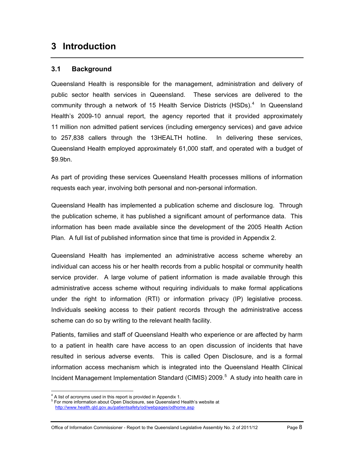# <span id="page-13-0"></span>**3 Introduction**

# <span id="page-13-1"></span>**3.1 Background**

Queensland Health is responsible for the management, administration and delivery of public sector health services in Queensland. These services are delivered to the community through a network of 15 Health Service Districts (HSDs). $4$  In Queensland Health's 2009-10 annual report, the agency reported that it provided approximately 11 million non admitted patient services (including emergency services) and gave advice to 257,838 callers through the 13HEALTH hotline. In delivering these services, Queensland Health employed approximately 61,000 staff, and operated with a budget of \$9.9bn.

As part of providing these services Queensland Health processes millions of information requests each year, involving both personal and non-personal information.

Queensland Health has implemented a publication scheme and disclosure log. Through the publication scheme, it has published a significant amount of performance data. This information has been made available since the development of the 2005 Health Action Plan. A full list of published information since that time is provided in Appendix 2.

Queensland Health has implemented an administrative access scheme whereby an individual can access his or her health records from a public hospital or community health service provider. A large volume of patient information is made available through this administrative access scheme without requiring individuals to make formal applications under the right to information (RTI) or information privacy (IP) legislative process. Individuals seeking access to their patient records through the administrative access scheme can do so by writing to the relevant health facility.

Patients, families and staff of Queensland Health who experience or are affected by harm to a patient in health care have access to an open discussion of incidents that have resulted in serious adverse events. This is called Open Disclosure, and is a formal information access mechanism which is integrated into the [Queensland Health Clinical](http://www.health.qld.gov.au/patientsafety/documents/cimist.pdf)  [Incident Management Implementation Standard \(CIMIS\) 2009.](http://www.health.qld.gov.au/patientsafety/documents/cimist.pdf) $5$  A study into health care in

<span id="page-13-3"></span> $\overline{a}$  $^{4}$  A list of acronyms used in this report is provided in Appendix 1.

<span id="page-13-2"></span>For more information about Open Disclosure, see Queensland Health's website at http://www.health.qld.gov.au/patientsafety/od/webpages/odhome.asp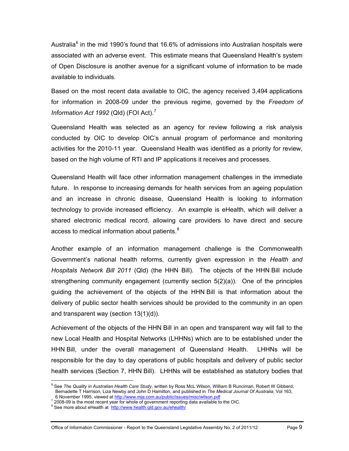Australia<sup>[6](#page-13-3)</sup> in the mid 1990's found that 16.6% of admissions into Australian hospitals were associated with an adverse event. This estimate means that Queensland Health's system of Open Disclosure is another avenue for a significant volume of information to be made available to individuals.

Based on the most recent data available to OIC, the agency received 3,494 applications for information in 2008-09 under the previous regime, governed by the *Freedom of Information Act 1992 (Qld) (FOI Act).<sup>[7](#page-14-0)</sup>* 

Queensland Health was selected as an agency for review following a risk analysis conducted by OIC to develop OIC's annual program of performance and monitoring activities for the 2010-11 year. Queensland Health was identified as a priority for review, based on the high volume of RTI and IP applications it receives and processes.

Queensland Health will face other information management challenges in the immediate future. In response to increasing demands for health services from an ageing population and an increase in chronic disease, Queensland Health is looking to information technology to provide increased efficiency. An example is eHealth, which will deliver a shared electronic medical record, allowing care providers to have direct and secure access to medical information about patients. $8$ 

Another example of an information management challenge is the Commonwealth Government's national health reforms, currently given expression in the *Health and Hospitals Network Bill 2011* (Qld) (the HHN Bill). The objects of the HHN Bill include strengthening community engagement (currently section 5(2)(a)). One of the principles guiding the achievement of the objects of the HHN Bill is that information about the delivery of public sector health services should be provided to the community in an open and transparent way (section 13(1)(d)).

Achievement of the objects of the HHN Bill in an open and transparent way will fall to the new Local Health and Hospital Networks (LHHNs) which are to be established under the HHN Bill, under the overall management of Queensland Health. LHHNs will be responsible for the day to day operations of public hospitals and delivery of public sector health services (Section 7, HHN Bill). LHHNs will be established as statutory bodies that

 $\overline{a}$ 

<sup>&</sup>lt;sup>6</sup> See *The Quality in Australian Health Care Study*, written by Ross McL Wilson, William B Runciman, Robert W Gibberd, Bernadette T Harrison, Liza Newby and John D Hamilton, and published in *The Medical Journal Of Australia*, Vol 163,

<sup>6</sup> November 1995, viewed at http://www.mja.com.au/public/issues/misc/wilson.pdf<br><sup>7</sup> 2008,00 is the meet recent veer fee whole of gevernment repeting data sycilable to  $\frac{2008-09}{2008}$  is the most recent year for whole of government reporting data available to the OIC.

<span id="page-14-1"></span><span id="page-14-0"></span><sup>&</sup>lt;sup>8</sup> See more about eHealth at http://www.health.qld.gov.au/ehealth/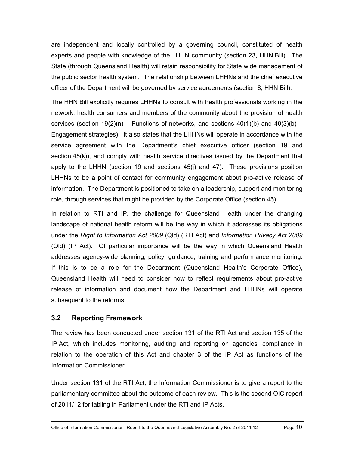are independent and locally controlled by a governing council, constituted of health experts and people with knowledge of the LHHN community (section 23, HHN Bill). The State (through Queensland Health) will retain responsibility for State wide management of the public sector health system. The relationship between LHHNs and the chief executive officer of the Department will be governed by service agreements (section 8, HHN Bill).

The HHN Bill explicitly requires LHHNs to consult with health professionals working in the network, health consumers and members of the community about the provision of health services (section  $19(2)(n)$  – Functions of networks, and sections  $40(1)(b)$  and  $40(3)(b)$  – Engagement strategies). It also states that the LHHNs will operate in accordance with the service agreement with the Department's chief executive officer (section 19 and section 45(k)), and comply with health service directives issued by the Department that apply to the LHHN (section 19 and sections 45(j) and 47). These provisions position LHHNs to be a point of contact for community engagement about pro-active release of information. The Department is positioned to take on a leadership, support and monitoring role, through services that might be provided by the Corporate Office (section 45).

In relation to RTI and IP, the challenge for Queensland Health under the changing landscape of national health reform will be the way in which it addresses its obligations under the *Right to Information Act 2009* (Qld) (RTI Act) and *Information Privacy Act 2009* (Qld) (IP Act). Of particular importance will be the way in which Queensland Health addresses agency-wide planning, policy, guidance, training and performance monitoring. If this is to be a role for the Department (Queensland Health's Corporate Office), Queensland Health will need to consider how to reflect requirements about pro-active release of information and document how the Department and LHHNs will operate subsequent to the reforms.

## <span id="page-15-0"></span>**3.2 Reporting Framework**

The review has been conducted under section 131 of the RTI Act and section 135 of the IP Act, which includes monitoring, auditing and reporting on agencies' compliance in relation to the operation of this Act and chapter 3 of the IP Act as functions of the Information Commissioner.

Under section 131 of the RTI Act, the Information Commissioner is to give a report to the parliamentary committee about the outcome of each review. This is the second OIC report of 2011/12 for tabling in Parliament under the RTI and IP Acts.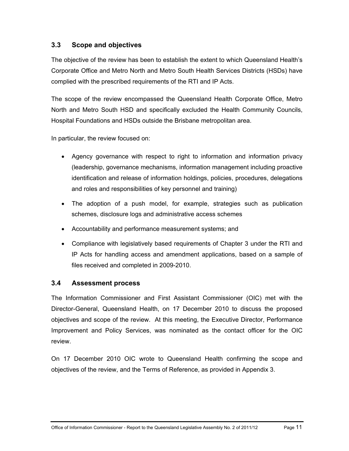# <span id="page-16-0"></span>**3.3 Scope and objectives**

The objective of the review has been to establish the extent to which Queensland Health's Corporate Office and Metro North and Metro South Health Services Districts (HSDs) have complied with the prescribed requirements of the RTI and IP Acts.

The scope of the review encompassed the Queensland Health Corporate Office, Metro North and Metro South HSD and specifically excluded the Health Community Councils, Hospital Foundations and HSDs outside the Brisbane metropolitan area.

In particular, the review focused on:

- Agency governance with respect to right to information and information privacy (leadership, governance mechanisms, information management including proactive identification and release of information holdings, policies, procedures, delegations and roles and responsibilities of key personnel and training)
- The adoption of a push model, for example, strategies such as publication schemes, disclosure logs and administrative access schemes
- Accountability and performance measurement systems; and
- Compliance with legislatively based requirements of Chapter 3 under the RTI and IP Acts for handling access and amendment applications, based on a sample of files received and completed in 2009-2010.

## <span id="page-16-1"></span>**3.4 Assessment process**

The Information Commissioner and First Assistant Commissioner (OIC) met with the Director-General, Queensland Health, on 17 December 2010 to discuss the proposed objectives and scope of the review. At this meeting, the Executive Director, Performance Improvement and Policy Services, was nominated as the contact officer for the OIC review.

On 17 December 2010 OIC wrote to Queensland Health confirming the scope and objectives of the review, and the Terms of Reference, as provided in Appendix 3.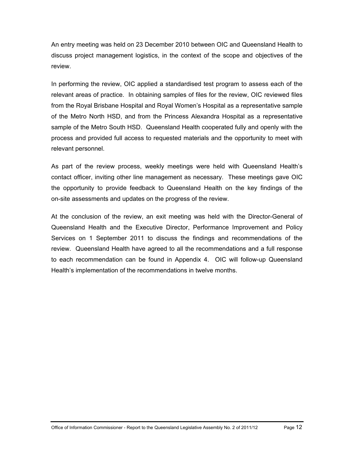An entry meeting was held on 23 December 2010 between OIC and Queensland Health to discuss project management logistics, in the context of the scope and objectives of the review.

In performing the review, OIC applied a standardised test program to assess each of the relevant areas of practice. In obtaining samples of files for the review, OIC reviewed files from the Royal Brisbane Hospital and Royal Women's Hospital as a representative sample of the Metro North HSD, and from the Princess Alexandra Hospital as a representative sample of the Metro South HSD. Queensland Health cooperated fully and openly with the process and provided full access to requested materials and the opportunity to meet with relevant personnel.

As part of the review process, weekly meetings were held with Queensland Health's contact officer, inviting other line management as necessary. These meetings gave OIC the opportunity to provide feedback to Queensland Health on the key findings of the on-site assessments and updates on the progress of the review.

At the conclusion of the review, an exit meeting was held with the Director-General of Queensland Health and the Executive Director, Performance Improvement and Policy Services on 1 September 2011 to discuss the findings and recommendations of the review. Queensland Health have agreed to all the recommendations and a full response to each recommendation can be found in Appendix 4. OIC will follow-up Queensland Health's implementation of the recommendations in twelve months.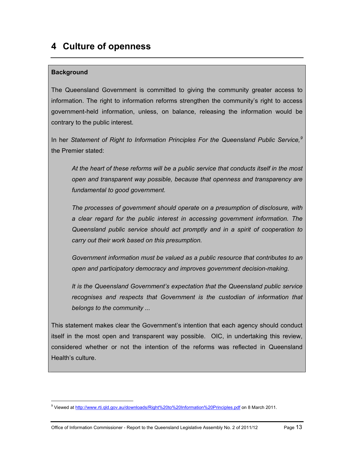# <span id="page-18-0"></span>**4 Culture of openness**

# **Background**

<span id="page-18-1"></span> $\overline{a}$ 

The Queensland Government is committed to giving the community greater access to information. The right to information reforms strengthen the community's right to access government-held information, unless, on balance, releasing the information would be contrary to the public interest.

In her *Statement of Right to Information Principles For the Queensland Public Service,[9](#page-14-1)* the Premier stated:

*At the heart of these reforms will be a public service that conducts itself in the most open and transparent way possible, because that openness and transparency are fundamental to good government.* 

*The processes of government should operate on a presumption of disclosure, with a clear regard for the public interest in accessing government information. The Queensland public service should act promptly and in a spirit of cooperation to carry out their work based on this presumption.* 

*Government information must be valued as a public resource that contributes to an open and participatory democracy and improves government decision-making.* 

*It is the Queensland Government's expectation that the Queensland public service*  recognises and respects that Government is the custodian of information that *belongs to the community ...* 

This statement makes clear the Government's intention that each agency should conduct itself in the most open and transparent way possible. OIC, in undertaking this review, considered whether or not the intention of the reforms was reflected in Queensland Health's culture.

<sup>9</sup> Viewed at http://www.rti.qld.gov.au/downloads/Right%20to%20Information%20Principles.pdf on 8 March 2011.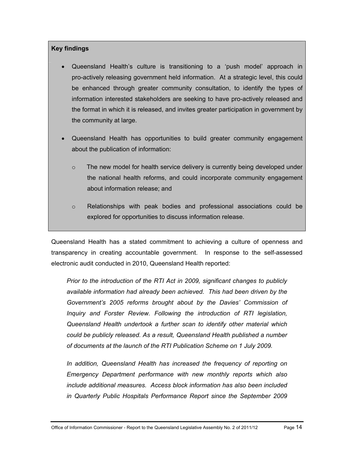## **Key findings**

- Queensland Health's culture is transitioning to a 'push model' approach in pro-actively releasing government held information. At a strategic level, this could be enhanced through greater community consultation, to identify the types of information interested stakeholders are seeking to have pro-actively released and the format in which it is released, and invites greater participation in government by the community at large.
- Queensland Health has opportunities to build greater community engagement about the publication of information:
	- $\circ$  The new model for health service delivery is currently being developed under the national health reforms, and could incorporate community engagement about information release; and
	- o Relationships with peak bodies and professional associations could be explored for opportunities to discuss information release.

Queensland Health has a stated commitment to achieving a culture of openness and transparency in creating accountable government. In response to the self-assessed electronic audit conducted in 2010, Queensland Health reported:

*Prior to the introduction of the RTI Act in 2009, significant changes to publicly available information had already been achieved. This had been driven by the Government's 2005 reforms brought about by the Davies' Commission of Inquiry and Forster Review. Following the introduction of RTI legislation, Queensland Health undertook a further scan to identify other material which could be publicly released. As a result, Queensland Health published a number of documents at the launch of the RTI Publication Scheme on 1 July 2009.* 

*In addition, Queensland Health has increased the frequency of reporting on Emergency Department performance with new monthly reports which also include additional measures. Access block information has also been included in Quarterly Public Hospitals Performance Report since the September 2009*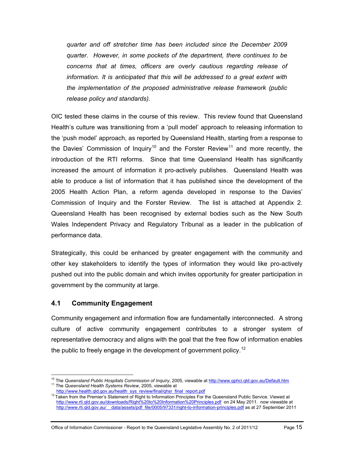*quarter and off stretcher time has been included since the December 2009 quarter. However, in some pockets of the department, there continues to be concerns that at times, officers are overly cautious regarding release of information. It is anticipated that this will be addressed to a great extent with the implementation of the proposed administrative release framework (public release policy and standards).*

OIC tested these claims in the course of this review. This review found that Queensland Health's culture was transitioning from a 'pull model' approach to releasing information to the 'push model' approach, as reported by Queensland Health, starting from a response to the Davies' Commission of Inquiry<sup>[10](#page-18-1)</sup> and the Forster Review<sup>11</sup> and more recently, the introduction of the RTI reforms. Since that time Queensland Health has significantly increased the amount of information it pro-actively publishes. Queensland Health was able to produce a list of information that it has published since the development of the 2005 Health Action Plan, a reform agenda developed in response to the Davies' Commission of Inquiry and the Forster Review. The list is attached at Appendix 2. Queensland Health has been recognised by external bodies such as the New South Wales Independent Privacy and Regulatory Tribunal as a leader in the publication of performance data.

Strategically, this could be enhanced by greater engagement with the community and other key stakeholders to identify the types of information they would like pro-actively pushed out into the public domain and which invites opportunity for greater participation in government by the community at large.

#### <span id="page-20-0"></span>**4.1 Community Engagement**

Community engagement and information flow are fundamentally interconnected. A strong culture of active community engagement contributes to a stronger system of representative democracy and aligns with the goal that the free flow of information enables the public to freely engage in the development of government policy.<sup>[12](#page-20-2)</sup>

 $\overline{a}$ 10 The *Queensland Public Hospitals Commission of Inquiry*, 2005, viewable at http://www.qphci.qld.gov.au/Default.htm 11 The *Queensland Health Systems Review*, 2005, viewable at

<span id="page-20-1"></span>

<span id="page-20-3"></span><span id="page-20-2"></span> $12$  Taken from the Premier's Statement of Right to Information Principles For the Queensland Public Service. Viewed at http://www.rti.qld.gov.au/downloads/Right%20to%20Information%20Principles.pdf on 24 May 2011. now viewable at http://www.rti.qld.gov.au/ data/assets/pdf file/0005/97331/right-to-information-principles.pdf as at 27 September 2011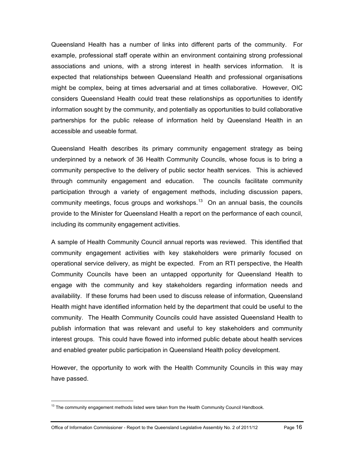Queensland Health has a number of links into different parts of the community. For example, professional staff operate within an environment containing strong professional associations and unions, with a strong interest in health services information. It is expected that relationships between Queensland Health and professional organisations might be complex, being at times adversarial and at times collaborative. However, OIC considers Queensland Health could treat these relationships as opportunities to identify information sought by the community, and potentially as opportunities to build collaborative partnerships for the public release of information held by Queensland Health in an accessible and useable format.

Queensland Health describes its primary community engagement strategy as being underpinned by a network of 36 Health Community Councils, whose focus is to bring a community perspective to the delivery of public sector health services. This is achieved through community engagement and education. The councils facilitate community participation through a variety of engagement methods, including discussion papers, community meetings, focus groups and workshops.<sup>13</sup> On an annual basis, the councils provide to the Minister for Queensland Health a report on the performance of each council, including its community engagement activities.

A sample of Health Community Council annual reports was reviewed. This identified that community engagement activities with key stakeholders were primarily focused on operational service delivery, as might be expected. From an RTI perspective, the Health Community Councils have been an untapped opportunity for Queensland Health to engage with the community and key stakeholders regarding information needs and availability. If these forums had been used to discuss release of information, Queensland Health might have identified information held by the department that could be useful to the community. The Health Community Councils could have assisted Queensland Health to publish information that was relevant and useful to key stakeholders and community interest groups. This could have flowed into informed public debate about health services and enabled greater public participation in Queensland Health policy development.

However, the opportunity to work with the Health Community Councils in this way may have passed.

 $\overline{a}$ 

<span id="page-21-0"></span><sup>&</sup>lt;sup>13</sup> The community engagement methods listed were taken from the Health Community Council Handbook.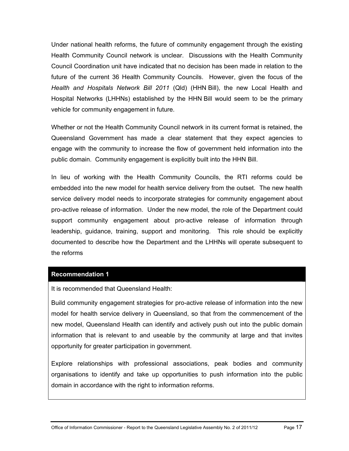Under national health reforms, the future of community engagement through the existing Health Community Council network is unclear. Discussions with the Health Community Council Coordination unit have indicated that no decision has been made in relation to the future of the current 36 Health Community Councils. However, given the focus of the *Health and Hospitals Network Bill 2011* (Qld) (HHN Bill), the new Local Health and Hospital Networks (LHHNs) established by the HHN Bill would seem to be the primary vehicle for community engagement in future.

Whether or not the Health Community Council network in its current format is retained, the Queensland Government has made a clear statement that they expect agencies to engage with the community to increase the flow of government held information into the public domain. Community engagement is explicitly built into the HHN Bill.

In lieu of working with the Health Community Councils, the RTI reforms could be embedded into the new model for health service delivery from the outset. The new health service delivery model needs to incorporate strategies for community engagement about pro-active release of information. Under the new model, the role of the Department could support community engagement about pro-active release of information through leadership, guidance, training, support and monitoring. This role should be explicitly documented to describe how the Department and the LHHNs will operate subsequent to the reforms

#### **[Recommendation 1](#page-8-1)**

It is recommended that Queensland Health:

<span id="page-22-0"></span>Build community engagement strategies for pro-active release of information into the new model for health service delivery in Queensland, so that from the commencement of the new model, Queensland Health can identify and actively push out into the public domain information that is relevant to and useable by the community at large and that invites opportunity for greater participation in government.

Explore relationships with professional associations, peak bodies and community organisations to identify and take up opportunities to push information into the public domain in accordance with the right to information reforms.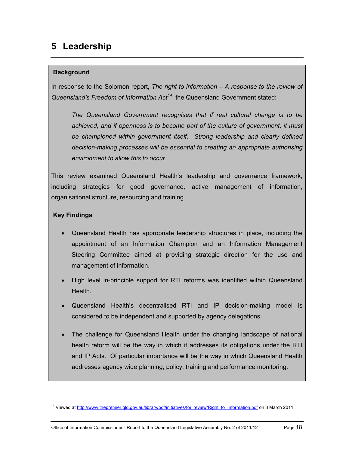# <span id="page-23-0"></span>**5 Leadership**

# **Background**

In response to the Solomon report, *The right to information – A response to the review of Queensland's Freedom of Information Act[14](#page-21-0)* the Queensland Government stated:

*The Queensland Government recognises that if real cultural change is to be achieved, and if openness is to become part of the culture of government, it must*  be championed within government *itself.* Strong leadership and clearly defined *decision-making processes will be essential to creating an appropriate authorising environment to allow this to occur*.

This review examined Queensland Health's leadership and governance framework, including strategies for good governance, active management of information, organisational structure, resourcing and training.

# **Key Findings**

<span id="page-23-1"></span> $\overline{a}$ 

- Queensland Health has appropriate leadership structures in place, including the appointment of an Information Champion and an Information Management Steering Committee aimed at providing strategic direction for the use and management of information.
- High level in-principle support for RTI reforms was identified within Queensland Health.
- Queensland Health's decentralised RTI and IP decision-making model is considered to be independent and supported by agency delegations.
- The challenge for Queensland Health under the changing landscape of national health reform will be the way in which it addresses its obligations under the RTI and IP Acts. Of particular importance will be the way in which Queensland Health addresses agency wide planning, policy, training and performance monitoring.

<sup>&</sup>lt;sup>14</sup> Viewed at http://www.thepremier.qld.gov.au/library/pdf/initiatives/foi\_review/Right\_to\_Information.pdf on 8 March 2011.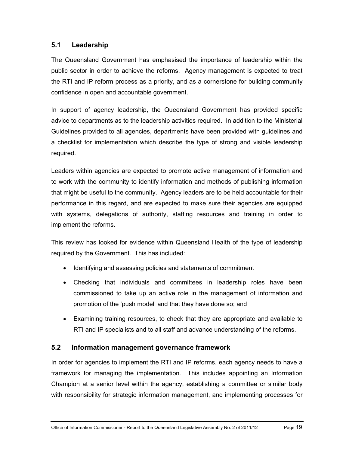# <span id="page-24-0"></span>**5.1 Leadership**

The Queensland Government has emphasised the importance of leadership within the public sector in order to achieve the reforms. Agency management is expected to treat the RTI and IP reform process as a priority, and as a cornerstone for building community confidence in open and accountable government.

In support of agency leadership, the Queensland Government has provided specific advice to departments as to the leadership activities required. In addition to the Ministerial Guidelines provided to all agencies, departments have been provided with guidelines and a checklist for implementation which describe the type of strong and visible leadership required.

Leaders within agencies are expected to promote active management of information and to work with the community to identify information and methods of publishing information that might be useful to the community. Agency leaders are to be held accountable for their performance in this regard, and are expected to make sure their agencies are equipped with systems, delegations of authority, staffing resources and training in order to implement the reforms.

This review has looked for evidence within Queensland Health of the type of leadership required by the Government. This has included:

- Identifying and assessing policies and statements of commitment
- Checking that individuals and committees in leadership roles have been commissioned to take up an active role in the management of information and promotion of the 'push model' and that they have done so; and
- Examining training resources, to check that they are appropriate and available to RTI and IP specialists and to all staff and advance understanding of the reforms.

# <span id="page-24-1"></span>**5.2 Information management governance framework**

In order for agencies to implement the RTI and IP reforms, each agency needs to have a framework for managing the implementation. This includes appointing an Information Champion at a senior level within the agency, establishing a committee or similar body with responsibility for strategic information management, and implementing processes for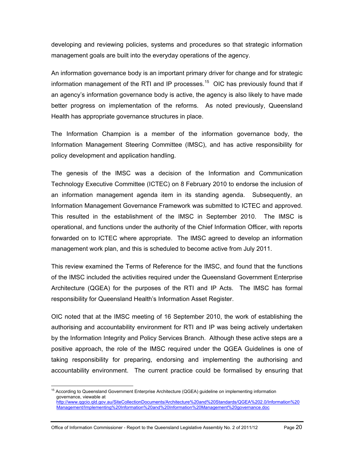developing and reviewing policies, systems and procedures so that strategic information management goals are built into the everyday operations of the agency.

An information governance body is an important primary driver for change and for strategic information management of the RTI and IP processes.<sup>15</sup> OIC has previously found that if an agency's information governance body is active, the agency is also likely to have made better progress on implementation of the reforms. As noted previously, Queensland Health has appropriate governance structures in place.

The Information Champion is a member of the information governance body, the Information Management Steering Committee (IMSC), and has active responsibility for policy development and application handling.

The genesis of the IMSC was a decision of the Information and Communication Technology Executive Committee (ICTEC) on 8 February 2010 to endorse the inclusion of an information management agenda item in its standing agenda. Subsequently, an Information Management Governance Framework was submitted to ICTEC and approved. This resulted in the establishment of the IMSC in September 2010. The IMSC is operational, and functions under the authority of the Chief Information Officer, with reports forwarded on to ICTEC where appropriate. The IMSC agreed to develop an information management work plan, and this is scheduled to become active from July 2011.

This review examined the Terms of Reference for the IMSC, and found that the functions of the IMSC included the activities required under the Queensland Government Enterprise Architecture (QGEA) for the purposes of the RTI and IP Acts. The IMSC has formal responsibility for Queensland Health's Information Asset Register.

OIC noted that at the IMSC meeting of 16 September 2010, the work of establishing the authorising and accountability environment for RTI and IP was being actively undertaken by the Information Integrity and Policy Services Branch. Although these active steps are a positive approach, the role of the IMSC required under the QGEA Guidelines is one of taking responsibility for preparing, endorsing and implementing the authorising and accountability environment. The current practice could be formalised by ensuring that

 $\overline{a}$ 

<span id="page-25-0"></span><sup>&</sup>lt;sup>15</sup> According to Queensland Government Enterprise Architecture (QGEA) guideline on implementing information governance, viewable at http://www.qgcio.qld.gov.au/SiteCollectionDocuments/Architecture%20and%20Standards/QGEA%202.0/Information%20 Management/Implementing%20Information%20and%20Information%20Management%20governance.doc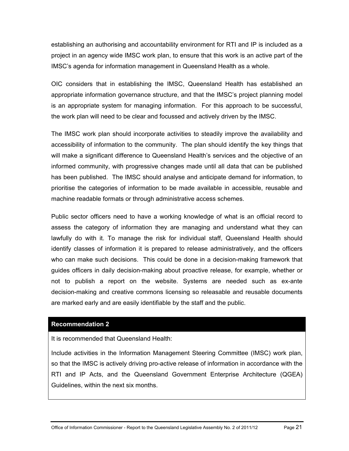establishing an authorising and accountability environment for RTI and IP is included as a project in an agency wide IMSC work plan, to ensure that this work is an active part of the IMSC's agenda for information management in Queensland Health as a whole.

OIC considers that in establishing the IMSC, Queensland Health has established an appropriate information governance structure, and that the IMSC's project planning model is an appropriate system for managing information. For this approach to be successful, the work plan will need to be clear and focussed and actively driven by the IMSC.

The IMSC work plan should incorporate activities to steadily improve the availability and accessibility of information to the community. The plan should identify the key things that will make a significant difference to Queensland Health's services and the objective of an informed community, with progressive changes made until all data that can be published has been published. The IMSC should analyse and anticipate demand for information, to prioritise the categories of information to be made available in accessible, reusable and machine readable formats or through administrative access schemes.

Public sector officers need to have a working knowledge of what is an official record to assess the category of information they are managing and understand what they can lawfully do with it. To manage the risk for individual staff, Queensland Health should identify classes of information it is prepared to release administratively, and the officers who can make such decisions. This could be done in a decision-making framework that guides officers in daily decision-making about proactive release, for example, whether or not to publish a report on the website. Systems are needed such as ex-ante decision-making and creative commons licensing so releasable and reusable documents are marked early and are easily identifiable by the staff and the public.

#### **[Recommendation 2](#page-8-2)**

It is recommended that Queensland Health:

<span id="page-26-0"></span>Include activities in the Information Management Steering Committee (IMSC) work plan, so that the IMSC is actively driving pro-active release of information in accordance with the RTI and IP Acts, and the Queensland Government Enterprise Architecture (QGEA) Guidelines, within the next six months.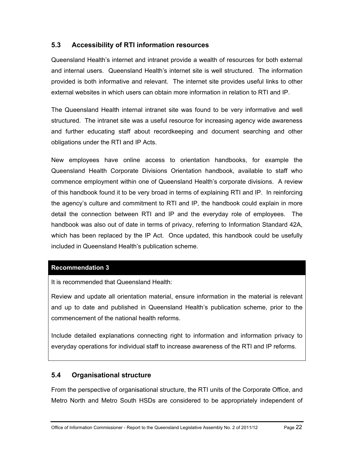# <span id="page-27-0"></span>**5.3 Accessibility of RTI information resources**

Queensland Health's internet and intranet provide a wealth of resources for both external and internal users. Queensland Health's internet site is well structured. The information provided is both informative and relevant. The internet site provides useful links to other external websites in which users can obtain more information in relation to RTI and IP.

The Queensland Health internal intranet site was found to be very informative and well structured. The intranet site was a useful resource for increasing agency wide awareness and further educating staff about recordkeeping and document searching and other obligations under the RTI and IP Acts.

New employees have online access to orientation handbooks, for example the Queensland Health Corporate Divisions Orientation handbook, available to staff who commence employment within one of Queensland Health's corporate divisions. A review of this handbook found it to be very broad in terms of explaining RTI and IP. In reinforcing the agency's culture and commitment to RTI and IP, the handbook could explain in more detail the connection between RTI and IP and the everyday role of employees. The handbook was also out of date in terms of privacy, referring to Information Standard 42A, which has been replaced by the IP Act. Once updated, this handbook could be usefully included in Queensland Health's publication scheme.

## **[Recommendation 3](#page-8-3)**

It is recommended that Queensland Health:

<span id="page-27-2"></span>Review and update all orientation material, ensure information in the material is relevant and up to date and published in Queensland Health's publication scheme, prior to the commencement of the national health reforms.

Include detailed explanations connecting right to information and information privacy to everyday operations for individual staff to increase awareness of the RTI and IP reforms.

## <span id="page-27-1"></span>**5.4 Organisational structure**

From the perspective of organisational structure, the RTI units of the Corporate Office, and Metro North and Metro South HSDs are considered to be appropriately independent of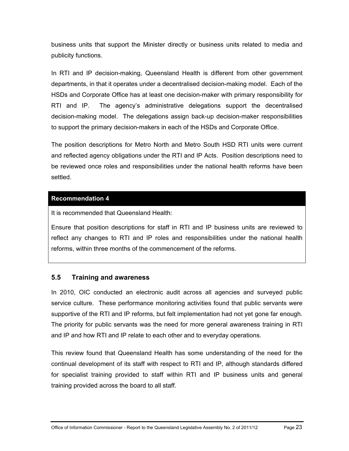business units that support the Minister directly or business units related to media and publicity functions.

In RTI and IP decision-making, Queensland Health is different from other government departments, in that it operates under a decentralised decision-making model. Each of the HSDs and Corporate Office has at least one decision-maker with primary responsibility for RTI and IP. The agency's administrative delegations support the decentralised decision-making model. The delegations assign back-up decision-maker responsibilities to support the primary decision-makers in each of the HSDs and Corporate Office.

The position descriptions for Metro North and Metro South HSD RTI units were current and reflected agency obligations under the RTI and IP Acts. Position descriptions need to be reviewed once roles and responsibilities under the national health reforms have been settled.

## **[Recommendation 4](#page-8-4)**

It is recommended that Queensland Health:

<span id="page-28-1"></span>Ensure that position descriptions for staff in RTI and IP business units are reviewed to reflect any changes to RTI and IP roles and responsibilities under the national health reforms, within three months of the commencement of the reforms.

## <span id="page-28-0"></span>**5.5 Training and awareness**

In 2010, OIC conducted an electronic audit across all agencies and surveyed public service culture. These performance monitoring activities found that public servants were supportive of the RTI and IP reforms, but felt implementation had not yet gone far enough. The priority for public servants was the need for more general awareness training in RTI and IP and how RTI and IP relate to each other and to everyday operations.

This review found that Queensland Health has some understanding of the need for the continual development of its staff with respect to RTI and IP, although standards differed for specialist training provided to staff within RTI and IP business units and general training provided across the board to all staff.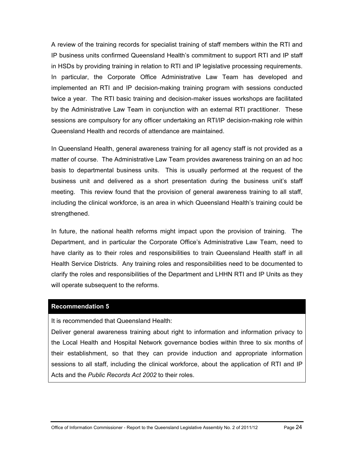A review of the training records for specialist training of staff members within the RTI and IP business units confirmed Queensland Health's commitment to support RTI and IP staff in HSDs by providing training in relation to RTI and IP legislative processing requirements. In particular, the Corporate Office Administrative Law Team has developed and implemented an RTI and IP decision-making training program with sessions conducted twice a year. The RTI basic training and decision-maker issues workshops are facilitated by the Administrative Law Team in conjunction with an external RTI practitioner. These sessions are compulsory for any officer undertaking an RTI/IP decision-making role within Queensland Health and records of attendance are maintained.

In Queensland Health, general awareness training for all agency staff is not provided as a matter of course. The Administrative Law Team provides awareness training on an ad hoc basis to departmental business units. This is usually performed at the request of the business unit and delivered as a short presentation during the business unit's staff meeting. This review found that the provision of general awareness training to all staff, including the clinical workforce, is an area in which Queensland Health's training could be strengthened.

In future, the national health reforms might impact upon the provision of training. The Department, and in particular the Corporate Office's Administrative Law Team, need to have clarity as to their roles and responsibilities to train Queensland Health staff in all Health Service Districts. Any training roles and responsibilities need to be documented to clarify the roles and responsibilities of the Department and LHHN RTI and IP Units as they will operate subsequent to the reforms.

#### **[Recommendation 5](#page-9-0)**

It is recommended that Queensland Health:

<span id="page-29-0"></span>Deliver general awareness training about right to information and information privacy to the Local Health and Hospital Network governance bodies within three to six months of their establishment, so that they can provide induction and appropriate information sessions to all staff, including the clinical workforce, about the application of RTI and IP Acts and the *Public Records Act 2002* to their roles.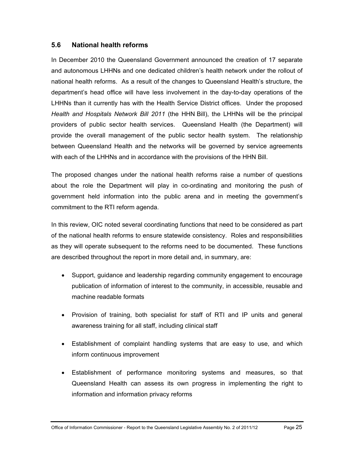## <span id="page-30-0"></span>**5.6 National health reforms**

In December 2010 the Queensland Government announced the creation of 17 separate and autonomous LHHNs and one dedicated children's health network under the rollout of national health reforms. As a result of the changes to Queensland Health's structure, the department's head office will have less involvement in the day-to-day operations of the LHHNs than it currently has with the Health Service District offices. Under the proposed *Health and Hospitals Network Bill 2011* (the HHN Bill), the LHHNs will be the principal providers of public sector health services. Queensland Health (the Department) will provide the overall management of the public sector health system. The relationship between Queensland Health and the networks will be governed by service agreements with each of the LHHNs and in accordance with the provisions of the HHN Bill.

The proposed changes under the national health reforms raise a number of questions about the role the Department will play in co-ordinating and monitoring the push of government held information into the public arena and in meeting the government's commitment to the RTI reform agenda.

In this review, OIC noted several coordinating functions that need to be considered as part of the national health reforms to ensure statewide consistency. Roles and responsibilities as they will operate subsequent to the reforms need to be documented. These functions are described throughout the report in more detail and, in summary, are:

- Support, guidance and leadership regarding community engagement to encourage publication of information of interest to the community, in accessible, reusable and machine readable formats
- Provision of training, both specialist for staff of RTI and IP units and general awareness training for all staff, including clinical staff
- Establishment of complaint handling systems that are easy to use, and which inform continuous improvement
- Establishment of performance monitoring systems and measures, so that Queensland Health can assess its own progress in implementing the right to information and information privacy reforms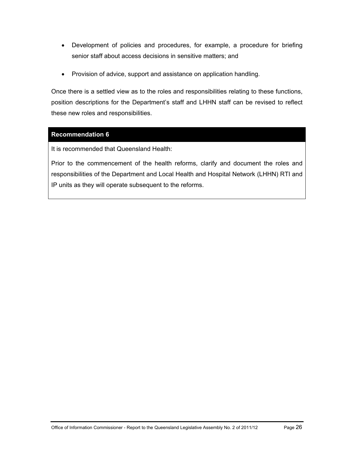- Development of policies and procedures, for example, a procedure for briefing senior staff about access decisions in sensitive matters; and
- Provision of advice, support and assistance on application handling.

Once there is a settled view as to the roles and responsibilities relating to these functions, position descriptions for the Department's staff and LHHN staff can be revised to reflect these new roles and responsibilities.

## **[Recommendation 6](#page-9-1)**

It is recommended that Queensland Health:

<span id="page-31-0"></span>Prior to the commencement of the health reforms, clarify and document the roles and responsibilities of the Department and Local Health and Hospital Network (LHHN) RTI and IP units as they will operate subsequent to the reforms.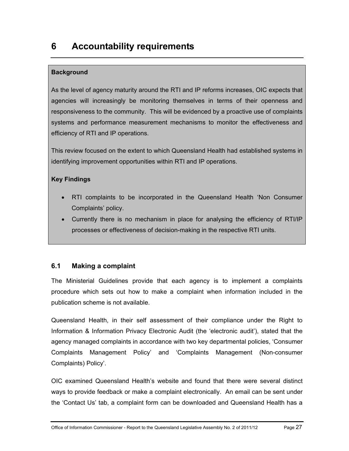# <span id="page-32-0"></span>**6 Accountability requirements**

# **Background**

As the level of agency maturity around the RTI and IP reforms increases, OIC expects that agencies will increasingly be monitoring themselves in terms of their openness and responsiveness to the community. This will be evidenced by a proactive use of complaints systems and performance measurement mechanisms to monitor the effectiveness and efficiency of RTI and IP operations.

This review focused on the extent to which Queensland Health had established systems in identifying improvement opportunities within RTI and IP operations.

# **Key Findings**

- RTI complaints to be incorporated in the Queensland Health 'Non Consumer Complaints' policy.
- Currently there is no mechanism in place for analysing the efficiency of RTI/IP processes or effectiveness of decision-making in the respective RTI units.

# <span id="page-32-1"></span>**6.1 Making a complaint**

The Ministerial Guidelines provide that each agency is to implement a complaints procedure which sets out how to make a complaint when information included in the publication scheme is not available.

Queensland Health, in their self assessment of their compliance under the Right to Information & Information Privacy Electronic Audit (the 'electronic audit'), stated that the agency managed complaints in accordance with two key departmental policies, 'Consumer Complaints Management Policy' and 'Complaints Management (Non-consumer Complaints) Policy'.

OIC examined Queensland Health's website and found that there were several distinct ways to provide feedback or make a complaint electronically. An email can be sent under the 'Contact Us' tab, a complaint form can be downloaded and Queensland Health has a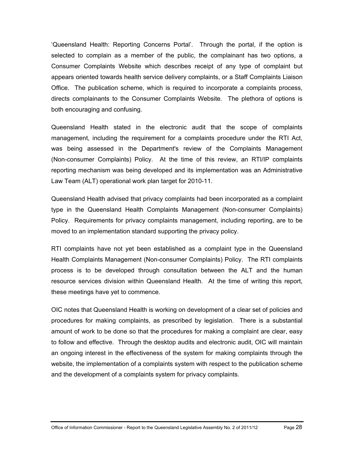'Queensland Health: Reporting Concerns Portal'. Through the portal, if the option is selected to complain as a member of the public, the complainant has two options, a Consumer Complaints Website which describes receipt of any type of complaint but appears oriented towards health service delivery complaints, or a Staff Complaints Liaison Office. The publication scheme, which is required to incorporate a complaints process, directs complainants to the Consumer Complaints Website. The plethora of options is both encouraging and confusing.

Queensland Health stated in the electronic audit that the scope of complaints management, including the requirement for a complaints procedure under the RTI Act, was being assessed in the Department's review of the Complaints Management (Non-consumer Complaints) Policy. At the time of this review, an RTI/IP complaints reporting mechanism was being developed and its implementation was an Administrative Law Team (ALT) operational work plan target for 2010-11.

Queensland Health advised that privacy complaints had been incorporated as a complaint type in the Queensland Health Complaints Management (Non-consumer Complaints) Policy. Requirements for privacy complaints management, including reporting, are to be moved to an implementation standard supporting the privacy policy.

RTI complaints have not yet been established as a complaint type in the Queensland Health Complaints Management (Non-consumer Complaints) Policy. The RTI complaints process is to be developed through consultation between the ALT and the human resource services division within Queensland Health. At the time of writing this report, these meetings have yet to commence.

OIC notes that Queensland Health is working on development of a clear set of policies and procedures for making complaints, as prescribed by legislation. There is a substantial amount of work to be done so that the procedures for making a complaint are clear, easy to follow and effective. Through the desktop audits and electronic audit, OIC will maintain an ongoing interest in the effectiveness of the system for making complaints through the website, the implementation of a complaints system with respect to the publication scheme and the development of a complaints system for privacy complaints.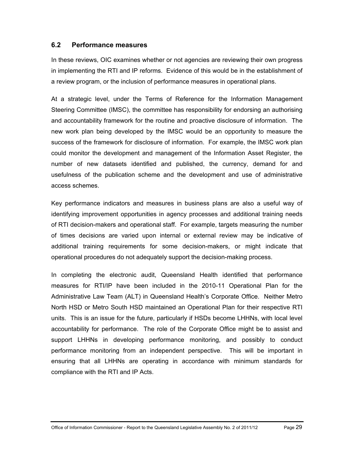### <span id="page-34-0"></span>**6.2 Performance measures**

In these reviews, OIC examines whether or not agencies are reviewing their own progress in implementing the RTI and IP reforms. Evidence of this would be in the establishment of a review program, or the inclusion of performance measures in operational plans.

At a strategic level, under the Terms of Reference for the Information Management Steering Committee (IMSC), the committee has responsibility for endorsing an authorising and accountability framework for the routine and proactive disclosure of information. The new work plan being developed by the IMSC would be an opportunity to measure the success of the framework for disclosure of information. For example, the IMSC work plan could monitor the development and management of the Information Asset Register, the number of new datasets identified and published, the currency, demand for and usefulness of the publication scheme and the development and use of administrative access schemes.

Key performance indicators and measures in business plans are also a useful way of identifying improvement opportunities in agency processes and additional training needs of RTI decision-makers and operational staff. For example, targets measuring the number of times decisions are varied upon internal or external review may be indicative of additional training requirements for some decision-makers, or might indicate that operational procedures do not adequately support the decision-making process.

In completing the electronic audit, Queensland Health identified that performance measures for RTI/IP have been included in the 2010-11 Operational Plan for the Administrative Law Team (ALT) in Queensland Health's Corporate Office. Neither Metro North HSD or Metro South HSD maintained an Operational Plan for their respective RTI units. This is an issue for the future, particularly if HSDs become LHHNs, with local level accountability for performance. The role of the Corporate Office might be to assist and support LHHNs in developing performance monitoring, and possibly to conduct performance monitoring from an independent perspective. This will be important in ensuring that all LHHNs are operating in accordance with minimum standards for compliance with the RTI and IP Acts.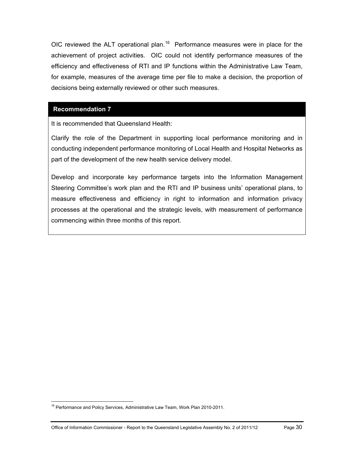OIC reviewed the ALT operational plan.<sup>16</sup> Performance measures were in place for the achievement of project activities. OIC could not identify performance measures of the efficiency and effectiveness of RTI and IP functions within the Administrative Law Team, for example, measures of the average time per file to make a decision, the proportion of decisions being externally reviewed or other such measures.

#### **[Recommendation 7](#page-9-2)**

It is recommended that Queensland Health:

<span id="page-35-0"></span>Clarify the role of the Department in supporting local performance monitoring and in conducting independent performance monitoring of Local Health and Hospital Networks as part of the development of the new health service delivery model.

Develop and incorporate key performance targets into the Information Management Steering Committee's work plan and the RTI and IP business units' operational plans, to measure effectiveness and efficiency in right to information and information privacy processes at the operational and the strategic levels, with measurement of performance commencing within three months of this report.

 $\overline{a}$ 

<sup>&</sup>lt;sup>16</sup> Performance and Policy Services, Administrative Law Team, Work Plan 2010-2011.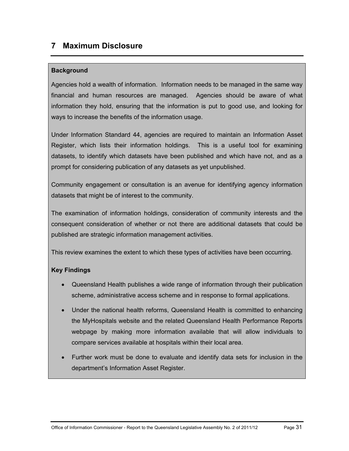## **7 Maximum Disclosure**

## **Background**

Agencies hold a wealth of information. Information needs to be managed in the same way financial and human resources are managed. Agencies should be aware of what information they hold, ensuring that the information is put to good use, and looking for ways to increase the benefits of the information usage.

Under Information Standard 44, agencies are required to maintain an Information Asset Register, which lists their information holdings. This is a useful tool for examining datasets, to identify which datasets have been published and which have not, and as a prompt for considering publication of any datasets as yet unpublished.

Community engagement or consultation is an avenue for identifying agency information datasets that might be of interest to the community.

The examination of information holdings, consideration of community interests and the consequent consideration of whether or not there are additional datasets that could be published are strategic information management activities.

This review examines the extent to which these types of activities have been occurring.

## **Key Findings**

- Queensland Health publishes a wide range of information through their publication scheme, administrative access scheme and in response to formal applications.
- Under the national health reforms, Queensland Health is committed to enhancing the MyHospitals website and the related Queensland Health Performance Reports webpage by making more information available that will allow individuals to compare services available at hospitals within their local area.
- Further work must be done to evaluate and identify data sets for inclusion in the department's Information Asset Register.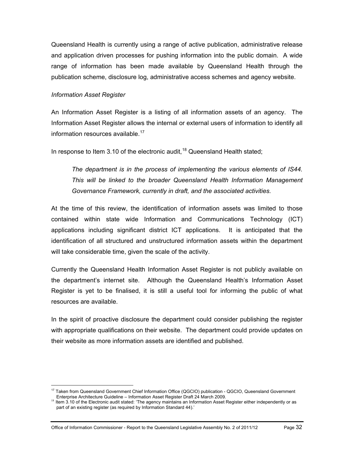Queensland Health is currently using a range of active publication, administrative release and application driven processes for pushing information into the public domain. A wide range of information has been made available by Queensland Health through the publication scheme, disclosure log, administrative access schemes and agency website.

#### *Information Asset Register*

 $\overline{a}$ 

An Information Asset Register is a listing of all information assets of an agency. The Information Asset Register allows the internal or external users of information to identify all information resources available. $17$ 

In response to Item 3.10 of the electronic audit,  $18$  Queensland Health stated;

*The department is in the process of implementing the various elements of IS44. This will be linked to the broader Queensland Health Information Management Governance Framework, currently in draft, and the associated activities.*

At the time of this review, the identification of information assets was limited to those contained within state wide Information and Communications Technology (ICT) applications including significant district ICT applications. It is anticipated that the identification of all structured and unstructured information assets within the department will take considerable time, given the scale of the activity.

Currently the Queensland Health Information Asset Register is not publicly available on the department's internet site. Although the Queensland Health's Information Asset Register is yet to be finalised, it is still a useful tool for informing the public of what resources are available.

In the spirit of proactive disclosure the department could consider publishing the register with appropriate qualifications on their website. The department could provide updates on their website as more information assets are identified and published.

<sup>&</sup>lt;sup>17</sup> Taken from Queensland Government Chief Information Office (QGCIO) publication - QGCIO, Queensland Government Enterprise Architecture Guideline – Information Asset Register Draft 24 March 2009.

<span id="page-37-0"></span><sup>&</sup>lt;sup>18</sup> Item 3.10 of the Electronic audit stated: 'The agency maintains an Information Asset Register either independently or as part of an existing register (as required by Information Standard 44).'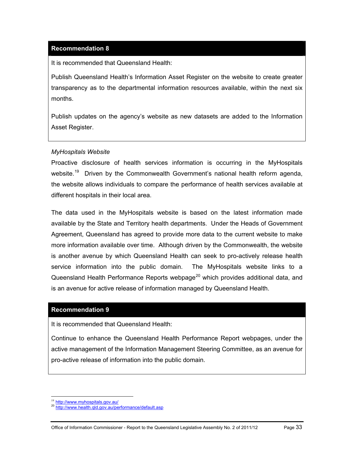## **[Recommendation 8](#page-9-0)**

It is recommended that Queensland Health:

Publish Queensland Health's Information Asset Register on the website to create greater transparency as to the departmental information resources available, within the next six months.

Publish updates on the agency's website as new datasets are added to the Information Asset Register.

#### *MyHospitals Website*

Proactive disclosure of health services information is occurring in the MyHospitals website.<sup>19</sup> Driven by the Commonwealth Government's national health reform agenda, the website allows individuals to compare the performance of health services available at different hospitals in their local area.

The data used in the MyHospitals website is based on the latest information made available by the State and Territory health departments. Under the Heads of Government Agreement, Queensland has agreed to provide more data to the current website to make more information available over time. Although driven by the Commonwealth, the website is another avenue by which Queensland Health can seek to pro-actively release health service information into the public domain. The MyHospitals website links to a Queensland Health Performance Reports webpage<sup>[20](#page-38-0)</sup> which provides additional data, and is an avenue for active release of information managed by Queensland Health.

#### **[Recommendation 9](#page-10-0)**

It is recommended that Queensland Health:

Continue to enhance the Queensland Health Performance Report webpages, under the active management of the Information Management Steering Committee, as an avenue for pro-active release of information into the public domain.

<sup>&</sup>lt;sup>19</sup> http://www.myhospitals.gov.au/

<span id="page-38-0"></span>http://www.health.qld.gov.au/performance/default.asp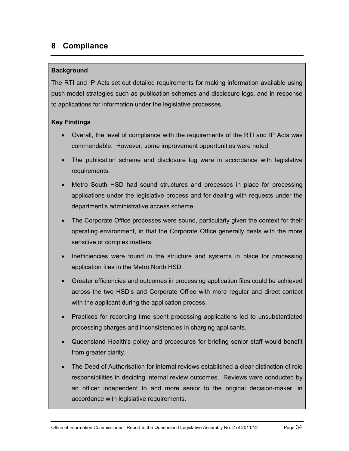# **8 Compliance**

#### **Background**

The RTI and IP Acts set out detailed requirements for making information available using push model strategies such as publication schemes and disclosure logs, and in response to applications for information under the legislative processes.

## **Key Findings**

- Overall, the level of compliance with the requirements of the RTI and IP Acts was commendable. However, some improvement opportunities were noted.
- The publication scheme and disclosure log were in accordance with legislative requirements.
- Metro South HSD had sound structures and processes in place for processing applications under the legislative process and for dealing with requests under the department's administrative access scheme.
- The Corporate Office processes were sound, particularly given the context for their operating environment, in that the Corporate Office generally deals with the more sensitive or complex matters.
- Inefficiencies were found in the structure and systems in place for processing application files in the Metro North HSD.
- Greater efficiencies and outcomes in processing application files could be achieved across the two HSD's and Corporate Office with more regular and direct contact with the applicant during the application process.
- Practices for recording time spent processing applications led to unsubstantiated processing charges and inconsistencies in charging applicants.
- Queensland Health's policy and procedures for briefing senior staff would benefit from greater clarity.
- The Deed of Authorisation for internal reviews established a clear distinction of role responsibilities in deciding internal review outcomes. Reviews were conducted by an officer independent to and more senior to the original decision-maker, in accordance with legislative requirements.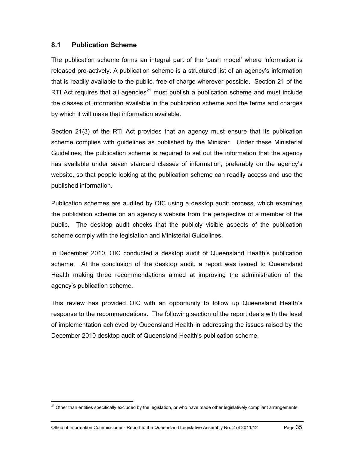## **8.1 Publication Scheme**

The publication scheme forms an integral part of the 'push model' where information is released pro-actively. A publication scheme is a structured list of an agency's information that is readily available to the public, free of charge wherever possible. Section 21 of the RTI Act requires that all agencies<sup>[21](#page-38-0)</sup> must publish a publication scheme and must include the classes of information available in the publication scheme and the terms and charges by which it will make that information available.

Section 21(3) of the RTI Act provides that an agency must ensure that its publication scheme complies with guidelines as published by the Minister. Under these Ministerial Guidelines, the publication scheme is required to set out the information that the agency has available under seven standard classes of information, preferably on the agency's website, so that people looking at the publication scheme can readily access and use the published information.

Publication schemes are audited by OIC using a desktop audit process, which examines the publication scheme on an agency's website from the perspective of a member of the public. The desktop audit checks that the publicly visible aspects of the publication scheme comply with the legislation and Ministerial Guidelines.

In December 2010, OIC conducted a desktop audit of Queensland Health's publication scheme. At the conclusion of the desktop audit, a report was issued to Queensland Health making three recommendations aimed at improving the administration of the agency's publication scheme.

This review has provided OIC with an opportunity to follow up Queensland Health's response to the recommendations. The following section of the report deals with the level of implementation achieved by Queensland Health in addressing the issues raised by the December 2010 desktop audit of Queensland Health's publication scheme.

<span id="page-40-0"></span><sup>&</sup>lt;sup>21</sup> Other than entities specifically excluded by the legislation, or who have made other legislatively compliant arrangements.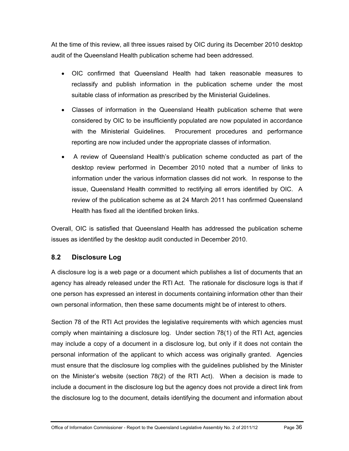At the time of this review, all three issues raised by OIC during its December 2010 desktop audit of the Queensland Health publication scheme had been addressed.

- OIC confirmed that Queensland Health had taken reasonable measures to reclassify and publish information in the publication scheme under the most suitable class of information as prescribed by the Ministerial Guidelines.
- Classes of information in the Queensland Health publication scheme that were considered by OIC to be insufficiently populated are now populated in accordance with the Ministerial Guidelines. Procurement procedures and performance reporting are now included under the appropriate classes of information.
- A review of Queensland Health's publication scheme conducted as part of the desktop review performed in December 2010 noted that a number of links to information under the various information classes did not work. In response to the issue, Queensland Health committed to rectifying all errors identified by OIC. A review of the publication scheme as at 24 March 2011 has confirmed Queensland Health has fixed all the identified broken links.

Overall, OIC is satisfied that Queensland Health has addressed the publication scheme issues as identified by the desktop audit conducted in December 2010.

## **8.2 Disclosure Log**

A disclosure log is a web page or a document which publishes a list of documents that an agency has already released under the RTI Act. The rationale for disclosure logs is that if one person has expressed an interest in documents containing information other than their own personal information, then these same documents might be of interest to others.

Section 78 of the RTI Act provides the legislative requirements with which agencies must comply when maintaining a disclosure log. Under section 78(1) of the RTI Act, agencies may include a copy of a document in a disclosure log, but only if it does not contain the personal information of the applicant to which access was originally granted. Agencies must ensure that the disclosure log complies with the guidelines published by the Minister on the Minister's website (section 78(2) of the RTI Act). When a decision is made to include a document in the disclosure log but the agency does not provide a direct link from the disclosure log to the document, details identifying the document and information about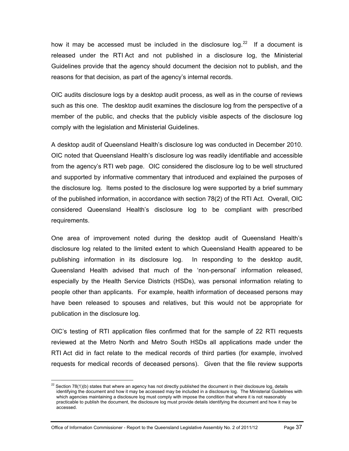how it may be accessed must be included in the disclosure log.<sup>[22](#page-40-0)</sup> If a document is released under the RTI Act and not published in a disclosure log, the Ministerial Guidelines provide that the agency should document the decision not to publish, and the reasons for that decision, as part of the agency's internal records.

OIC audits disclosure logs by a desktop audit process, as well as in the course of reviews such as this one. The desktop audit examines the disclosure log from the perspective of a member of the public, and checks that the publicly visible aspects of the disclosure log comply with the legislation and Ministerial Guidelines.

A desktop audit of Queensland Health's disclosure log was conducted in December 2010. OIC noted that Queensland Health's disclosure log was readily identifiable and accessible from the agency's RTI web page. OIC considered the disclosure log to be well structured and supported by informative commentary that introduced and explained the purposes of the disclosure log. Items posted to the disclosure log were supported by a brief summary of the published information, in accordance with section 78(2) of the RTI Act. Overall, OIC considered Queensland Health's disclosure log to be compliant with prescribed requirements.

One area of improvement noted during the desktop audit of Queensland Health's disclosure log related to the limited extent to which Queensland Health appeared to be publishing information in its disclosure log. In responding to the desktop audit, Queensland Health advised that much of the 'non-personal' information released, especially by the Health Service Districts (HSDs), was personal information relating to people other than applicants. For example, health information of deceased persons may have been released to spouses and relatives, but this would not be appropriate for publication in the disclosure log.

OIC's testing of RTI application files confirmed that for the sample of 22 RTI requests reviewed at the Metro North and Metro South HSDs all applications made under the RTI Act did in fact relate to the medical records of third parties (for example, involved requests for medical records of deceased persons). Given that the file review supports

<span id="page-42-0"></span> $22$  Section 78(1)(b) states that where an agency has not directly published the document in their disclosure log, details identifying the document and how it may be accessed may be included in a disclosure log. The Ministerial Guidelines with which agencies maintaining a disclosure log must comply with impose the condition that where it is not reasonably practicable to publish the document, the disclosure log must provide details identifying the document and how it may be accessed.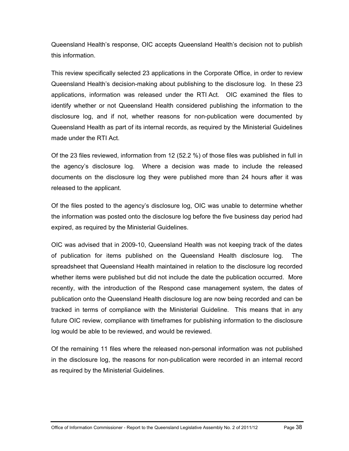Queensland Health's response, OIC accepts Queensland Health's decision not to publish this information.

This review specifically selected 23 applications in the Corporate Office, in order to review Queensland Health's decision-making about publishing to the disclosure log. In these 23 applications, information was released under the RTI Act. OIC examined the files to identify whether or not Queensland Health considered publishing the information to the disclosure log, and if not, whether reasons for non-publication were documented by Queensland Health as part of its internal records, as required by the Ministerial Guidelines made under the RTI Act.

Of the 23 files reviewed, information from 12 (52.2 %) of those files was published in full in the agency's disclosure log. Where a decision was made to include the released documents on the disclosure log they were published more than 24 hours after it was released to the applicant.

Of the files posted to the agency's disclosure log, OIC was unable to determine whether the information was posted onto the disclosure log before the five business day period had expired, as required by the Ministerial Guidelines.

OIC was advised that in 2009-10, Queensland Health was not keeping track of the dates of publication for items published on the Queensland Health disclosure log. The spreadsheet that Queensland Health maintained in relation to the disclosure log recorded whether items were published but did not include the date the publication occurred. More recently, with the introduction of the Respond case management system, the dates of publication onto the Queensland Health disclosure log are now being recorded and can be tracked in terms of compliance with the Ministerial Guideline. This means that in any future OIC review, compliance with timeframes for publishing information to the disclosure log would be able to be reviewed, and would be reviewed.

Of the remaining 11 files where the released non-personal information was not published in the disclosure log, the reasons for non-publication were recorded in an internal record as required by the Ministerial Guidelines.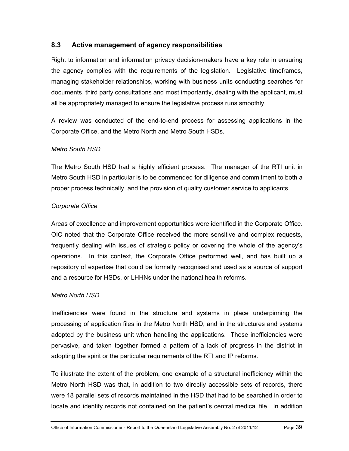## **8.3 Active management of agency responsibilities**

Right to information and information privacy decision-makers have a key role in ensuring the agency complies with the requirements of the legislation. Legislative timeframes, managing stakeholder relationships, working with business units conducting searches for documents, third party consultations and most importantly, dealing with the applicant, must all be appropriately managed to ensure the legislative process runs smoothly.

A review was conducted of the end-to-end process for assessing applications in the Corporate Office, and the Metro North and Metro South HSDs.

#### *Metro South HSD*

The Metro South HSD had a highly efficient process. The manager of the RTI unit in Metro South HSD in particular is to be commended for diligence and commitment to both a proper process technically, and the provision of quality customer service to applicants.

## *Corporate Office*

Areas of excellence and improvement opportunities were identified in the Corporate Office. OIC noted that the Corporate Office received the more sensitive and complex requests, frequently dealing with issues of strategic policy or covering the whole of the agency's operations. In this context, the Corporate Office performed well, and has built up a repository of expertise that could be formally recognised and used as a source of support and a resource for HSDs, or LHHNs under the national health reforms.

#### *Metro North HSD*

Inefficiencies were found in the structure and systems in place underpinning the processing of application files in the Metro North HSD, and in the structures and systems adopted by the business unit when handling the applications. These inefficiencies were pervasive, and taken together formed a pattern of a lack of progress in the district in adopting the spirit or the particular requirements of the RTI and IP reforms.

To illustrate the extent of the problem, one example of a structural inefficiency within the Metro North HSD was that, in addition to two directly accessible sets of records, there were 18 parallel sets of records maintained in the HSD that had to be searched in order to locate and identify records not contained on the patient's central medical file. In addition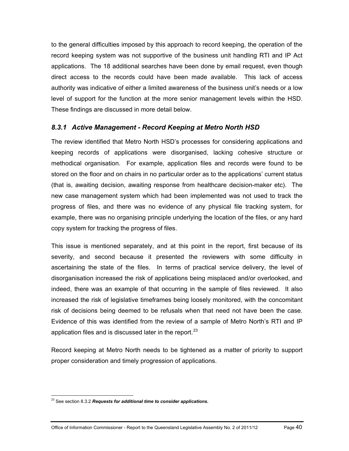to the general difficulties imposed by this approach to record keeping, the operation of the record keeping system was not supportive of the business unit handling RTI and IP Act applications. The 18 additional searches have been done by email request, even though direct access to the records could have been made available. This lack of access authority was indicative of either a limited awareness of the business unit's needs or a low level of support for the function at the more senior management levels within the HSD. These findings are discussed in more detail below.

## *8.3.1 Active Management - Record Keeping at Metro North HSD*

The review identified that Metro North HSD's processes for considering applications and keeping records of applications were disorganised, lacking cohesive structure or methodical organisation. For example, application files and records were found to be stored on the floor and on chairs in no particular order as to the applications' current status (that is, awaiting decision, awaiting response from healthcare decision-maker etc). The new case management system which had been implemented was not used to track the progress of files, and there was no evidence of any physical file tracking system, for example, there was no organising principle underlying the location of the files, or any hard copy system for tracking the progress of files.

This issue is mentioned separately, and at this point in the report, first because of its severity, and second because it presented the reviewers with some difficulty in ascertaining the state of the files. In terms of practical service delivery, the level of disorganisation increased the risk of applications being misplaced and/or overlooked, and indeed, there was an example of that occurring in the sample of files reviewed. It also increased the risk of legislative timeframes being loosely monitored, with the concomitant risk of decisions being deemed to be refusals when that need not have been the case. Evidence of this was identified from the review of a sample of Metro North's RTI and IP application files and is discussed later in the report. $^{23}$  $^{23}$  $^{23}$ 

Record keeping at Metro North needs to be tightened as a matter of priority to support proper consideration and timely progression of applications.

<span id="page-45-0"></span> $\overline{a}$ 23 See section 8.3.2 *Requests for additional time to consider applications.*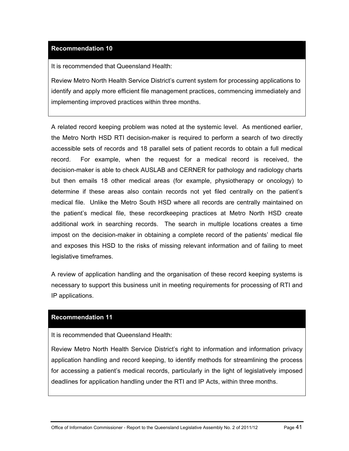## **[Recommendation 10](#page-10-1)**

It is recommended that Queensland Health:

Review Metro North Health Service District's current system for processing applications to identify and apply more efficient file management practices, commencing immediately and implementing improved practices within three months.

A related record keeping problem was noted at the systemic level. As mentioned earlier, the Metro North HSD RTI decision-maker is required to perform a search of two directly accessible sets of records and 18 parallel sets of patient records to obtain a full medical record. For example, when the request for a medical record is received, the decision-maker is able to check AUSLAB and CERNER for pathology and radiology charts but then emails 18 other medical areas (for example, physiotherapy or oncology) to determine if these areas also contain records not yet filed centrally on the patient's medical file. Unlike the Metro South HSD where all records are centrally maintained on the patient's medical file, these recordkeeping practices at Metro North HSD create additional work in searching records. The search in multiple locations creates a time impost on the decision-maker in obtaining a complete record of the patients' medical file and exposes this HSD to the risks of missing relevant information and of failing to meet legislative timeframes.

A review of application handling and the organisation of these record keeping systems is necessary to support this business unit in meeting requirements for processing of RTI and IP applications.

#### **[Recommendation 11](#page-10-2)**

It is recommended that Queensland Health:

Review Metro North Health Service District's right to information and information privacy application handling and record keeping, to identify methods for streamlining the process for accessing a patient's medical records, particularly in the light of legislatively imposed deadlines for application handling under the RTI and IP Acts, within three months.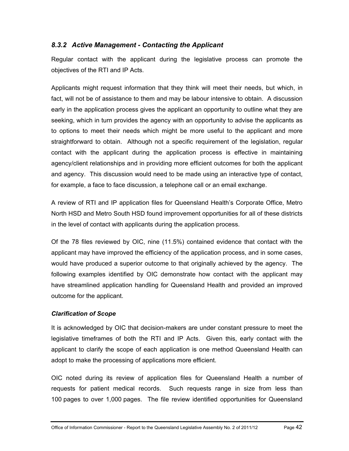## *8.3.2 Active Management - Contacting the Applicant*

Regular contact with the applicant during the legislative process can promote the objectives of the RTI and IP Acts.

Applicants might request information that they think will meet their needs, but which, in fact, will not be of assistance to them and may be labour intensive to obtain. A discussion early in the application process gives the applicant an opportunity to outline what they are seeking, which in turn provides the agency with an opportunity to advise the applicants as to options to meet their needs which might be more useful to the applicant and more straightforward to obtain. Although not a specific requirement of the legislation, regular contact with the applicant during the application process is effective in maintaining agency/client relationships and in providing more efficient outcomes for both the applicant and agency. This discussion would need to be made using an interactive type of contact, for example, a face to face discussion, a telephone call or an email exchange.

A review of RTI and IP application files for Queensland Health's Corporate Office, Metro North HSD and Metro South HSD found improvement opportunities for all of these districts in the level of contact with applicants during the application process.

Of the 78 files reviewed by OIC, nine (11.5%) contained evidence that contact with the applicant may have improved the efficiency of the application process, and in some cases, would have produced a superior outcome to that originally achieved by the agency. The following examples identified by OIC demonstrate how contact with the applicant may have streamlined application handling for Queensland Health and provided an improved outcome for the applicant.

#### *Clarification of Scope*

It is acknowledged by OIC that decision-makers are under constant pressure to meet the legislative timeframes of both the RTI and IP Acts. Given this, early contact with the applicant to clarify the scope of each application is one method Queensland Health can adopt to make the processing of applications more efficient.

OIC noted during its review of application files for Queensland Health a number of requests for patient medical records. Such requests range in size from less than 100 pages to over 1,000 pages. The file review identified opportunities for Queensland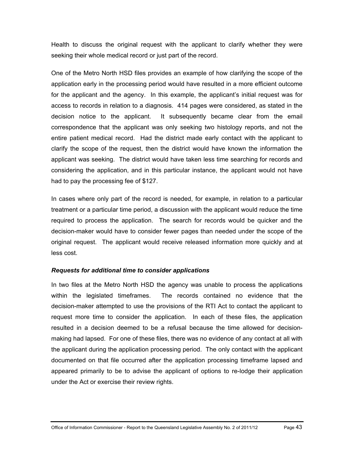Health to discuss the original request with the applicant to clarify whether they were seeking their whole medical record or just part of the record.

One of the Metro North HSD files provides an example of how clarifying the scope of the application early in the processing period would have resulted in a more efficient outcome for the applicant and the agency. In this example, the applicant's initial request was for access to records in relation to a diagnosis. 414 pages were considered, as stated in the decision notice to the applicant. It subsequently became clear from the email correspondence that the applicant was only seeking two histology reports, and not the entire patient medical record. Had the district made early contact with the applicant to clarify the scope of the request, then the district would have known the information the applicant was seeking. The district would have taken less time searching for records and considering the application, and in this particular instance, the applicant would not have had to pay the processing fee of \$127.

In cases where only part of the record is needed, for example, in relation to a particular treatment or a particular time period, a discussion with the applicant would reduce the time required to process the application. The search for records would be quicker and the decision-maker would have to consider fewer pages than needed under the scope of the original request. The applicant would receive released information more quickly and at less cost.

#### *Requests for additional time to consider applications*

In two files at the Metro North HSD the agency was unable to process the applications within the legislated timeframes. The records contained no evidence that the decision-maker attempted to use the provisions of the RTI Act to contact the applicant to request more time to consider the application. In each of these files, the application resulted in a decision deemed to be a refusal because the time allowed for decisionmaking had lapsed. For one of these files, there was no evidence of any contact at all with the applicant during the application processing period. The only contact with the applicant documented on that file occurred after the application processing timeframe lapsed and appeared primarily to be to advise the applicant of options to re-lodge their application under the Act or exercise their review rights.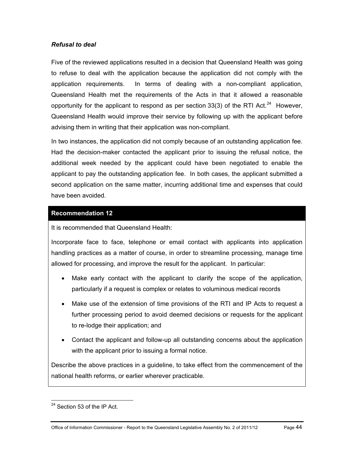#### *Refusal to deal*

Five of the reviewed applications resulted in a decision that Queensland Health was going to refuse to deal with the application because the application did not comply with the application requirements. In terms of dealing with a non-compliant application, Queensland Health met the requirements of the Acts in that it allowed a reasonable opportunity for the applicant to respond as per section 33(3) of the RTI Act.<sup>[24](#page-45-0)</sup> However, Queensland Health would improve their service by following up with the applicant before advising them in writing that their application was non-compliant.

In two instances, the application did not comply because of an outstanding application fee. Had the decision-maker contacted the applicant prior to issuing the refusal notice, the additional week needed by the applicant could have been negotiated to enable the applicant to pay the outstanding application fee. In both cases, the applicant submitted a second application on the same matter, incurring additional time and expenses that could have been avoided.

#### **[Recommendation 12](#page-10-3)**

It is recommended that Queensland Health:

Incorporate face to face, telephone or email contact with applicants into application handling practices as a matter of course, in order to streamline processing, manage time allowed for processing, and improve the result for the applicant. In particular:

- Make early contact with the applicant to clarify the scope of the application, particularly if a request is complex or relates to voluminous medical records
- Make use of the extension of time provisions of the RTI and IP Acts to request a further processing period to avoid deemed decisions or requests for the applicant to re-lodge their application; and
- Contact the applicant and follow-up all outstanding concerns about the application with the applicant prior to issuing a formal notice.

Describe the above practices in a guideline, to take effect from the commencement of the national health reforms, or earlier wherever practicable.

<span id="page-49-0"></span> $24$  Section 53 of the IP Act.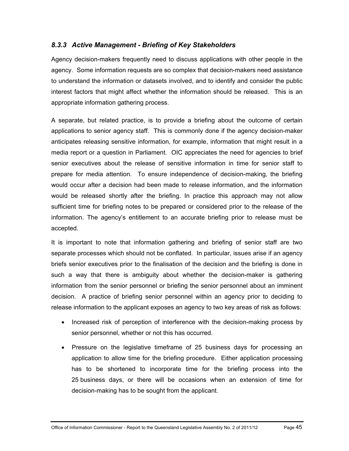## *8.3.3 Active Management - Briefing of Key Stakeholders*

Agency decision-makers frequently need to discuss applications with other people in the agency. Some information requests are so complex that decision-makers need assistance to understand the information or datasets involved, and to identify and consider the public interest factors that might affect whether the information should be released. This is an appropriate information gathering process.

A separate, but related practice, is to provide a briefing about the outcome of certain applications to senior agency staff. This is commonly done if the agency decision-maker anticipates releasing sensitive information, for example, information that might result in a media report or a question in Parliament. OIC appreciates the need for agencies to brief senior executives about the release of sensitive information in time for senior staff to prepare for media attention. To ensure independence of decision-making, the briefing would occur after a decision had been made to release information, and the information would be released shortly after the briefing. In practice this approach may not allow sufficient time for briefing notes to be prepared or considered prior to the release of the information. The agency's entitlement to an accurate briefing prior to release must be accepted.

It is important to note that information gathering and briefing of senior staff are two separate processes which should not be conflated. In particular, issues arise if an agency briefs senior executives prior to the finalisation of the decision and the briefing is done in such a way that there is ambiguity about whether the decision-maker is gathering information from the senior personnel or briefing the senior personnel about an imminent decision. A practice of briefing senior personnel within an agency prior to deciding to release information to the applicant exposes an agency to two key areas of risk as follows:

- Increased risk of perception of interference with the decision-making process by senior personnel, whether or not this has occurred.
- Pressure on the legislative timeframe of 25 business days for processing an application to allow time for the briefing procedure. Either application processing has to be shortened to incorporate time for the briefing process into the 25 business days, or there will be occasions when an extension of time for decision-making has to be sought from the applicant.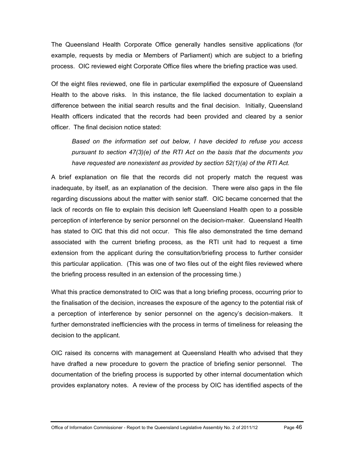The Queensland Health Corporate Office generally handles sensitive applications (for example, requests by media or Members of Parliament) which are subject to a briefing process. OIC reviewed eight Corporate Office files where the briefing practice was used.

Of the eight files reviewed, one file in particular exemplified the exposure of Queensland Health to the above risks. In this instance, the file lacked documentation to explain a difference between the initial search results and the final decision. Initially, Queensland Health officers indicated that the records had been provided and cleared by a senior officer. The final decision notice stated:

*Based on the information set out below, I have decided to refuse you access pursuant to section 47(3)(e) of the RTI Act on the basis that the documents you have requested are nonexistent as provided by section 52(1)(a) of the RTI Act.*

A brief explanation on file that the records did not properly match the request was inadequate, by itself, as an explanation of the decision. There were also gaps in the file regarding discussions about the matter with senior staff. OIC became concerned that the lack of records on file to explain this decision left Queensland Health open to a possible perception of interference by senior personnel on the decision-maker. Queensland Health has stated to OIC that this did not occur. This file also demonstrated the time demand associated with the current briefing process, as the RTI unit had to request a time extension from the applicant during the consultation/briefing process to further consider this particular application. (This was one of two files out of the eight files reviewed where the briefing process resulted in an extension of the processing time.)

What this practice demonstrated to OIC was that a long briefing process, occurring prior to the finalisation of the decision, increases the exposure of the agency to the potential risk of a perception of interference by senior personnel on the agency's decision-makers. It further demonstrated inefficiencies with the process in terms of timeliness for releasing the decision to the applicant.

OIC raised its concerns with management at Queensland Health who advised that they have drafted a new procedure to govern the practice of briefing senior personnel. The documentation of the briefing process is supported by other internal documentation which provides explanatory notes. A review of the process by OIC has identified aspects of the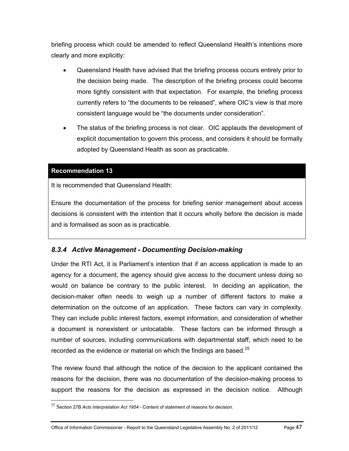briefing process which could be amended to reflect Queensland Health's intentions more clearly and more explicitly:

- Queensland Health have advised that the briefing process occurs entirely prior to the decision being made. The description of the briefing process could become more tightly consistent with that expectation. For example, the briefing process currently refers to "the documents to be released", where OIC's view is that more consistent language would be "the documents under consideration".
- The status of the briefing process is not clear. OIC applauds the development of explicit documentation to govern this process, and considers it should be formally adopted by Queensland Health as soon as practicable.

#### **[Recommendation 13](#page-11-0)**

 $\overline{a}$ 

It is recommended that Queensland Health:

Ensure the documentation of the process for briefing senior management about access decisions is consistent with the intention that it occurs wholly before the decision is made and is formalised as soon as is practicable.

## *8.3.4 Active Management - Documenting Decision-making*

Under the RTI Act, it is Parliament's intention that if an access application is made to an agency for a document, the agency should give access to the document unless doing so would on balance be contrary to the public interest. In deciding an application, the decision-maker often needs to weigh up a number of different factors to make a determination on the outcome of an application. These factors can vary in complexity. They can include public interest factors, exempt information, and consideration of whether a document is nonexistent or unlocatable. These factors can be informed through a number of sources, including communications with departmental staff, which need to be recorded as the evidence or material on which the findings are based. $^{25}$  $^{25}$  $^{25}$ 

The review found that although the notice of the decision to the applicant contained the reasons for the decision, there was no documentation of the decision-making process to support the reasons for the decision as expressed in the decision notice. Although

<span id="page-52-0"></span><sup>25</sup> Section 27B *Acts Interpretation Act 1954* - Content of statement of reasons for decision.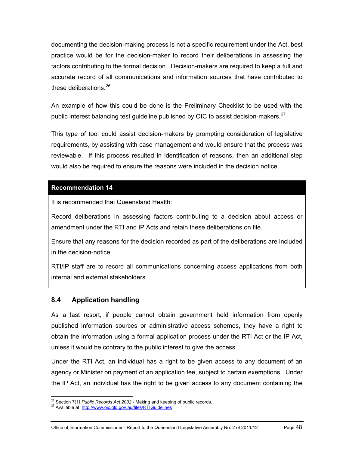documenting the decision-making process is not a specific requirement under the Act, best practice would be for the decision-maker to record their deliberations in assessing the factors contributing to the formal decision. Decision-makers are required to keep a full and accurate record of all communications and information sources that have contributed to these deliberations.  $26$ 

An example of how this could be done is the Preliminary Checklist to be used with the public interest balancing test quideline published by OIC to assist decision-makers.  $27$ 

This type of tool could assist decision-makers by prompting consideration of legislative requirements, by assisting with case management and would ensure that the process was reviewable. If this process resulted in identification of reasons, then an additional step would also be required to ensure the reasons were included in the decision notice.

## **[Recommendation 14](#page-11-1)**

It is recommended that Queensland Health:

Record deliberations in assessing factors contributing to a decision about access or amendment under the RTI and IP Acts and retain these deliberations on file.

Ensure that any reasons for the decision recorded as part of the deliberations are included in the decision-notice.

RTI/IP staff are to record all communications concerning access applications from both internal and external stakeholders.

## **8.4 Application handling**

As a last resort, if people cannot obtain government held information from openly published information sources or administrative access schemes, they have a right to obtain the information using a formal application process under the RTI Act or the IP Act, unless it would be contrary to the public interest to give the access.

Under the RTI Act, an individual has a right to be given access to any document of an agency or Minister on payment of an application fee, subject to certain exemptions. Under the IP Act, an individual has the right to be given access to any document containing the

 $\overline{a}$ <sup>26</sup> Section 7(1*) Public Records Act 2002* - Making and keeping of public records.<br><sup>27</sup> Available at <u>http://www.oic.qld.gov.au/files/RTIGuidelines</u>

<span id="page-53-1"></span><span id="page-53-0"></span>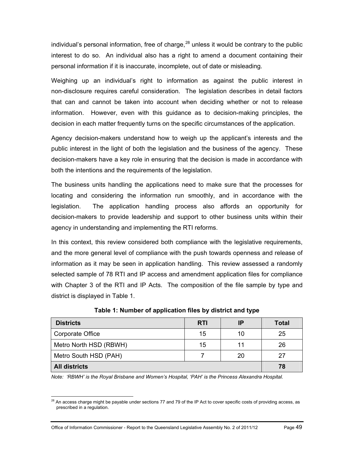individual's personal information, free of charge,  $28$  unless it would be contrary to the public interest to do so. An individual also has a right to amend a document containing their personal information if it is inaccurate, incomplete, out of date or misleading.

Weighing up an individual's right to information as against the public interest in non-disclosure requires careful consideration. The legislation describes in detail factors that can and cannot be taken into account when deciding whether or not to release information. However, even with this guidance as to decision-making principles, the decision in each matter frequently turns on the specific circumstances of the application.

Agency decision-makers understand how to weigh up the applicant's interests and the public interest in the light of both the legislation and the business of the agency. These decision-makers have a key role in ensuring that the decision is made in accordance with both the intentions and the requirements of the legislation.

The business units handling the applications need to make sure that the processes for locating and considering the information run smoothly, and in accordance with the legislation. The application handling process also affords an opportunity for decision-makers to provide leadership and support to other business units within their agency in understanding and implementing the RTI reforms.

In this context, this review considered both compliance with the legislative requirements, and the more general level of compliance with the push towards openness and release of information as it may be seen in application handling. This review assessed a randomly selected sample of 78 RTI and IP access and amendment application files for compliance with Chapter 3 of the RTI and IP Acts. The composition of the file sample by type and district is displayed in Table 1.

| <b>Districts</b>       | <b>RTI</b> | IP | <b>Total</b> |
|------------------------|------------|----|--------------|
| Corporate Office       | 15         | 10 | 25           |
| Metro North HSD (RBWH) | 15         | 11 | 26           |
| Metro South HSD (PAH)  |            | 20 | 27           |
| <b>All districts</b>   |            |    | 78           |

**Table 1: Number of application files by district and type** 

*Note: 'RBWH' is the Royal Brisbane and Women's Hospital, 'PAH' is the Princess Alexandra Hospital.* 

<span id="page-54-0"></span> $\overline{a}$  $^{28}$  An access charge might be payable under sections 77 and 79 of the IP Act to cover specific costs of providing access, as prescribed in a regulation.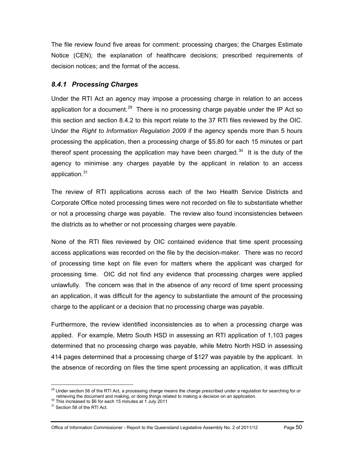The file review found five areas for comment: processing charges; the Charges Estimate Notice (CEN); the explanation of healthcare decisions; prescribed requirements of decision notices; and the format of the access.

## *8.4.1 Processing Charges*

Under the RTI Act an agency may impose a processing charge in relation to an access application for a document.<sup>[29](#page-54-0)</sup> There is no processing charge payable under the IP Act so this section and section 8.4.2 to this report relate to the 37 RTI files reviewed by the OIC. Under the *Right to Information Regulation 2009* if the agency spends more than 5 hours processing the application, then a processing charge of \$5.80 for each 15 minutes or part thereof spent processing the application may have been charged.<sup>30</sup> It is the duty of the agency to minimise any charges payable by the applicant in relation to an access application.<sup>[31](#page-55-1)</sup>

The review of RTI applications across each of the two Health Service Districts and Corporate Office noted processing times were not recorded on file to substantiate whether or not a processing charge was payable. The review also found inconsistencies between the districts as to whether or not processing charges were payable.

None of the RTI files reviewed by OIC contained evidence that time spent processing access applications was recorded on the file by the decision-maker. There was no record of processing time kept on file even for matters where the applicant was charged for processing time. OIC did not find any evidence that processing charges were applied unlawfully. The concern was that in the absence of any record of time spent processing an application, it was difficult for the agency to substantiate the amount of the processing charge to the applicant or a decision that no processing charge was payable.

Furthermore, the review identified inconsistencies as to when a processing charge was applied. For example, Metro South HSD in assessing an RTI application of 1,103 pages determined that no processing charge was payable, while Metro North HSD in assessing 414 pages determined that a processing charge of \$127 was payable by the applicant. In the absence of recording on files the time spent processing an application, it was difficult

<sup>&</sup>lt;sup>29</sup> Under section 56 of the RTI Act, a processing charge means the charge prescribed under a regulation for searching for or retrieving the document and making, or doing things related to making a decision on an application. 30 This increased to \$6 for each 15 minutes at 1 July 2011

<span id="page-55-1"></span><span id="page-55-0"></span><sup>&</sup>lt;sup>31</sup> Section 58 of the RTI Act.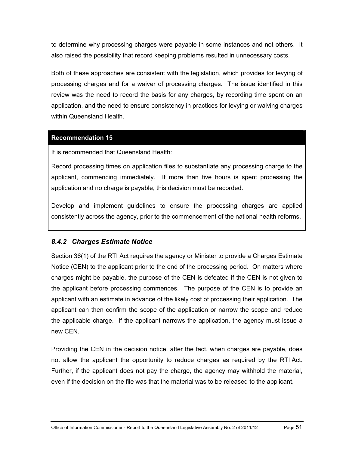to determine why processing charges were payable in some instances and not others. It also raised the possibility that record keeping problems resulted in unnecessary costs.

Both of these approaches are consistent with the legislation, which provides for levying of processing charges and for a waiver of processing charges. The issue identified in this review was the need to record the basis for any charges, by recording time spent on an application, and the need to ensure consistency in practices for levying or waiving charges within Queensland Health.

## **[Recommendation 15](#page-11-2)**

It is recommended that Queensland Health:

Record processing times on application files to substantiate any processing charge to the applicant, commencing immediately. If more than five hours is spent processing the application and no charge is payable, this decision must be recorded.

Develop and implement guidelines to ensure the processing charges are applied consistently across the agency, prior to the commencement of the national health reforms.

## *8.4.2 Charges Estimate Notice*

Section 36(1) of the RTI Act requires the agency or Minister to provide a Charges Estimate Notice (CEN) to the applicant prior to the end of the processing period. On matters where charges might be payable, the purpose of the CEN is defeated if the CEN is not given to the applicant before processing commences. The purpose of the CEN is to provide an applicant with an estimate in advance of the likely cost of processing their application. The applicant can then confirm the scope of the application or narrow the scope and reduce the applicable charge. If the applicant narrows the application, the agency must issue a new CEN.

Providing the CEN in the decision notice, after the fact, when charges are payable, does not allow the applicant the opportunity to reduce charges as required by the RTI Act. Further, if the applicant does not pay the charge, the agency may withhold the material, even if the decision on the file was that the material was to be released to the applicant.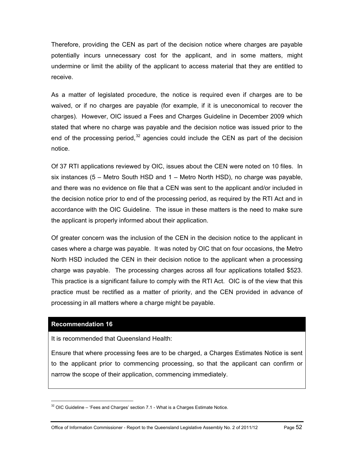Therefore, providing the CEN as part of the decision notice where charges are payable potentially incurs unnecessary cost for the applicant, and in some matters, might undermine or limit the ability of the applicant to access material that they are entitled to receive.

As a matter of legislated procedure, the notice is required even if charges are to be waived, or if no charges are payable (for example, if it is uneconomical to recover the charges). However, OIC issued a Fees and Charges Guideline in December 2009 which stated that where no charge was payable and the decision notice was issued prior to the end of the processing period,  $32$  agencies could include the CEN as part of the decision notice.

Of 37 RTI applications reviewed by OIC, issues about the CEN were noted on 10 files. In six instances (5 – Metro South HSD and 1 – Metro North HSD), no charge was payable, and there was no evidence on file that a CEN was sent to the applicant and/or included in the decision notice prior to end of the processing period, as required by the RTI Act and in accordance with the OIC Guideline. The issue in these matters is the need to make sure the applicant is properly informed about their application.

Of greater concern was the inclusion of the CEN in the decision notice to the applicant in cases where a charge was payable. It was noted by OIC that on four occasions, the Metro North HSD included the CEN in their decision notice to the applicant when a processing charge was payable. The processing charges across all four applications totalled \$523. This practice is a significant failure to comply with the RTI Act. OIC is of the view that this practice must be rectified as a matter of priority, and the CEN provided in advance of processing in all matters where a charge might be payable.

#### **[Recommendation 16](#page-11-3)**

<span id="page-57-0"></span> $\overline{a}$ 

It is recommended that Queensland Health:

Ensure that where processing fees are to be charged, a Charges Estimates Notice is sent to the applicant prior to commencing processing, so that the applicant can confirm or narrow the scope of their application, commencing immediately.

 $32$  OIC Guideline – 'Fees and Charges' section 7.1 - What is a Charges Estimate Notice.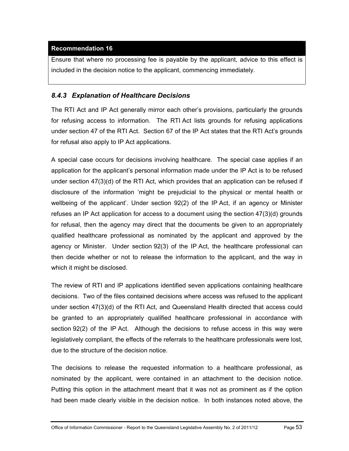## **[Recommendation 16](#page-11-3)**

Ensure that where no processing fee is payable by the applicant, advice to this effect is included in the decision notice to the applicant, commencing immediately.

## *8.4.3 Explanation of Healthcare Decisions*

The RTI Act and IP Act generally mirror each other's provisions, particularly the grounds for refusing access to information. The RTI Act lists grounds for refusing applications under section 47 of the RTI Act. Section 67 of the IP Act states that the RTI Act's grounds for refusal also apply to IP Act applications.

A special case occurs for decisions involving healthcare. The special case applies if an application for the applicant's personal information made under the IP Act is to be refused under section 47(3)(d) of the RTI Act, which provides that an application can be refused if disclosure of the information 'might be prejudicial to the physical or mental health or wellbeing of the applicant'. Under section 92(2) of the IP Act, if an agency or Minister refuses an IP Act application for access to a document using the section 47(3)(d) grounds for refusal, then the agency may direct that the documents be given to an appropriately qualified healthcare professional as nominated by the applicant and approved by the agency or Minister. Under section 92(3) of the IP Act, the healthcare professional can then decide whether or not to release the information to the applicant, and the way in which it might be disclosed.

The review of RTI and IP applications identified seven applications containing healthcare decisions. Two of the files contained decisions where access was refused to the applicant under section 47(3)(d) of the RTI Act, and Queensland Health directed that access could be granted to an appropriately qualified healthcare professional in accordance with section 92(2) of the IP Act. Although the decisions to refuse access in this way were legislatively compliant, the effects of the referrals to the healthcare professionals were lost, due to the structure of the decision notice.

The decisions to release the requested information to a healthcare professional, as nominated by the applicant, were contained in an attachment to the decision notice. Putting this option in the attachment meant that it was not as prominent as if the option had been made clearly visible in the decision notice. In both instances noted above, the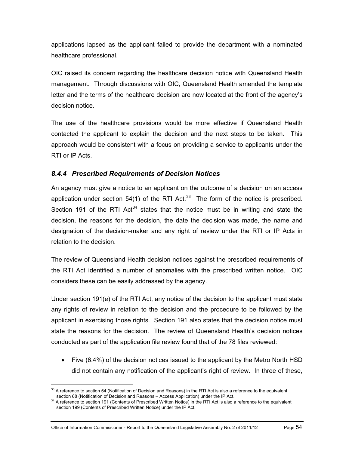applications lapsed as the applicant failed to provide the department with a nominated healthcare professional.

OIC raised its concern regarding the healthcare decision notice with Queensland Health management. Through discussions with OIC, Queensland Health amended the template letter and the terms of the healthcare decision are now located at the front of the agency's decision notice.

The use of the healthcare provisions would be more effective if Queensland Health contacted the applicant to explain the decision and the next steps to be taken. This approach would be consistent with a focus on providing a service to applicants under the RTI or IP Acts.

## *8.4.4 Prescribed Requirements of Decision Notices*

An agency must give a notice to an applicant on the outcome of a decision on an access application under section 54(1) of the RTI Act. $33$  The form of the notice is prescribed. Section 191 of the RTI Act<sup>34</sup> states that the notice must be in writing and state the decision, the reasons for the decision, the date the decision was made, the name and designation of the decision-maker and any right of review under the RTI or IP Acts in relation to the decision.

The review of Queensland Health decision notices against the prescribed requirements of the RTI Act identified a number of anomalies with the prescribed written notice. OIC considers these can be easily addressed by the agency.

Under section 191(e) of the RTI Act, any notice of the decision to the applicant must state any rights of review in relation to the decision and the procedure to be followed by the applicant in exercising those rights. Section 191 also states that the decision notice must state the reasons for the decision. The review of Queensland Health's decision notices conducted as part of the application file review found that of the 78 files reviewed:

• Five (6.4%) of the decision notices issued to the applicant by the Metro North HSD did not contain any notification of the applicant's right of review. In three of these,

<span id="page-59-1"></span> $\overline{a}$  $33$  A reference to section 54 (Notification of Decision and Reasons) in the RTI Act is also a reference to the equivalent section 68 (Notification of Decision and Reasons – Access Application) under the IP Act.

<span id="page-59-0"></span><sup>&</sup>lt;sup>34</sup> A reference to section 191 (Contents of Prescribed Written Notice) in the RTI Act is also a reference to the equivalent section 199 (Contents of Prescribed Written Notice) under the IP Act.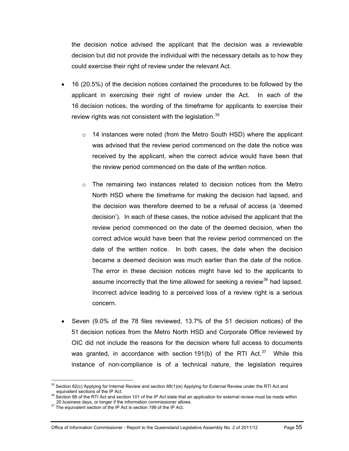the decision notice advised the applicant that the decision was a reviewable decision but did not provide the individual with the necessary details as to how they could exercise their right of review under the relevant Act.

- 16 (20.5%) of the decision notices contained the procedures to be followed by the applicant in exercising their right of review under the Act. In each of the 16 decision notices, the wording of the timeframe for applicants to exercise their review rights was not consistent with the legislation.<sup>[35](#page-59-1)</sup>
	- o 14 instances were noted (from the Metro South HSD) where the applicant was advised that the review period commenced on the date the notice was received by the applicant, when the correct advice would have been that the review period commenced on the date of the written notice.
	- $\circ$  The remaining two instances related to decision notices from the Metro North HSD where the timeframe for making the decision had lapsed, and the decision was therefore deemed to be a refusal of access (a 'deemed decision'). In each of these cases, the notice advised the applicant that the review period commenced on the date of the deemed decision, when the correct advice would have been that the review period commenced on the date of the written notice. In both cases, the date when the decision became a deemed decision was much earlier than the date of the notice. The error in these decision notices might have led to the applicants to assume incorrectly that the time allowed for seeking a review $36$  had lapsed. Incorrect advice leading to a perceived loss of a review right is a serious concern.
- Seven (9.0% of the 78 files reviewed, 13.7% of the 51 decision notices) of the 51 decision notices from the Metro North HSD and Corporate Office reviewed by OIC did not include the reasons for the decision where full access to documents was granted, in accordance with section 191(b) of the RTI Act. $37$  While this instance of non-compliance is of a technical nature, the legislation requires

<sup>&</sup>lt;sup>35</sup> Section 82(c) Applying for Internal Review and section 88(1)(e) Applying for External Review under the RTI Act and<br>  $\therefore$  equivalent sections of the IP Act.

<span id="page-60-0"></span>equival section 88 of the RTI Act and section 101 of the IP Act state that an application for external review must be made within<br>20 business days, or longer if the information commissioner allows.

<span id="page-60-2"></span><span id="page-60-1"></span><sup>&</sup>lt;sup>37</sup> The equivalent section of the IP Act is section 199 of the IP Act.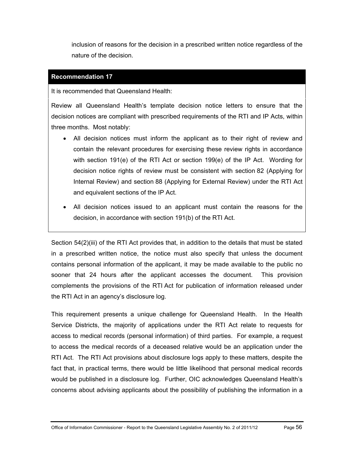inclusion of reasons for the decision in a prescribed written notice regardless of the nature of the decision.

#### **[Recommendation 17](#page-12-0)**

It is recommended that Queensland Health:

Review all Queensland Health's template decision notice letters to ensure that the decision notices are compliant with prescribed requirements of the RTI and IP Acts, within three months. Most notably:

- All decision notices must inform the applicant as to their right of review and contain the relevant procedures for exercising these review rights in accordance with section 191(e) of the RTI Act or section 199(e) of the IP Act. Wording for decision notice rights of review must be consistent with section 82 (Applying for Internal Review) and section 88 (Applying for External Review) under the RTI Act and equivalent sections of the IP Act.
- All decision notices issued to an applicant must contain the reasons for the decision, in accordance with section 191(b) of the RTI Act.

Section 54(2)(iii) of the RTI Act provides that, in addition to the details that must be stated in a prescribed written notice, the notice must also specify that unless the document contains personal information of the applicant, it may be made available to the public no sooner that 24 hours after the applicant accesses the document. This provision complements the provisions of the RTI Act for publication of information released under the RTI Act in an agency's disclosure log.

This requirement presents a unique challenge for Queensland Health. In the Health Service Districts, the majority of applications under the RTI Act relate to requests for access to medical records (personal information) of third parties. For example, a request to access the medical records of a deceased relative would be an application under the RTI Act. The RTI Act provisions about disclosure logs apply to these matters, despite the fact that, in practical terms, there would be little likelihood that personal medical records would be published in a disclosure log. Further, OIC acknowledges Queensland Health's concerns about advising applicants about the possibility of publishing the information in a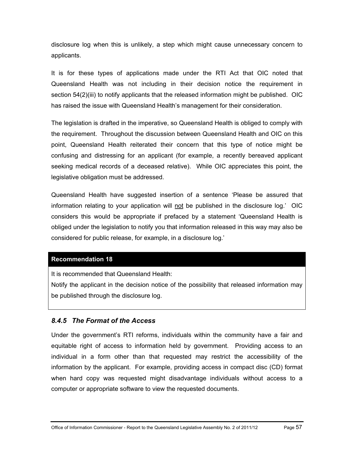disclosure log when this is unlikely, a step which might cause unnecessary concern to applicants.

It is for these types of applications made under the RTI Act that OIC noted that Queensland Health was not including in their decision notice the requirement in section 54(2)(iii) to notify applicants that the released information might be published. OIC has raised the issue with Queensland Health's management for their consideration.

The legislation is drafted in the imperative, so Queensland Health is obliged to comply with the requirement. Throughout the discussion between Queensland Health and OIC on this point, Queensland Health reiterated their concern that this type of notice might be confusing and distressing for an applicant (for example, a recently bereaved applicant seeking medical records of a deceased relative). While OIC appreciates this point, the legislative obligation must be addressed.

Queensland Health have suggested insertion of a sentence 'Please be assured that information relating to your application will not be published in the disclosure log.' OIC considers this would be appropriate if prefaced by a statement 'Queensland Health is obliged under the legislation to notify you that information released in this way may also be considered for public release, for example, in a disclosure log.'

#### **[Recommendation 18](#page-12-1)**

It is recommended that Queensland Health:

Notify the applicant in the decision notice of the possibility that released information may be published through the disclosure log.

## *8.4.5 The Format of the Access*

Under the government's RTI reforms, individuals within the community have a fair and equitable right of access to information held by government. Providing access to an individual in a form other than that requested may restrict the accessibility of the information by the applicant. For example, providing access in compact disc (CD) format when hard copy was requested might disadvantage individuals without access to a computer or appropriate software to view the requested documents.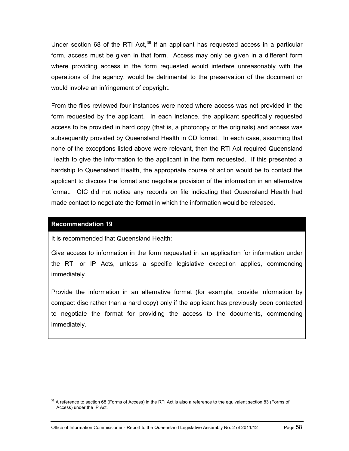Under section 68 of the RTI Act,  $38$  if an applicant has requested access in a particular form, access must be given in that form. Access may only be given in a different form where providing access in the form requested would interfere unreasonably with the operations of the agency, would be detrimental to the preservation of the document or would involve an infringement of copyright.

From the files reviewed four instances were noted where access was not provided in the form requested by the applicant. In each instance, the applicant specifically requested access to be provided in hard copy (that is, a photocopy of the originals) and access was subsequently provided by Queensland Health in CD format. In each case, assuming that none of the exceptions listed above were relevant, then the RTI Act required Queensland Health to give the information to the applicant in the form requested. If this presented a hardship to Queensland Health, the appropriate course of action would be to contact the applicant to discuss the format and negotiate provision of the information in an alternative format. OIC did not notice any records on file indicating that Queensland Health had made contact to negotiate the format in which the information would be released.

#### **[Recommendation 19](#page-12-2)**

<span id="page-63-0"></span> $\overline{a}$ 

It is recommended that Queensland Health:

Give access to information in the form requested in an application for information under the RTI or IP Acts, unless a specific legislative exception applies, commencing immediately.

Provide the information in an alternative format (for example, provide information by compact disc rather than a hard copy) only if the applicant has previously been contacted to negotiate the format for providing the access to the documents, commencing immediately.

<sup>&</sup>lt;sup>38</sup> A reference to section 68 (Forms of Access) in the RTI Act is also a reference to the equivalent section 83 (Forms of Access) under the IP Act.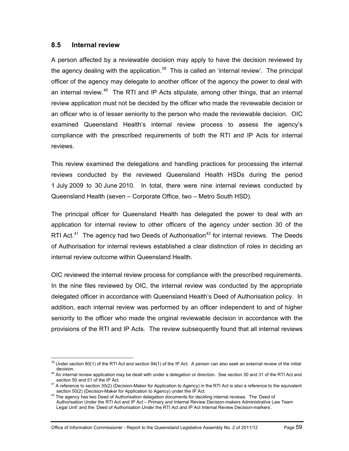## **8.5 Internal review**

A person affected by a reviewable decision may apply to have the decision reviewed by the agency dealing with the application. $39$  This is called an 'internal review'. The principal officer of the agency may delegate to another officer of the agency the power to deal with an internal review.<sup>40</sup> The RTI and IP Acts stipulate, among other things, that an internal review application must not be decided by the officer who made the reviewable decision or an officer who is of lesser seniority to the person who made the reviewable decision. OIC examined Queensland Health's internal review process to assess the agency's compliance with the prescribed requirements of both the RTI and IP Acts for internal reviews.

This review examined the delegations and handling practices for processing the internal reviews conducted by the reviewed Queensland Health HSDs during the period 1 July 2009 to 30 June 2010. In total, there were nine internal reviews conducted by Queensland Health (seven – Corporate Office, two – Metro South HSD).

The principal officer for Queensland Health has delegated the power to deal with an application for internal review to other officers of the agency under section 30 of the RTI Act.<sup>[41](#page-64-1)</sup> The agency had two Deeds of Authorisation<sup>42</sup> for internal reviews. The Deeds of Authorisation for internal reviews established a clear distinction of roles in deciding an internal review outcome within Queensland Health.

OIC reviewed the internal review process for compliance with the prescribed requirements. In the nine files reviewed by OIC, the internal review was conducted by the appropriate delegated officer in accordance with Queensland Health's Deed of Authorisation policy. In addition, each internal review was performed by an officer independent to and of higher seniority to the officer who made the original reviewable decision in accordance with the provisions of the RTI and IP Acts. The review subsequently found that all internal reviews

 $\overline{a}$ <sup>39</sup> Under section 80(1) of the RTI Act and section 94(1) of the IP Act. A person can also seek an external review of the initial

<span id="page-64-0"></span>decision.<br><sup>40</sup> An internal review application may be dealt with under a delegation or direction. See section 30 and 31 of the RTI Act and<br>section 50 and 51 of the IP Act.

<span id="page-64-1"></span><sup>&</sup>lt;sup>41</sup> A reference to section 30(2) (Decision-Maker for Application to Agency) in the RTI Act is also a reference to the equivalent section 50(2) (Decision-Maker for Application to Agency) under the IP Act.

<span id="page-64-3"></span><span id="page-64-2"></span> $42$  The agency has two Deed of Authorisation delegation documents for deciding internal reviews. The 'Deed of Authorisation Under the RTI Act and IP Act – Primary and Internal Review Decision-makers Administrative Law Team Legal Unit' and the 'Deed of Authorisation Under the RTI Act and IP Act Internal Review Decision-markers'.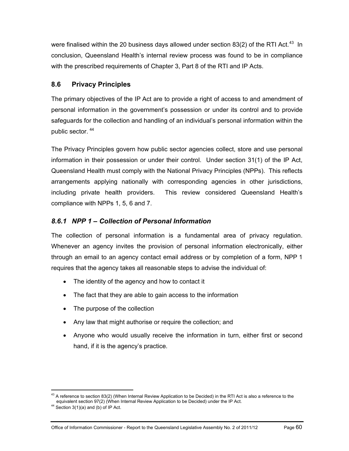were finalised within the 20 business days allowed under section 83(2) of the RTI Act.<sup>43</sup> In conclusion, Queensland Health's internal review process was found to be in compliance with the prescribed requirements of Chapter 3, Part 8 of the RTI and IP Acts.

## **8.6 Privacy Principles**

The primary objectives of the IP Act are to provide a right of access to and amendment of personal information in the government's possession or under its control and to provide safeguards for the collection and handling of an individual's personal information within the public sector. [44](#page-65-0)

The Privacy Principles govern how public sector agencies collect, store and use personal information in their possession or under their control. Under section 31(1) of the IP Act, Queensland Health must comply with the National Privacy Principles (NPPs). This reflects arrangements applying nationally with corresponding agencies in other jurisdictions, including private health providers. This review considered Queensland Health's compliance with NPPs 1, 5, 6 and 7.

## *8.6.1 NPP 1 – Collection of Personal Information*

The collection of personal information is a fundamental area of privacy regulation. Whenever an agency invites the provision of personal information electronically, either through an email to an agency contact email address or by completion of a form, NPP 1 requires that the agency takes all reasonable steps to advise the individual of:

- The identity of the agency and how to contact it
- The fact that they are able to gain access to the information
- The purpose of the collection
- Any law that might authorise or require the collection; and
- Anyone who would usually receive the information in turn, either first or second hand, if it is the agency's practice.

<span id="page-65-1"></span> $43$  A reference to section 83(2) (When Internal Review Application to be Decided) in the RTI Act is also a reference to the equivalent section 97(2) (When Internal Review Application to be Decided) under the IP Act. 44 Section 3(1)(a) and (b) of IP Act.

<span id="page-65-0"></span>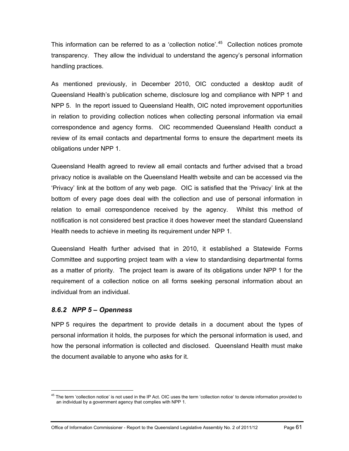This information can be referred to as a 'collection notice'. $45$  Collection notices promote transparency. They allow the individual to understand the agency's personal information handling practices.

As mentioned previously, in December 2010, OIC conducted a desktop audit of Queensland Health's publication scheme, disclosure log and compliance with NPP 1 and NPP 5. In the report issued to Queensland Health, OIC noted improvement opportunities in relation to providing collection notices when collecting personal information via email correspondence and agency forms. OIC recommended Queensland Health conduct a review of its email contacts and departmental forms to ensure the department meets its obligations under NPP 1.

Queensland Health agreed to review all email contacts and further advised that a broad privacy notice is available on the Queensland Health website and can be accessed via the 'Privacy' link at the bottom of any web page. OIC is satisfied that the 'Privacy' link at the bottom of every page does deal with the collection and use of personal information in relation to email correspondence received by the agency. Whilst this method of notification is not considered best practice it does however meet the standard Queensland Health needs to achieve in meeting its requirement under NPP 1.

Queensland Health further advised that in 2010, it established a Statewide Forms Committee and supporting project team with a view to standardising departmental forms as a matter of priority. The project team is aware of its obligations under NPP 1 for the requirement of a collection notice on all forms seeking personal information about an individual from an individual.

## *8.6.2 NPP 5 – Openness*

 $\overline{a}$ 

NPP 5 requires the department to provide details in a document about the types of personal information it holds, the purposes for which the personal information is used, and how the personal information is collected and disclosed. Queensland Health must make the document available to anyone who asks for it.

<span id="page-66-0"></span><sup>&</sup>lt;sup>45</sup> The term 'collection notice' is not used in the IP Act. OIC uses the term 'collection notice' to denote information provided to an individual by a government agency that complies with NPP 1.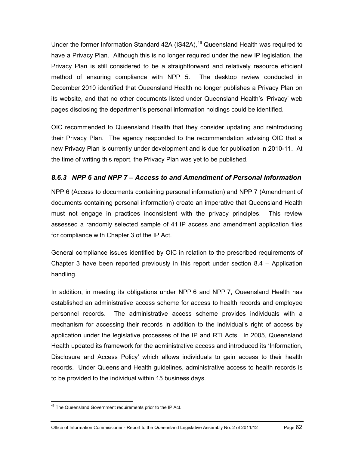Under the former Information Standard 42A (IS42A), $46$  Queensland Health was required to have a Privacy Plan. Although this is no longer required under the new IP legislation, the Privacy Plan is still considered to be a straightforward and relatively resource efficient method of ensuring compliance with NPP 5. The desktop review conducted in December 2010 identified that Queensland Health no longer publishes a Privacy Plan on its website, and that no other documents listed under Queensland Health's 'Privacy' web pages disclosing the department's personal information holdings could be identified.

OIC recommended to Queensland Health that they consider updating and reintroducing their Privacy Plan. The agency responded to the recommendation advising OIC that a new Privacy Plan is currently under development and is due for publication in 2010-11. At the time of writing this report, the Privacy Plan was yet to be published.

## *8.6.3 NPP 6 and NPP 7 – Access to and Amendment of Personal Information*

NPP 6 (Access to documents containing personal information) and NPP 7 (Amendment of documents containing personal information) create an imperative that Queensland Health must not engage in practices inconsistent with the privacy principles. This review assessed a randomly selected sample of 41 IP access and amendment application files for compliance with Chapter 3 of the IP Act.

General compliance issues identified by OIC in relation to the prescribed requirements of Chapter 3 have been reported previously in this report under section  $8.4 -$  Application handling.

In addition, in meeting its obligations under NPP 6 and NPP 7, Queensland Health has established an administrative access scheme for access to health records and employee personnel records. The administrative access scheme provides individuals with a mechanism for accessing their records in addition to the individual's right of access by application under the legislative processes of the IP and RTI Acts. In 2005, Queensland Health updated its framework for the administrative access and introduced its 'Information, Disclosure and Access Policy' which allows individuals to gain access to their health records. Under Queensland Health guidelines, administrative access to health records is to be provided to the individual within 15 business days.

 $46$  The Queensland Government requirements prior to the IP Act.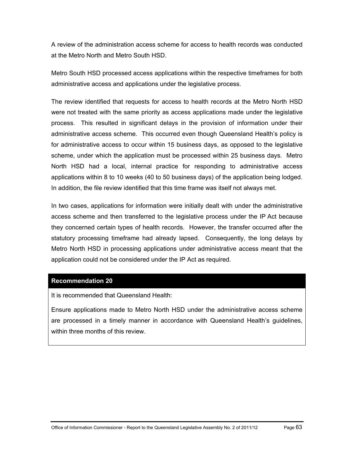A review of the administration access scheme for access to health records was conducted at the Metro North and Metro South HSD.

Metro South HSD processed access applications within the respective timeframes for both administrative access and applications under the legislative process.

The review identified that requests for access to health records at the Metro North HSD were not treated with the same priority as access applications made under the legislative process. This resulted in significant delays in the provision of information under their administrative access scheme. This occurred even though Queensland Health's policy is for administrative access to occur within 15 business days, as opposed to the legislative scheme, under which the application must be processed within 25 business days. Metro North HSD had a local, internal practice for responding to administrative access applications within 8 to 10 weeks (40 to 50 business days) of the application being lodged. In addition, the file review identified that this time frame was itself not always met.

In two cases, applications for information were initially dealt with under the administrative access scheme and then transferred to the legislative process under the IP Act because they concerned certain types of health records. However, the transfer occurred after the statutory processing timeframe had already lapsed. Consequently, the long delays by Metro North HSD in processing applications under administrative access meant that the application could not be considered under the IP Act as required.

#### **[Recommendation 20](#page-12-3)**

It is recommended that Queensland Health:

Ensure applications made to Metro North HSD under the administrative access scheme are processed in a timely manner in accordance with Queensland Health's guidelines, within three months of this review.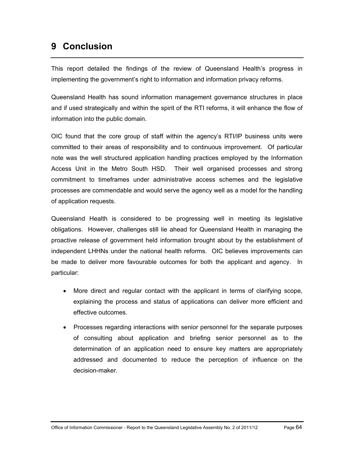# **9 Conclusion**

This report detailed the findings of the review of Queensland Health's progress in implementing the government's right to information and information privacy reforms.

Queensland Health has sound information management governance structures in place and if used strategically and within the spirit of the RTI reforms, it will enhance the flow of information into the public domain.

OIC found that the core group of staff within the agency's RTI/IP business units were committed to their areas of responsibility and to continuous improvement. Of particular note was the well structured application handling practices employed by the Information Access Unit in the Metro South HSD. Their well organised processes and strong commitment to timeframes under administrative access schemes and the legislative processes are commendable and would serve the agency well as a model for the handling of application requests.

Queensland Health is considered to be progressing well in meeting its legislative obligations. However, challenges still lie ahead for Queensland Health in managing the proactive release of government held information brought about by the establishment of independent LHHNs under the national health reforms. OIC believes improvements can be made to deliver more favourable outcomes for both the applicant and agency. In particular:

- More direct and regular contact with the applicant in terms of clarifying scope, explaining the process and status of applications can deliver more efficient and effective outcomes.
- Processes regarding interactions with senior personnel for the separate purposes of consulting about application and briefing senior personnel as to the determination of an application need to ensure key matters are appropriately addressed and documented to reduce the perception of influence on the decision-maker.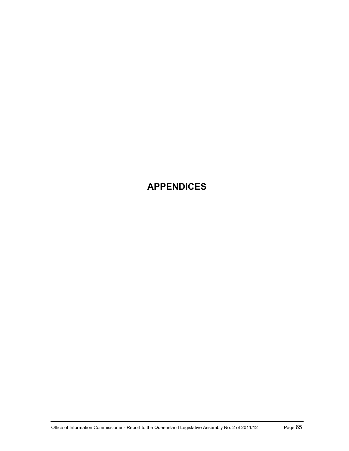# **APPENDICES**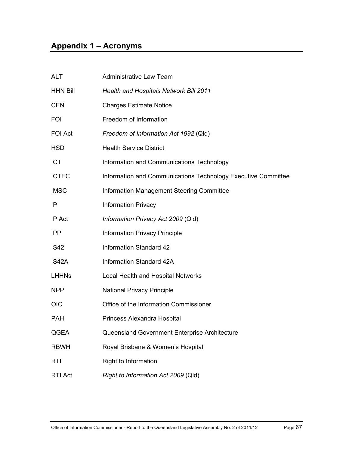# **Appendix 1 – Acronyms**

| <b>ALT</b>      | <b>Administrative Law Team</b>                                |
|-----------------|---------------------------------------------------------------|
| <b>HHN Bill</b> | Health and Hospitals Network Bill 2011                        |
| <b>CEN</b>      | <b>Charges Estimate Notice</b>                                |
| <b>FOI</b>      | Freedom of Information                                        |
| FOI Act         | Freedom of Information Act 1992 (Qld)                         |
| <b>HSD</b>      | <b>Health Service District</b>                                |
| <b>ICT</b>      | Information and Communications Technology                     |
| <b>ICTEC</b>    | Information and Communications Technology Executive Committee |
| <b>IMSC</b>     | Information Management Steering Committee                     |
| IP              | <b>Information Privacy</b>                                    |
| IP Act          | Information Privacy Act 2009 (Qld)                            |
| <b>IPP</b>      | <b>Information Privacy Principle</b>                          |
| <b>IS42</b>     | <b>Information Standard 42</b>                                |
| IS42A           | Information Standard 42A                                      |
| <b>LHHNs</b>    | Local Health and Hospital Networks                            |
| <b>NPP</b>      | <b>National Privacy Principle</b>                             |
| <b>OIC</b>      | Office of the Information Commissioner                        |
| <b>PAH</b>      | Princess Alexandra Hospital                                   |
| QGEA            | Queensland Government Enterprise Architecture                 |
| <b>RBWH</b>     | Royal Brisbane & Women's Hospital                             |
| RTI             | Right to Information                                          |
| <b>RTI Act</b>  | Right to Information Act 2009 (Qld)                           |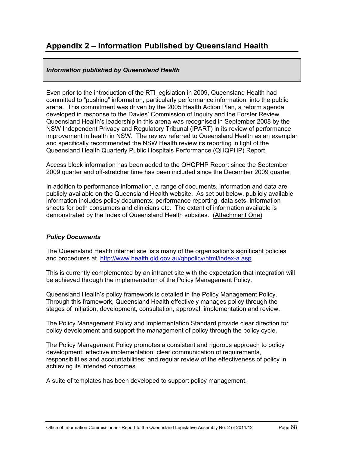## **Appendix 2 – Information Published by Queensland Health**

## *Information published by Queensland Health*

Even prior to the introduction of the RTI legislation in 2009, Queensland Health had committed to "pushing" information, particularly performance information, into the public arena. This commitment was driven by the 2005 Health Action Plan, a reform agenda developed in response to the Davies' Commission of Inquiry and the Forster Review. Queensland Health's leadership in this arena was recognised in September 2008 by the NSW Independent Privacy and Regulatory Tribunal (IPART) in its review of performance improvement in health in NSW. The review referred to Queensland Health as an exemplar and specifically recommended the NSW Health review its reporting in light of the Queensland Health Quarterly Public Hospitals Performance (QHQPHP) Report.

Access block information has been added to the QHQPHP Report since the September 2009 quarter and off-stretcher time has been included since the December 2009 quarter.

In addition to performance information, a range of documents, information and data are publicly available on the Queensland Health website. As set out below, publicly available information includes policy documents; performance reporting, data sets, information sheets for both consumers and clinicians etc. The extent of information available is demonstrated by the Index of Queensland Health subsites. (Attachment One)

## *Policy Documents*

The Queensland Health internet site lists many of the organisation's significant policies and procedures at <http://www.health.qld.gov.au/qhpolicy/html/index-a.asp>

This is currently complemented by an intranet site with the expectation that integration will be achieved through the implementation of the Policy Management Policy.

Queensland Health's policy framework is detailed in the Policy Management Policy. Through this framework, Queensland Health effectively manages policy through the stages of initiation, development, consultation, approval, implementation and review.

The Policy Management Policy and Implementation Standard provide clear direction for policy development and support the management of policy through the policy cycle.

The Policy Management Policy promotes a consistent and rigorous approach to policy development; effective implementation; clear communication of requirements, responsibilities and accountabilities; and regular review of the effectiveness of policy in achieving its intended outcomes.

A suite of templates has been developed to support policy management.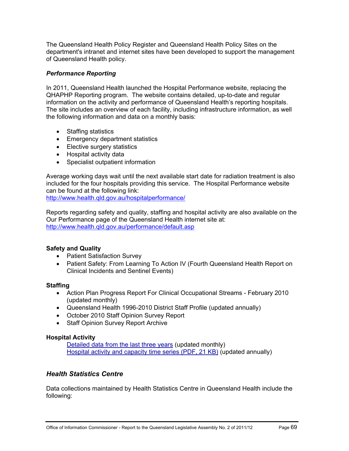The Queensland Health Policy Register and Queensland Health Policy Sites on the department's intranet and internet sites have been developed to support the management of Queensland Health policy.

## *Performance Reporting*

In 2011, Queensland Health launched the Hospital Performance website, replacing the QHAPHP Reporting program. The website contains detailed, up-to-date and regular information on the activity and performance of Queensland Health's reporting hospitals. The site includes an overview of each facility, including infrastructure information, as well the following information and data on a monthly basis:

- Staffing statistics
- Emergency department statistics
- Elective surgery statistics
- Hospital activity data
- Specialist outpatient information

Average working days wait until the next available start date for radiation treatment is also included for the four hospitals providing this service. The Hospital Performance website can be found at the following link:

<http://www.health.qld.gov.au/hospitalperformance/>

Reports regarding safety and quality, staffing and hospital activity are also available on the Our Performance page of the Queensland Health internet site at: <http://www.health.qld.gov.au/performance/default.asp>

## **Safety and Quality**

- Patient Satisfaction Survey
- [Patient Safety: From Learning To Action IV](http://www.health.qld.gov.au/patientsafety/documents/lta4.pdf) (Fourth Queensland Health Report on Clinical Incidents and Sentinel Events)

## **Staffing**

- [Action Plan Progress Report For Clinical Occupational Streams February 2010](http://www.health.qld.gov.au/performance/staffing/pr_staff.pdf)  (updated monthly)
- [Queensland Health 1996-2010 District Staff Profile \(](http://www.health.qld.gov.au/performance/staffing/staff14yr_10.pdf)updated annually)
- [October 2010 Staff Opinion Survey Report](http://www.health.qld.gov.au/performance/docs/SOSoct2010.pdf)
- Staff Opinion Survey Report Archive

## **Hospital Activity**

[Detailed data from the last three years](http://www.health.qld.gov.au/hic/QHID/Hospital_Activity/default.asp) (updated monthly) [Hospital activity and capacity time series \(PDF, 21 KB\)](http://www.health.qld.gov.au/performance/docs/hospital_activity.pdf) (updated annually)

## *Health Statistics Centre*

Data collections maintained by Health Statistics Centre in Queensland Health include the following: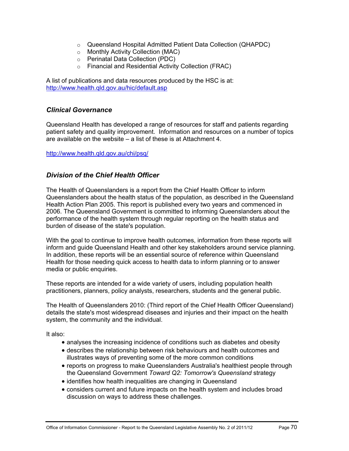- o Queensland Hospital Admitted Patient Data Collection (QHAPDC)
- o Monthly Activity Collection (MAC)
- o Perinatal Data Collection (PDC)
- o Financial and Residential Activity Collection (FRAC)

A list of publications and data resources produced by the HSC is at: <http://www.health.qld.gov.au/hic/default.asp>

## *Clinical Governance*

Queensland Health has developed a range of resources for staff and patients regarding patient safety and quality improvement. Information and resources on a number of topics are available on the website – a list of these is at Attachment 4.

#### <http://www.health.qld.gov.au/chi/psq/>

## *Division of the Chief Health Officer*

The Health of Queenslanders is a report from the Chief Health Officer to inform Queenslanders about the health status of the population, as described in the Queensland Health Action Plan 2005. This report is published every two years and commenced in 2006. The Queensland Government is committed to informing Queenslanders about the performance of the health system through regular reporting on the health status and burden of disease of the state's population.

With the goal to continue to improve health outcomes, information from these reports will inform and guide Queensland Health and other key stakeholders around service planning. In addition, these reports will be an essential source of reference within Queensland Health for those needing quick access to health data to inform planning or to answer media or public enquiries.

These reports are intended for a wide variety of users, including population health practitioners, planners, policy analysts, researchers, students and the general public.

The Health of Queenslanders 2010: (Third report of the Chief Health Officer Queensland) details the state's most widespread diseases and injuries and their impact on the health system, the community and the individual.

It also:

- analyses the increasing incidence of conditions such as diabetes and obesity
- describes the relationship between risk behaviours and health outcomes and illustrates ways of preventing some of the more common conditions
- reports on progress to make Queenslanders Australia's healthiest people through the Queensland Government *Toward Q2: Tomorrow's Queensland* strategy
- identifies how health inequalities are changing in Queensland
- considers current and future impacts on the health system and includes broad discussion on ways to address these challenges.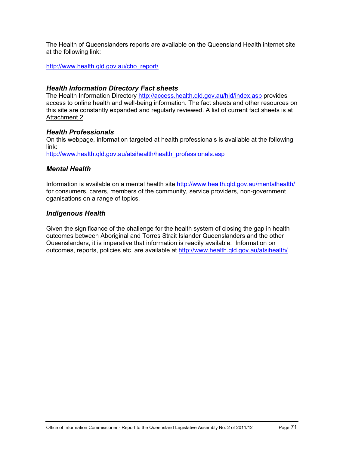The Health of Queenslanders reports are available on the Queensland Health internet site at the following link:

[http://www.health.qld.gov.au/cho\\_report/](http://www.health.qld.gov.au/cho_report/)

## *Health Information Directory Fact sheets*

The Health Information Directory<http://access.health.qld.gov.au/hid/index.asp>provides access to online health and well-being information. The fact sheets and other resources on this site are constantly expanded and regularly reviewed. A list of current fact sheets is at Attachment 2.

#### *Health Professionals*

On this webpage, information targeted at health professionals is available at the following link:

[http://www.health.qld.gov.au/atsihealth/health\\_professionals.asp](http://www.health.qld.gov.au/atsihealth/health_professionals.asp)

## *Mental Health*

Information is available on a mental health site<http://www.health.qld.gov.au/mentalhealth/> for consumers, carers, members of the community, service providers, non-government oganisations on a range of topics.

## *Indigenous Health*

Given the significance of the challenge for the health system of closing the gap in health outcomes between Aboriginal and Torres Strait Islander Queenslanders and the other Queenslanders, it is imperative that information is readily available. Information on outcomes, reports, policies etc are available at http://www.health.qld.gov.au/atsihealth/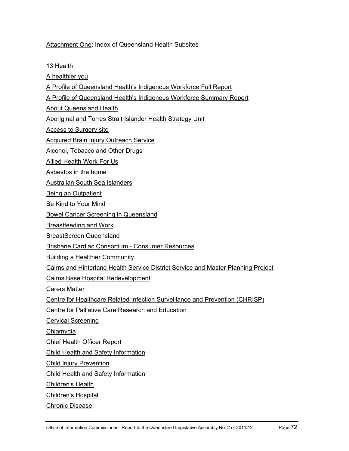Attachment One: Index of Queensland Health Subsites

[13 Health](http://www.health.qld.gov.au/13health/)

[A healthier you](http://www.health.qld.gov.au/healthieryou/)

[A Profile of Queensland Health's Indigenous Workforce Full Report](http://www.health.qld.gov.au/indigenous_health/workfull.pdf)

[A Profile of Queensland Health's Indigenous Workforce Summary Report](http://www.health.qld.gov.au/indigenous_health/worksummary.pdf)

[About Queensland Health](http://www.health.qld.gov.au/about_qhealth/)

[Aboriginal and Torres Strait Islander Health Strategy Unit](http://www.health.qld.gov.au/atsihealth/)

[Access to Surgery site](http://www.health.qld.gov.au/Surgical_access/)

[Acquired Brain Injury Outreach Service](http://www.health.qld.gov.au/abios/)

[Alcohol, Tobacco and Other Drugs](http://www.health.qld.gov.au/atod/)

[Allied Health Work For Us](http://www.health.qld.gov.au/allied/)

[Asbestos in the home](http://www.health.qld.gov.au/asbestos/)

[Australian South Sea Islanders](http://www.health.qld.gov.au/assi/)

[Being an Outpatient](http://www.health.qld.gov.au/outpatient/)

[Be Kind to Your Mind](http://www.health.qld.gov.au/bekindtoyourmind/)

[Bowel Cancer Screening in Queensland](http://www.health.qld.gov.au/bowelcancer/)

[Breastfeeding and Work](http://www.health.qld.gov.au/breastfeeding/)

[BreastScreen Queensland](http://www.health.qld.gov.au/breastscreen/)

[Brisbane Cardiac Consortium - Consumer Resources](http://www.health.qld.gov.au/heart_info/)

[Building a Healthier Community](http://www.health.qld.gov.au/buildinghealth/)

[Cairns and Hinterland Health Service District Service and Master Planning Project](http://www.health.qld.gov.au/cairns_hinterland/)

[Cairns Base Hospital Redevelopment](http://www.health.qld.gov.au/cbhredevelopment/)

[Carers Matter](http://www.health.qld.gov.au/mhcarer/)

[Centre for Healthcare Related Infection Surveillance and Prevention \(CHRISP\)](http://www.health.qld.gov.au/chrisp/)

[Centre for Palliative Care Research and Education](http://www.health.qld.gov.au/cpcre/)

[Cervical Screening](http://www.health.qld.gov.au/cervicalscreening/)

[Chlamydia](http://www.health.qld.gov.au/sexhealth/chlamydia/)

[Chief Health Officer Report](http://www.health.qld.gov.au/cho_report/)

[Child Health and Safety Information](http://www.health.qld.gov.au/child-youth/)

[Child Injury Prevention](http://www.health.qld.gov.au/chipp/)

[Child Health and Safety Information](http://www.health.qld.gov.au/child-youth/)

[Children's Health](http://www.health.qld.gov.au/childrenshealth/)

[Children's Hospital](http://www.health.qld.gov.au/childrenshospital/)

[Chronic Disease](http://www.health.qld.gov.au/chronicdisease/)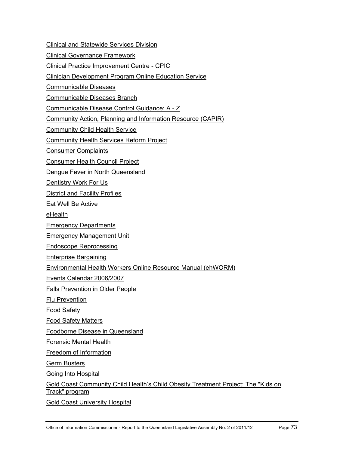[Clinical and Statewide Services Division](http://www.health.qld.gov.au/qhcss/)

[Clinical Governance Framework](http://www.health.qld.gov.au/clinicalgov/)

[Clinical Practice Improvement Centre - CPIC](http://www.health.qld.gov.au/cpic/)

[Clinician Development Program Online Education Service](http://www.health.qld.gov.au/cdp/)

[Communicable Diseases](http://www.health.qld.gov.au/communicablediseases/)

[Communicable Diseases Branch](http://www.health.qld.gov.au/ph/cdb/)

[Communicable Disease Control Guidance: A - Z](http://www.health.qld.gov.au/cdcg/)

[Community Action, Planning and Information Resource \(CAPIR\)](http://www.health.qld.gov.au/capir/)

[Community Child Health Service](http://www.health.qld.gov.au/cchs/)

[Community Health Services Reform Project](http://www.health.qld.gov.au/chsrp/)

[Consumer Complaints](http://www.health.qld.gov.au/complaints/)

[Consumer Health Council Project](http://www.health.qld.gov.au/consumerhlth/)

[Dengue Fever in North Queensland](http://www.health.qld.gov.au/dengue/)

[Dentistry Work For Us](http://www.health.qld.gov.au/dentistry/)

[District and Facility Profiles](http://www.health.qld.gov.au/wwwprofiles/)

[Eat Well Be Active](http://www.health.qld.gov.au/eatwellbeactive/) 

[eHealth](http://www.health.qld.gov.au/ehealth/)

[Emergency Departments](http://www.health.qld.gov.au/emergency/)

[Emergency Management Unit](http://www.health.qld.gov.au/emergtrans/)

[Endoscope Reprocessing](http://www.health.qld.gov.au/EndoscopeReprocessing/)

[Enterprise Bargaining](http://www.health.qld.gov.au/eb/)

[Environmental Health Workers Online Resource Manual \(ehWORM\)](http://www.health.qld.gov.au/ehworm/)

[Events Calendar 2006/2007](http://www.health.qld.gov.au/calendar/)

[Falls Prevention in Older People](http://www.health.qld.gov.au/fallsprevention/)

[Flu Prevention](http://www.health.qld.gov.au/flu/)

[Food Safety](http://www.health.qld.gov.au/foodsafety/)

[Food Safety Matters](http://www.health.qld.gov.au/foodsafetymatters/)

[Foodborne Disease in Queensland](http://www.health.qld.gov.au/foodsafety/fbdiseases/)

[Forensic Mental Health](http://www.health.qld.gov.au/forensicmentalhealth/)

[Freedom of Information](http://www.health.qld.gov.au/foi/)

[Germ Busters](http://www.health.qld.gov.au/germbusters/)

[Going Into Hospital](http://www.health.qld.gov.au/hospital/)

[Gold Coast Community Child Health's Child Obesity Treatment Project: The "Kids on](http://www.health.qld.gov.au/kot/)  [Track" program](http://www.health.qld.gov.au/kot/)

[Gold Coast University Hospital](http://www.health.qld.gov.au/gcuhospital/)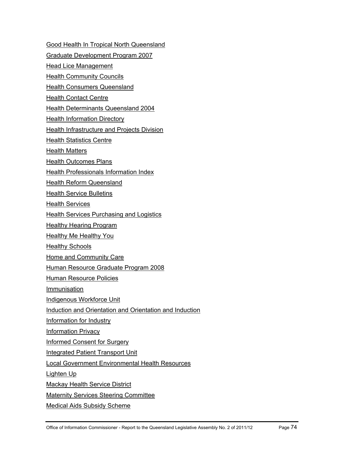[Good Health In Tropical North Queensland](http://www.health.qld.gov.au/goodhealthintnq/)

[Graduate Development Program 2007](http://www.health.qld.gov.au/gradev_2007/)

[Head Lice Management](http://www.health.qld.gov.au/headlice/)

[Health Community Councils](http://www.health.qld.gov.au/hcc/)

**[Health Consumers Queensland](http://www.health.qld.gov.au/hcq/)** 

**[Health Contact Centre](http://www.health.qld.gov.au/wwwhccp/)** 

[Health Determinants Queensland 2004](http://www.health.qld.gov.au/hdq/)

**[Health Information Directory](http://access.health.qld.gov.au/hid/index.asp)** 

[Health Infrastructure and Projects Division](http://www.health.qld.gov.au/cwamb/)

**[Health Statistics Centre](http://www.health.qld.gov.au/hic/)** 

[Health Matters](http://www.health.qld.gov.au/news/health_matters/)

[Health Outcomes Plans](http://www.health.qld.gov.au/hop/)

**[Health Professionals Information Index](http://www.health.qld.gov.au/health_professionals/)** 

[Health Reform Queensland](http://www.health.qld.gov.au/health-reform/)

[Health Service Bulletins](http://www.health.qld.gov.au/HealthBulletins/)

[Health Services](http://www.health.qld.gov.au/healthservices/)

[Health Services Purchasing and Logistics](http://www.health.qld.gov.au/hspl/) 

**[Healthy Hearing Program](http://www.health.qld.gov.au/hearing/)** 

[Healthy Me Healthy You](http://www.health.qld.gov.au/healthymehealthyyou/)

[Healthy Schools](http://www.health.qld.gov.au/healthyschools/)

[Home and Community Care](http://www.health.qld.gov.au/hacc/)

[Human Resource Graduate Program 2008](http://www.health.qld.gov.au/hrgradprogram/)

[Human Resource Policies](http://www.health.qld.gov.au/hrpolicies/)

[Immunisation](http://www.health.qld.gov.au/immunisation/)

[Indigenous Workforce Unit](http://www.health.qld.gov.au/indigenous_workforce/)

[Induction and Orientation and Orientation and Induction](http://www.health.qld.gov.au/orientation/)

[Information for Industry](http://www.health.qld.gov.au/industry/)

[Information Privacy](http://www.health.qld.gov.au/privacy/)

[Informed Consent for Surgery](http://www.health.qld.gov.au/informedconsent/)

[Integrated Patient Transport Unit](http://www.health.qld.gov.au/iptu/)

[Local Government Environmental Health Resources](http://www.health.qld.gov.au/eholocalgov/) 

[Lighten Up](http://www.health.qld.gov.au/lightenup/)

[Mackay Health Service District](http://www.health.qld.gov.au/mackay/)

[Maternity Services Steering Committee](http://www.health.qld.gov.au/maternity/)

[Medical Aids Subsidy Scheme](http://www.health.qld.gov.au/mass/)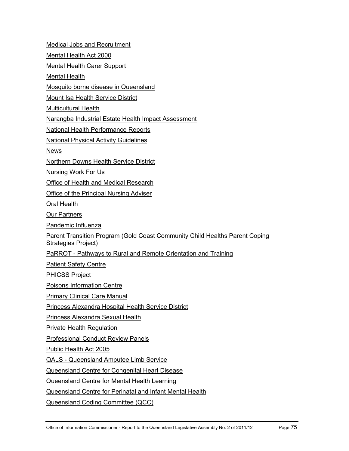[Medical Jobs and Recruitment](http://www.health.qld.gov.au/medical/) [Mental Health Act 2000](http://www.health.qld.gov.au/mha2000/) [Mental Health Carer Support](http://www.health.qld.gov.au/mhcarer/) [Mental Health](http://www.health.qld.gov.au/mentalhealth/) [Mosquito borne disease in Queensland](http://www.health.qld.gov.au/mozziediseases/) [Mount Isa Health Service District](http://www.health.qld.gov.au/mt_isa/)  [Multicultural Health](http://www.health.qld.gov.au/multicultural/) [Narangba Industrial Estate Health Impact Assessment](http://www.health.qld.gov.au/narangbahia/) [National Health Performance Reports](http://www.health.qld.gov.au/nathlthrpt/) [National Physical Activity Guidelines](http://www.health.qld.gov.au/npag/) **[News](http://www.health.qld.gov.au/news/)** [Northern Downs Health Service District](http://www.health.qld.gov.au/northern_downs/) [Nursing Work For Us](http://www.health.qld.gov.au/nursing/) [Office of Health and Medical Research](http://www.health.qld.gov.au/ohmr/) [Office of the Principal Nursing Adviser](http://www.health.qld.gov.au/opna/) [Oral Health](http://www.health.qld.gov.au/oralhealth/) [Our Partners](http://www.health.qld.gov.au/partners/) [Pandemic Influenza](http://www.health.qld.gov.au/pandemicinfluenza/) [Parent Transition Program \(Gold Coast Community Child Healths Parent Coping](http://www.health.qld.gov.au/ptp/)  [Strategies Project](http://www.health.qld.gov.au/ptp/)) [PaRROT - Pathways to Rural and Remote Orientation and Training](http://www.health.qld.gov.au/parrot/) [Patient Safety Centre](http://www.health.qld.gov.au/patientsafety/)  [PHICSS Project](http://www.health.qld.gov.au/phicss/)  [Poisons Information Centre](http://www.health.qld.gov.au/PoisonsInformationCentre/) [Primary Clinical Care Manual](http://www.health.qld.gov.au/pccm/) [Princess Alexandra Hospital Health Service District](http://www.health.qld.gov.au/pahospital/) [Princess Alexandra Sexual Health](http://www.health.qld.gov.au/pash/) [Private Health Regulation](http://www.health.qld.gov.au/privatehealth/) [Professional Conduct Review Panels](http://www.health.qld.gov.au/pcrp/) [Public Health Act 2005](http://www.health.qld.gov.au/publichealthact/) [QALS - Queensland Amputee Limb Service](http://www.health.qld.gov.au/qals/) [Queensland Centre for Congenital Heart Disease](http://www.health.qld.gov.au/qldheartkids/) [Queensland Centre for Mental Health Learning](http://www.health.qld.gov.au/qcmhl/) [Queensland Centre for Perinatal and Infant Mental Health](http://www.health.qld.gov.au/qcpimh/) [Queensland Coding Committee \(QCC\)](http://www.health.qld.gov.au/qcc/)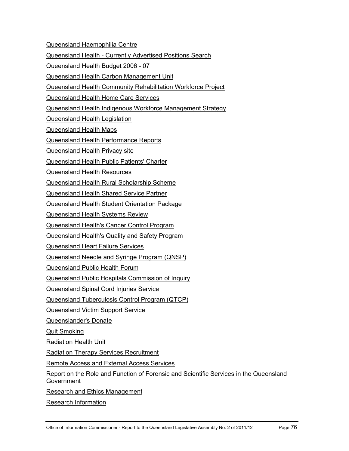[Queensland Haemophilia Centre](http://www.health.qld.gov.au/haemophilia/)

[Queensland Health - Currently Advertised Positions Search](http://www.health.qld.gov.au/jobs/)

[Queensland Health Budget 2006 - 07](http://www.health.qld.gov.au/budget/)

[Queensland Health Carbon Management Unit](http://www.health.qld.gov.au/carbon_management/)

[Queensland Health Community Rehabilitation Workforce Project](http://www.health.qld.gov.au/qhcrwp/)

[Queensland Health Home Care Services](http://www.health.qld.gov.au/homecare/)

[Queensland Health Indigenous Workforce Management Strategy](http://www.health.qld.gov.au/indigenous_health/workforce.pdf)

[Queensland Health Legislation](http://www.health.qld.gov.au/legislation/)

[Queensland Health Maps](http://www.health.qld.gov.au/maps/)

[Queensland Health Performance Reports](http://www.health.qld.gov.au/performance/)

[Queensland Health Privacy site](http://www.health.qld.gov.au/privacy/)

[Queensland Health Public Patients' Charter](http://www.health.qld.gov.au/qhppc/)

[Queensland Health Resources](http://www.health.qld.gov.au/healthtopics/)

[Queensland Health Rural Scholarship Scheme](http://www.health.qld.gov.au/orh/)

[Queensland Health Shared Service Partner](http://www.health.qld.gov.au/qhssp/)

[Queensland Health Student Orientation Package](http://www.health.qld.gov.au/sop/)

[Queensland Health Systems Review](http://www.health.qld.gov.au/health_sys_review/)

[Queensland Health's Cancer Control Program](http://www.health.qld.gov.au/cancercontrol/)

[Queensland Health's Quality and Safety Program](http://www.health.qld.gov.au/quality/)

[Queensland Heart Failure Services](http://www.health.qld.gov.au/heart_failure/)

[Queensland Needle and Syringe Program \(QNSP\)](http://www.health.qld.gov.au/qnsp/)

[Queensland Public Health Forum](http://www.health.qld.gov.au/QPHF/)

[Queensland Public Hospitals Commission of Inquiry](http://www.health.qld.gov.au/inquiry/)

[Queensland Spinal Cord Injuries Service](http://www.health.qld.gov.au/qscis/)

[Queensland Tuberculosis Control Program \(QTCP\)](http://www.health.qld.gov.au/qtbcc/)

[Queensland Victim Support Service](http://www.health.qld.gov.au/qhvss/)

[Queenslander's Donate](http://www.health.qld.gov.au/queenslandersdonate/)

[Quit Smoking](http://www.health.qld.gov.au/quitsmoking/)

[Radiation Health Unit](http://www.health.qld.gov.au/radiationhealth/)

[Radiation Therapy Services Recruitment](http://www.health.qld.gov.au/radiation_therapists/)

[Remote Access and External Access Services](https://webaccess.health.qld.gov.au/vpn/index.html)

[Report on the Role and Function of Forensic and Scientific Services in the Queensland](http://www.health.qld.gov.au/forensic_review/)  [Government](http://www.health.qld.gov.au/forensic_review/)

[Research and Ethics Management](http://www.health.qld.gov.au/ethics/)

[Research Information](http://www.health.qld.gov.au/research_information/)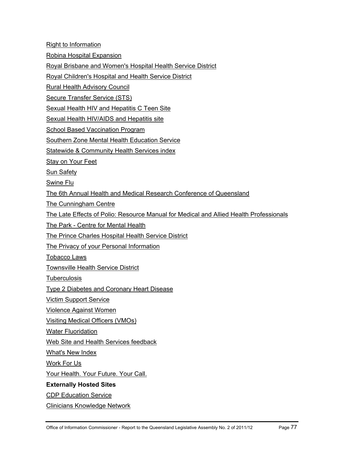[Right to Information](http://www.health.qld.gov.au/foi/rti.asp)

[Robina Hospital Expansion](http://www.health.qld.gov.au/robinahospital/)

[Royal Brisbane and Women's Hospital Health Service District](http://www.health.qld.gov.au/rbwh/)

[Royal Children's Hospital and Health Service District](http://www.health.qld.gov.au/rch/)

[Rural Health Advisory Council](http://www.health.qld.gov.au/rhac/)

[Secure Transfer Service \(STS\)](http://www.health.qld.gov.au/wwwsts/)

[Sexual Health HIV and Hepatitis C Teen Site](http://www.health.qld.gov.au/istaysafe/)

[Sexual Health HIV/AIDS and Hepatitis site](http://www.health.qld.gov.au/sexhealth/)

[School Based Vaccination Program](http://www.health.qld.gov.au/immunisation/sbvp/)

[Southern Zone Mental Health Education Service](http://www.health.qld.gov.au/szmhes/)

[Statewide & Community Health Services index](http://www.health.qld.gov.au/services/)

[Stay on Your Feet](http://www.health.qld.gov.au/stayonyourfeet/)

**[Sun Safety](http://www.sunsafety.qld.gov.au/)** 

[Swine Flu](http://www.health.qld.gov.au/swineflu/)

[The 6th Annual Health and Medical Research Conference of Queensland](http://www.health.qld.gov.au/asm/)

[The Cunningham Centre](http://www.health.qld.gov.au/cunningham/)

[The Late Effects of Polio: Resource Manual for Medical and Allied Health Professionals](http://www.health.qld.gov.au/polio/)

[The Park - Centre for Mental Health](http://www.health.qld.gov.au/the_park/)

[The Prince Charles Hospital Health Service District](http://www.health.qld.gov.au/northside/)

[The Privacy of your Personal Information](http://www.health.qld.gov.au/imb/privacy_your.pdf)

[Tobacco Laws](http://www.health.qld.gov.au/tobaccolaws/)

[Townsville Health Service District](http://www.health.qld.gov.au/townsville/)

**[Tuberculosis](http://www.health.qld.gov.au/qtbcc/)** 

[Type 2 Diabetes and Coronary Heart Disease](http://www.health.qld.gov.au/diabetes_chd_resource/)

[Victim Support Service](http://www.health.qld.gov.au/qhvss/)

[Violence Against Women](http://www.health.qld.gov.au/violence/)

[Visiting Medical Officers \(VMOs\)](http://www.health.qld.gov.au/vmo/)

[Water Fluoridation](http://www.health.qld.gov.au/fluoride/)

[Web Site and Health Services feedback](http://www.health.qld.gov.au/masters/feedback.asp)

[What's New Index](http://www.health.qld.gov.au/whatsnew/)

[Work For Us](http://www.health.qld.gov.au/workforus/)

[Your Health. Your Future. Your Call.](http://www.health.qld.gov.au/stateofyourhealth/) 

#### **Externally Hosted Sites**

[CDP Education Service](http://learning.medeserv.com.au/qldhealth_cdp/)

[Clinicians Knowledge Network](http://ckn.health.qld.gov.au/)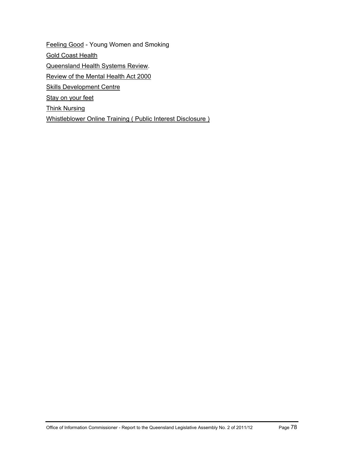[Feeling Good](http://feelinggood.com.au/) - Young Women and Smoking **[Gold Coast Health](http://www.goldcoasthealth.com.au/)** [Queensland Health Systems Review.](http://www.healthreview.com.au/) [Review of the Mental Health Act 2000](http://reviewmha.com.au/) [Skills Development Centre](http://www.sdc.qld.edu.au/) [Stay on your feet](http://www.health.qld.gov.au/stayonyourfeet/) [Think Nursing](http://www.thinknursing.com/) [Whistleblower Online Training \( Public Interest Disclosure \)](http://elearn.com.au/qh_external/iwsu)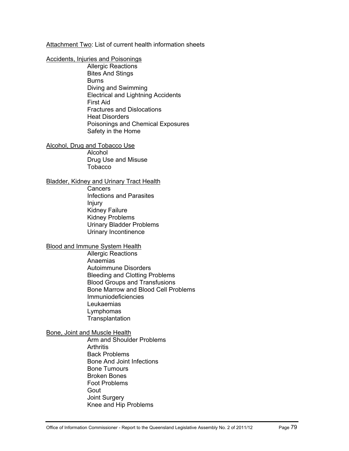Attachment Two: List of current health information sheets

#### [Accidents, Injuries and Poisonings](http://access.health.qld.gov.au/hid/AccidentsInjuriesandPoisonings/index.asp)

[Allergic Reactions](http://access.health.qld.gov.au/hid/AccidentsInjuriesandPoisonings/AllergicReactions/index.asp) [Bites And Stings](http://access.health.qld.gov.au/hid/AccidentsInjuriesandPoisonings/BitesAndStings/index.asp)  [Burns](http://access.health.qld.gov.au/hid/AccidentsInjuriesandPoisonings/Burns/index.asp)  [Diving and Swimming](http://access.health.qld.gov.au/hid/AccidentsInjuriesandPoisonings/DivingandSwimming/index.asp)  [Electrical and Lightning Accidents](http://access.health.qld.gov.au/hid/AccidentsInjuriesandPoisonings/ElectricalandLightningAccidents/index.asp)  [First Aid](http://access.health.qld.gov.au/hid/AccidentsInjuriesandPoisonings/FirstAid/index.asp) [Fractures and Dislocations](http://access.health.qld.gov.au/hid/AccidentsInjuriesandPoisonings/FracturesandDislocations/index.asp) [Heat Disorders](http://access.health.qld.gov.au/hid/AccidentsInjuriesandPoisonings/HeatDisorders/index.asp)  [Poisonings and Chemical Exposures](http://access.health.qld.gov.au/hid/AccidentsInjuriesandPoisonings/PoisoningsandChemicalExposures/index.asp) [Safety in the Home](http://access.health.qld.gov.au/hid/AccidentsInjuriesandPoisonings/SafetyintheHome/index.asp) 

[Alcohol, Drug and Tobacco Use](http://access.health.qld.gov.au/hid/AlcoholDrugandTobaccoUse/index.asp)

[Alcohol](http://access.health.qld.gov.au/hid/AlcoholDrugandTobaccoUse/Alcohol/index.asp) [Drug Use and Misuse](http://access.health.qld.gov.au/hid/AlcoholDrugandTobaccoUse/DrugUseandMisuse/index.asp)  [Tobacco](http://access.health.qld.gov.au/hid/AlcoholDrugandTobaccoUse/Tobacco/index.asp)

#### [Bladder, Kidney and Urinary Tract Health](http://access.health.qld.gov.au/hid/BladderKidneyandUrinaryTractHealth/index.asp)

**[Cancers](http://access.health.qld.gov.au/hid/BladderKidneyandUrinaryTractHealth/Cancers/index.asp)** [Infections and Parasites](http://access.health.qld.gov.au/hid/BladderKidneyandUrinaryTractHealth/InfectionsandParasites/index.asp)  [Injury](http://access.health.qld.gov.au/hid/BladderKidneyandUrinaryTractHealth/Injury/index.asp)  [Kidney Failure](http://access.health.qld.gov.au/hid/BladderKidneyandUrinaryTractHealth/KidneyFailure/index.asp) [Kidney Problems](http://access.health.qld.gov.au/hid/BladderKidneyandUrinaryTractHealth/KidneyProblems/index.asp) [Urinary Bladder Problems](http://access.health.qld.gov.au/hid/BladderKidneyandUrinaryTractHealth/UrinaryBladderProblems/index.asp) [Urinary Incontinence](http://access.health.qld.gov.au/hid/BladderKidneyandUrinaryTractHealth/UrinaryIncontinence/index.asp) 

## [Blood and Immune System Health](http://access.health.qld.gov.au/hid/BloodandImmuneSystemHealth/index.asp)

[Allergic Reactions](http://access.health.qld.gov.au/hid/BloodandImmuneSystemHealth/AllergicReactions/index.asp) [Anaemias](http://access.health.qld.gov.au/hid/BloodandImmuneSystemHealth/Anaemias/index.asp) [Autoimmune Disorders](http://access.health.qld.gov.au/hid/BloodandImmuneSystemHealth/AutoimmuneDisorders/index.asp) [Bleeding and Clotting Problems](http://access.health.qld.gov.au/hid/BloodandImmuneSystemHealth/BleedingandClottingProblems/index.asp) [Blood Groups and Transfusions](http://access.health.qld.gov.au/hid/BloodandImmuneSystemHealth/BloodGroupsandTransfusions/index.asp)  [Bone Marrow and Blood Cell Problems](http://access.health.qld.gov.au/hid/BloodandImmuneSystemHealth/BoneMarrowandBloodCellProblems/index.asp)  [Immuniodeficiencies](http://access.health.qld.gov.au/hid/BloodandImmuneSystemHealth/Immuniodeficiencies/index.asp)  [Leukaemias](http://access.health.qld.gov.au/hid/BloodandImmuneSystemHealth/Leukaemias/index.asp) [Lymphomas](http://access.health.qld.gov.au/hid/BloodandImmuneSystemHealth/Lymphomas/index.asp) **Transplantation** 

#### [Bone, Joint and Muscle Health](http://access.health.qld.gov.au/hid/BoneJointandMuscleHealth/index.asp)

[Arm and Shoulder Problems](http://access.health.qld.gov.au/hid/BoneJointandMuscleHealth/ArmandShoulderProblems/index.asp) **[Arthritis](http://access.health.qld.gov.au/hid/BoneJointandMuscleHealth/Arthritis/index.asp)** [Back Problems](http://access.health.qld.gov.au/hid/BoneJointandMuscleHealth/BackProblems/index.asp) [Bone And Joint Infections](http://access.health.qld.gov.au/hid/BoneJointandMuscleHealth/BoneAndJointInfections/index.asp)  [Bone Tumours](http://access.health.qld.gov.au/hid/BoneJointandMuscleHealth/BoneTumours/index.asp) [Broken Bones](http://access.health.qld.gov.au/hid/BoneJointandMuscleHealth/BrokenBones/index.asp) [Foot Problems](http://access.health.qld.gov.au/hid/BoneJointandMuscleHealth/FootProblems/index.asp)  [Gout](http://access.health.qld.gov.au/hid/BoneJointandMuscleHealth/Gout/index.asp)  [Joint Surgery](http://access.health.qld.gov.au/hid/BoneJointandMuscleHealth/JointSurgery/index.asp)  [Knee and Hip Problems](http://access.health.qld.gov.au/hid/BoneJointandMuscleHealth/KneeandHipProblems/index.asp)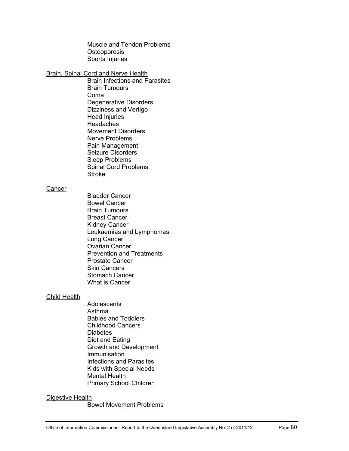[Muscle and Tendon Problems](http://access.health.qld.gov.au/hid/BoneJointandMuscleHealth/MuscleandTendonProblems/index.asp) **Osteoporosis** [Sports Injuries](http://access.health.qld.gov.au/hid/BoneJointandMuscleHealth/SportsInjuries/index.asp)

#### [Brain, Spinal Cord and Nerve Health](http://access.health.qld.gov.au/hid/BrainSpinalCordandNerveHealth/index.asp)

[Brain Infections and Parasites](http://access.health.qld.gov.au/hid/BrainSpinalCordandNerveHealth/BrainInfectionsandParasites/index.asp) [Brain Tumours](http://access.health.qld.gov.au/hid/BrainSpinalCordandNerveHealth/BrainTumours/index.asp) [Coma](http://access.health.qld.gov.au/hid/BrainSpinalCordandNerveHealth/Coma/index.asp) [Degenerative Disorders](http://access.health.qld.gov.au/hid/BrainSpinalCordandNerveHealth/DegenerativeDisorders/index.asp)  [Dizziness and Vertigo](http://access.health.qld.gov.au/hid/BrainSpinalCordandNerveHealth/DizzinessandVertigo/index.asp)  [Head Injuries](http://access.health.qld.gov.au/hid/BrainSpinalCordandNerveHealth/HeadInjuries/index.asp)  **Headaches** [Movement Disorders](http://access.health.qld.gov.au/hid/BrainSpinalCordandNerveHealth/MovementDisorders/index.asp)  [Nerve Problems](http://access.health.qld.gov.au/hid/BrainSpinalCordandNerveHealth/NerveProblems/index.asp)  [Pain Management](http://access.health.qld.gov.au/hid/BrainSpinalCordandNerveHealth/PainManagement/index.asp) [Seizure Disorders](http://access.health.qld.gov.au/hid/BrainSpinalCordandNerveHealth/SeizureDisorders/index.asp)  [Sleep Problems](http://access.health.qld.gov.au/hid/BrainSpinalCordandNerveHealth/SleepProblems/index.asp)  [Spinal Cord Problems](http://access.health.qld.gov.au/hid/BrainSpinalCordandNerveHealth/SpinalCordProblems/index.asp) [Stroke](http://access.health.qld.gov.au/hid/BrainSpinalCordandNerveHealth/Stroke/index.asp) 

#### **Cancer**

[Bladder Cancer](http://access.health.qld.gov.au/hid/Cancer/BladderCancer/index.asp)  [Bowel Cancer](http://access.health.qld.gov.au/hid/Cancer/BowelCancer/index.asp)  [Brain Tumours](http://access.health.qld.gov.au/hid/Cancer/BrainTumours/index.asp) [Breast Cancer](http://access.health.qld.gov.au/hid/Cancer/BreastCancer/index.asp) [Kidney Cancer](http://access.health.qld.gov.au/hid/Cancer/KidneyCancer/index.asp) [Leukaemias and Lymphomas](http://access.health.qld.gov.au/hid/Cancer/LeukaemiasandLymphomas/index.asp)  [Lung Cancer](http://access.health.qld.gov.au/hid/Cancer/LungCancer/index.asp) [Ovarian Cancer](http://access.health.qld.gov.au/hid/Cancer/OvarianCancer/index.asp) [Prevention and Treatments](http://access.health.qld.gov.au/hid/Cancer/PreventionandTreatments/index.asp)  [Prostate Cancer](http://access.health.qld.gov.au/hid/Cancer/ProstateCancer/index.asp)  [Skin Cancers](http://access.health.qld.gov.au/hid/Cancer/SkinCancers/index.asp)  [Stomach Cancer](http://access.health.qld.gov.au/hid/Cancer/StomachCancer/index.asp) [What is Cancer](http://access.health.qld.gov.au/hid/Cancer/WhatisCancer/index.asp)

#### [Child Health](http://access.health.qld.gov.au/hid/ChildHealth/index.asp)

**[Adolescents](http://access.health.qld.gov.au/hid/ChildHealth/Adolescents/index.asp)** [Asthma](http://access.health.qld.gov.au/hid/ChildHealth/Asthma/index.asp) [Babies and Toddlers](http://access.health.qld.gov.au/hid/ChildHealth/BabiesandToddlers/index.asp) [Childhood Cancers](http://access.health.qld.gov.au/hid/ChildHealth/ChildhoodCancers/index.asp)  **Diabetes** [Diet and Eating](http://access.health.qld.gov.au/hid/ChildHealth/DietandEating/index.asp) [Growth and Development](http://access.health.qld.gov.au/hid/ChildHealth/GrowthandDevelopment/index.asp)  [Immunisation](http://access.health.qld.gov.au/hid/ChildHealth/Immunisation/index.asp)  [Infections and Parasites](http://access.health.qld.gov.au/hid/ChildHealth/InfectionsandParasites/index.asp)  [Kids with Special Needs](http://access.health.qld.gov.au/hid/ChildHealth/KidswithSpecialNeeds/index.asp) [Mental Health](http://access.health.qld.gov.au/hid/ChildHealth/MentalHealth/index.asp)  [Primary School Children](http://access.health.qld.gov.au/hid/ChildHealth/PrimarySchoolChildren/index.asp) 

#### [Digestive Health](http://access.health.qld.gov.au/hid/DigestiveHealth/index.asp)

[Bowel Movement Problems](http://access.health.qld.gov.au/hid/DigestiveHealth/BowelMovementProblems/index.asp)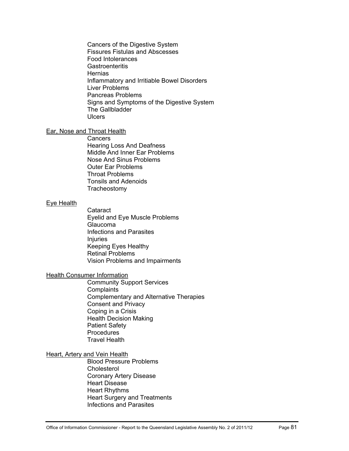[Cancers of the Digestive System](http://access.health.qld.gov.au/hid/DigestiveHealth/CancersoftheDigestiveSystem/index.asp)  [Fissures Fistulas and Abscesses](http://access.health.qld.gov.au/hid/DigestiveHealth/FissuresFistulasandAbscesses/index.asp) [Food Intolerances](http://access.health.qld.gov.au/hid/DigestiveHealth/FoodIntolerances/index.asp) **Gastroenteritis** [Hernias](http://access.health.qld.gov.au/hid/DigestiveHealth/Hernias/index.asp) [Inflammatory and Irritiable Bowel Disorders](http://access.health.qld.gov.au/hid/DigestiveHealth/InflammatoryandIrritiableBowelDisorders/index.asp) [Liver Problems](http://access.health.qld.gov.au/hid/DigestiveHealth/LiverProblems/index.asp) [Pancreas Problems](http://access.health.qld.gov.au/hid/DigestiveHealth/PancreasProblems/index.asp) [Signs and Symptoms of the Digestive System](http://access.health.qld.gov.au/hid/DigestiveHealth/SignsandSymptomsoftheDigestiveSystem/index.asp)  [The Gallbladder](http://access.health.qld.gov.au/hid/DigestiveHealth/TheGallbladder/index.asp) **[Ulcers](http://access.health.qld.gov.au/hid/DigestiveHealth/Ulcers/index.asp)** 

#### [Ear, Nose and Throat Health](http://access.health.qld.gov.au/hid/EarNoseandThroatHealth/index.asp)

**[Cancers](http://access.health.qld.gov.au/hid/EarNoseandThroatHealth/Cancers/index.asp)** [Hearing Loss And Deafness](http://access.health.qld.gov.au/hid/EarNoseandThroatHealth/HearingLossAndDeafness/index.asp) [Middle And Inner Ear Problems](http://access.health.qld.gov.au/hid/EarNoseandThroatHealth/MiddleAndInnerEarProblems/index.asp)  [Nose And Sinus Problems](http://access.health.qld.gov.au/hid/EarNoseandThroatHealth/NoseAndSinusProblems/index.asp) [Outer Ear Problems](http://access.health.qld.gov.au/hid/EarNoseandThroatHealth/OuterEarProblems/index.asp) [Throat Problems](http://access.health.qld.gov.au/hid/EarNoseandThroatHealth/ThroatProblems/index.asp) [Tonsils and Adenoids](http://access.health.qld.gov.au/hid/EarNoseandThroatHealth/TonsilsandAdenoids/index.asp) **Tracheostomy** 

#### [Eye Health](http://access.health.qld.gov.au/hid/EyeHealth/index.asp)

**Cataract** [Eyelid and Eye Muscle Problems](http://access.health.qld.gov.au/hid/EyeHealth/EyelidandEyeMuscleProblems/index.asp)  [Glaucoma](http://access.health.qld.gov.au/hid/EyeHealth/Glaucoma/index.asp) [Infections and Parasites](http://access.health.qld.gov.au/hid/EyeHealth/InfectionsandParasites/index.asp)  [Injuries](http://access.health.qld.gov.au/hid/EyeHealth/Injuries/index.asp)  [Keeping Eyes Healthy](http://access.health.qld.gov.au/hid/EyeHealth/KeepingEyesHealthy/index.asp) [Retinal Problems](http://access.health.qld.gov.au/hid/EyeHealth/RetinalProblems/index.asp)  [Vision Problems and Impairments](http://access.health.qld.gov.au/hid/EyeHealth/VisionProblemsandImpairments/index.asp) 

#### **Health Consumer Information**

[Community Support Services](http://access.health.qld.gov.au/hid/HealthConsumerInformation/CommunitySupportServices/index.asp)  **[Complaints](http://access.health.qld.gov.au/hid/HealthConsumerInformation/Complaints/index.asp)** [Complementary and Alternative Therapies](http://access.health.qld.gov.au/hid/HealthConsumerInformation/ComplementaryandAlternativeTherapies/index.asp) [Consent and Privacy](http://access.health.qld.gov.au/hid/HealthConsumerInformation/ConsentandPrivacy/index.asp)  [Coping in a Crisis](http://access.health.qld.gov.au/hid/HealthConsumerInformation/CopinginaCrisis/index.asp) [Health Decision Making](http://access.health.qld.gov.au/hid/HealthConsumerInformation/HealthDecisionMaking/index.asp)  [Patient Safety](http://access.health.qld.gov.au/hid/HealthConsumerInformation/PatientSafety/index.asp)  **[Procedures](http://access.health.qld.gov.au/hid/HealthConsumerInformation/Procedures/index.asp)** [Travel Health](http://access.health.qld.gov.au/hid/HealthConsumerInformation/TravelHealth/index.asp) 

## **Heart, Artery and Vein Health**

[Blood Pressure Problems](http://access.health.qld.gov.au/hid/HeartArteryandVeinHealth/BloodPressureProblems/index.asp)  **Cholesterol** [Coronary Artery Disease](http://access.health.qld.gov.au/hid/HeartArteryandVeinHealth/CoronaryArteryDisease/index.asp)  [Heart Disease](http://access.health.qld.gov.au/hid/HeartArteryandVeinHealth/HeartDisease/index.asp)  [Heart Rhythms](http://access.health.qld.gov.au/hid/HeartArteryandVeinHealth/HeartRhythms/index.asp) [Heart Surgery and Treatments](http://access.health.qld.gov.au/hid/HeartArteryandVeinHealth/HeartSurgeryandTreatments/index.asp)  [Infections and Parasites](http://access.health.qld.gov.au/hid/HeartArteryandVeinHealth/InfectionsandParasites/index.asp)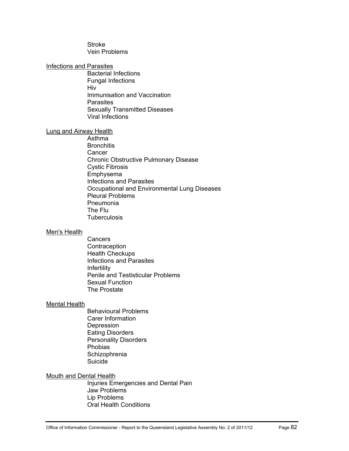[Stroke](http://access.health.qld.gov.au/hid/HeartArteryandVeinHealth/Stroke/index.asp)  [Vein Problems](http://access.health.qld.gov.au/hid/HeartArteryandVeinHealth/VeinProblems/index.asp) 

#### [Infections and Parasites](http://access.health.qld.gov.au/hid/InfectionsandParasites/index.asp)

[Bacterial Infections](http://access.health.qld.gov.au/hid/InfectionsandParasites/BacterialInfections/index.asp) [Fungal Infections](http://access.health.qld.gov.au/hid/InfectionsandParasites/FungalInfections/index.asp)  [Hiv](http://access.health.qld.gov.au/hid/InfectionsandParasites/Hiv/index.asp)  [Immunisation and Vaccination](http://access.health.qld.gov.au/hid/InfectionsandParasites/ImmunisationandVaccination/index.asp)  [Parasites](http://access.health.qld.gov.au/hid/InfectionsandParasites/Parasites/index.asp) [Sexually Transmitted Diseases](http://access.health.qld.gov.au/hid/InfectionsandParasites/SexuallyTransmittedDiseases/index.asp) [Viral Infections](http://access.health.qld.gov.au/hid/InfectionsandParasites/ViralInfections/index.asp)

#### [Lung and Airway Health](http://access.health.qld.gov.au/hid/LungandAirwayHealth/index.asp)

[Asthma](http://access.health.qld.gov.au/hid/LungandAirwayHealth/Asthma/index.asp) **[Bronchitis](http://access.health.qld.gov.au/hid/LungandAirwayHealth/Bronchitis/index.asp) Cancer** [Chronic Obstructive Pulmonary Disease](http://access.health.qld.gov.au/hid/LungandAirwayHealth/ChronicObstructivePulmonaryDisease/index.asp) [Cystic Fibrosis](http://access.health.qld.gov.au/hid/LungandAirwayHealth/CysticFibrosis/index.asp)  [Emphysema](http://access.health.qld.gov.au/hid/LungandAirwayHealth/Emphysema/index.asp) [Infections and Parasites](http://access.health.qld.gov.au/hid/LungandAirwayHealth/InfectionsandParasites/index.asp)  [Occupational and Environmental Lung Diseases](http://access.health.qld.gov.au/hid/LungandAirwayHealth/OccupationalandEnvironmentalLungDiseases/index.asp)  [Pleural Problems](http://access.health.qld.gov.au/hid/LungandAirwayHealth/PleuralProblems/index.asp)  [Pneumonia](http://access.health.qld.gov.au/hid/LungandAirwayHealth/Pneumonia/index.asp)  [The Flu](http://access.health.qld.gov.au/hid/LungandAirwayHealth/TheFlu/index.asp) **Tuberculosis** 

#### [Men's Health](http://access.health.qld.gov.au/hid/MensHealth/index.asp)

[Cancers](http://access.health.qld.gov.au/hid/MensHealth/Cancers/index.asp) **Contraception** [Health Checkups](http://access.health.qld.gov.au/hid/MensHealth/HealthCheckups/index.asp)  [Infections and Parasites](http://access.health.qld.gov.au/hid/MensHealth/InfectionsandParasites/index.asp)  [Infertility](http://access.health.qld.gov.au/hid/MensHealth/Infertility/index.asp) [Penile and Testisticular Problems](http://access.health.qld.gov.au/hid/MensHealth/PenileandTestisticularProblems/index.asp) [Sexual Function](http://access.health.qld.gov.au/hid/MensHealth/SexualFunction/index.asp) [The Prostate](http://access.health.qld.gov.au/hid/MensHealth/TheProstate/index.asp)

#### [Mental Health](http://access.health.qld.gov.au/hid/MentalHealth/index.asp)

[Behavioural Problems](http://access.health.qld.gov.au/hid/MentalHealth/BehaviouralProblems/index.asp)  [Carer Information](http://access.health.qld.gov.au/hid/MentalHealth/CarerInformation/index.asp)  [Depression](http://access.health.qld.gov.au/hid/MentalHealth/Depression/index.asp)  [Eating Disorders](http://access.health.qld.gov.au/hid/MentalHealth/EatingDisorders/index.asp) [Personality Disorders](http://access.health.qld.gov.au/hid/MentalHealth/PersonalityDisorders/index.asp)  [Phobias](http://access.health.qld.gov.au/hid/MentalHealth/Phobias/index.asp)  **Schizophrenia** [Suicide](http://access.health.qld.gov.au/hid/MentalHealth/Suicide/index.asp)

[Mouth and Dental Health](http://access.health.qld.gov.au/hid/MouthandDentalHealth/index.asp) 

[Injuries Emergencies and Dental Pain](http://access.health.qld.gov.au/hid/MouthandDentalHealth/InjuriesEmergenciesandDentalPain/index.asp) [Jaw Problems](http://access.health.qld.gov.au/hid/MouthandDentalHealth/JawProblems/index.asp) [Lip Problems](http://access.health.qld.gov.au/hid/MouthandDentalHealth/LipProblems/index.asp) [Oral Health Conditions](http://access.health.qld.gov.au/hid/MouthandDentalHealth/OralHealthConditions/index.asp)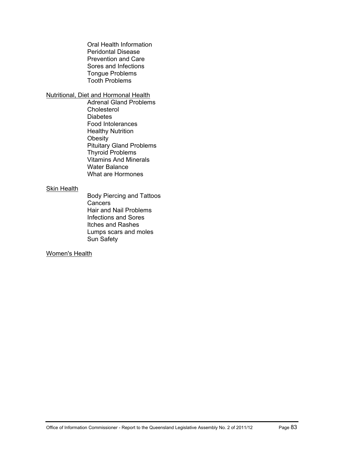[Oral Health Information](http://access.health.qld.gov.au/hid/MouthandDentalHealth/OralHealthInformation/index.asp)  [Peridontal Disease](http://access.health.qld.gov.au/hid/MouthandDentalHealth/PeridontalDisease/index.asp) [Prevention and Care](http://access.health.qld.gov.au/hid/MouthandDentalHealth/PreventionandCare/index.asp)  [Sores and Infections](http://access.health.qld.gov.au/hid/MouthandDentalHealth/SoresandInfections/index.asp) [Tongue Problems](http://access.health.qld.gov.au/hid/MouthandDentalHealth/TongueProblems/index.asp)  [Tooth Problems](http://access.health.qld.gov.au/hid/MouthandDentalHealth/ToothProblems/index.asp) 

[Nutritional, Diet and Hormonal Health](http://access.health.qld.gov.au/hid/NutritionalDietandHormonalHealth/index.asp)

[Adrenal Gland Problems](http://access.health.qld.gov.au/hid/NutritionalDietandHormonalHealth/AdrenalGlandProblems/index.asp)  [Cholesterol](http://access.health.qld.gov.au/hid/NutritionalDietandHormonalHealth/Cholesterol/index.asp)  **Diabetes** [Food Intolerances](http://access.health.qld.gov.au/hid/NutritionalDietandHormonalHealth/FoodIntolerances/index.asp) [Healthy Nutrition](http://access.health.qld.gov.au/hid/NutritionalDietandHormonalHealth/HealthyNutrition/index.asp) **[Obesity](http://access.health.qld.gov.au/hid/NutritionalDietandHormonalHealth/Obesity/index.asp)** [Pituitary Gland Problems](http://access.health.qld.gov.au/hid/NutritionalDietandHormonalHealth/PituitaryGlandProblems/index.asp)  [Thyroid Problems](http://access.health.qld.gov.au/hid/NutritionalDietandHormonalHealth/ThyroidProblems/index.asp) [Vitamins And Minerals](http://access.health.qld.gov.au/hid/NutritionalDietandHormonalHealth/VitaminsAndMinerals/index.asp)  [Water Balance](http://access.health.qld.gov.au/hid/NutritionalDietandHormonalHealth/WaterBalance/index.asp) [What are Hormones](http://access.health.qld.gov.au/hid/NutritionalDietandHormonalHealth/WhatareHormones/index.asp) 

#### [Skin Health](http://access.health.qld.gov.au/hid/SkinHealth/index.asp)

[Body Piercing and Tattoos](http://access.health.qld.gov.au/hid/SkinHealth/BodyPiercingandTattoos/index.asp) **[Cancers](http://access.health.qld.gov.au/hid/SkinHealth/Cancers/index.asp)** [Hair and Nail Problems](http://access.health.qld.gov.au/hid/SkinHealth/HairandNailProblems/index.asp) [Infections and Sores](http://access.health.qld.gov.au/hid/SkinHealth/InfectionsandSores/index.asp) [Itches and Rashes](http://access.health.qld.gov.au/hid/SkinHealth/ItchesandRashes/index.asp) [Lumps scars and moles](http://access.health.qld.gov.au/hid/SkinHealth/Lumpsscarsandmoles/index.asp) [Sun Safety](http://access.health.qld.gov.au/hid/SkinHealth/SunSafety/index.asp) 

## [Women's Health](http://access.health.qld.gov.au/hid/WomensHealth/index.asp)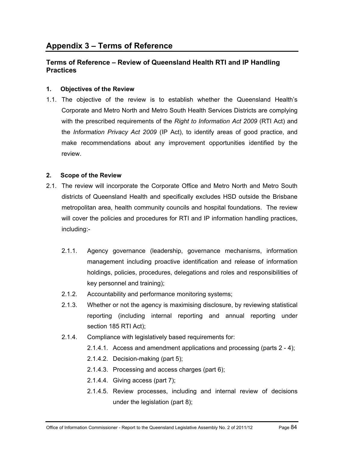## **Terms of Reference – Review of Queensland Health RTI and IP Handling Practices**

## **1. Objectives of the Review**

1.1. The objective of the review is to establish whether the Queensland Health's Corporate and Metro North and Metro South Health Services Districts are complying with the prescribed requirements of the *Right to Information Act 2009* (RTI Act) and the *Information Privacy Act 2009* (IP Act), to identify areas of good practice, and make recommendations about any improvement opportunities identified by the review.

## **2. Scope of the Review**

- 2.1. The review will incorporate the Corporate Office and Metro North and Metro South districts of Queensland Health and specifically excludes HSD outside the Brisbane metropolitan area, health community councils and hospital foundations. The review will cover the policies and procedures for RTI and IP information handling practices, including:-
	- 2.1.1. Agency governance (leadership, governance mechanisms, information management including proactive identification and release of information holdings, policies, procedures, delegations and roles and responsibilities of key personnel and training);
	- 2.1.2. Accountability and performance monitoring systems;
	- 2.1.3. Whether or not the agency is maximising disclosure, by reviewing statistical reporting (including internal reporting and annual reporting under section 185 RTI Act);
	- 2.1.4. Compliance with legislatively based requirements for:
		- 2.1.4.1. Access and amendment applications and processing (parts 2 4);
		- 2.1.4.2. Decision-making (part 5);
		- 2.1.4.3. Processing and access charges (part 6);
		- 2.1.4.4. Giving access (part 7);
		- 2.1.4.5. Review processes, including and internal review of decisions under the legislation (part 8);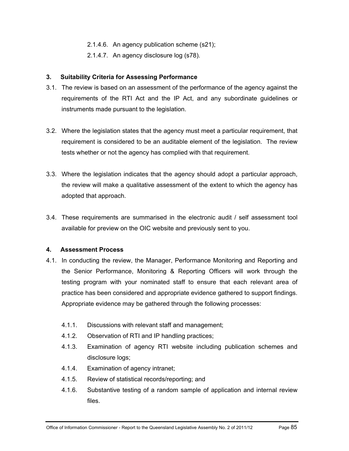- 2.1.4.6. An agency publication scheme (s21);
- 2.1.4.7. An agency disclosure log (s78).

#### **3. Suitability Criteria for Assessing Performance**

- 3.1. The review is based on an assessment of the performance of the agency against the requirements of the RTI Act and the IP Act, and any subordinate guidelines or instruments made pursuant to the legislation.
- 3.2. Where the legislation states that the agency must meet a particular requirement, that requirement is considered to be an auditable element of the legislation. The review tests whether or not the agency has complied with that requirement.
- 3.3. Where the legislation indicates that the agency should adopt a particular approach, the review will make a qualitative assessment of the extent to which the agency has adopted that approach.
- 3.4. These requirements are summarised in the electronic audit / self assessment tool available for preview on the OIC website and previously sent to you.

#### **4. Assessment Process**

- 4.1. In conducting the review, the Manager, Performance Monitoring and Reporting and the Senior Performance, Monitoring & Reporting Officers will work through the testing program with your nominated staff to ensure that each relevant area of practice has been considered and appropriate evidence gathered to support findings. Appropriate evidence may be gathered through the following processes:
	- 4.1.1. Discussions with relevant staff and management;
	- 4.1.2. Observation of RTI and IP handling practices;
	- 4.1.3. Examination of agency RTI website including publication schemes and disclosure logs;
	- 4.1.4. Examination of agency intranet;
	- 4.1.5. Review of statistical records/reporting; and
	- 4.1.6. Substantive testing of a random sample of application and internal review files.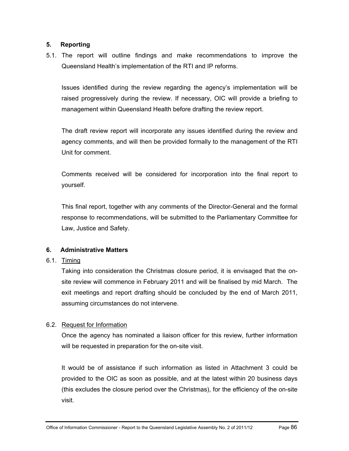## **5. Reporting**

5.1. The report will outline findings and make recommendations to improve the Queensland Health's implementation of the RTI and IP reforms.

Issues identified during the review regarding the agency's implementation will be raised progressively during the review. If necessary, OIC will provide a briefing to management within Queensland Health before drafting the review report.

The draft review report will incorporate any issues identified during the review and agency comments, and will then be provided formally to the management of the RTI Unit for comment.

Comments received will be considered for incorporation into the final report to yourself.

This final report, together with any comments of the Director-General and the formal response to recommendations, will be submitted to the Parliamentary Committee for Law, Justice and Safety.

## **6. Administrative Matters**

## 6.1. Timing

Taking into consideration the Christmas closure period, it is envisaged that the onsite review will commence in February 2011 and will be finalised by mid March. The exit meetings and report drafting should be concluded by the end of March 2011, assuming circumstances do not intervene.

## 6.2. Request for Information

Once the agency has nominated a liaison officer for this review, further information will be requested in preparation for the on-site visit.

It would be of assistance if such information as listed in Attachment 3 could be provided to the OIC as soon as possible, and at the latest within 20 business days (this excludes the closure period over the Christmas), for the efficiency of the on-site visit.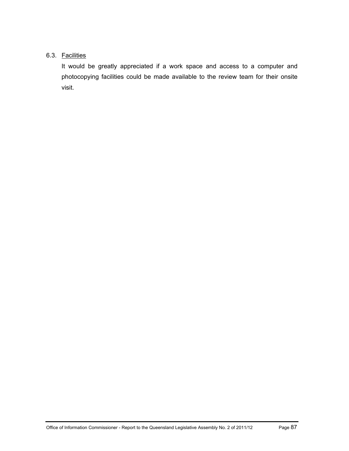## 6.3. Facilities

It would be greatly appreciated if a work space and access to a computer and photocopying facilities could be made available to the review team for their onsite visit.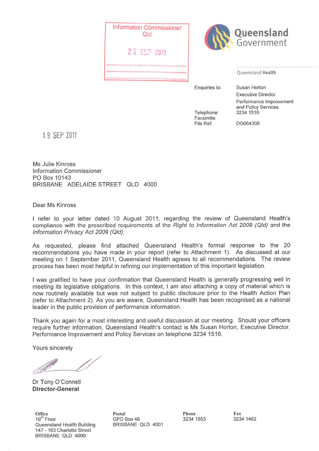



**Oueensland Health** 

Enquiries to:

Susan Horton **Executive Director** Performance Improvement and Policy Services 3234 1516

Telephone: Facsimile: File Ref:

DG064308

1 9 SEP 2011

Ms Julie Kinross **Information Commissioner** PO Box 10143 BRISBANE ADELAIDE STREET QLD 4000

Dear Ms Kinross

I refer to your letter dated 10 August 2011, regarding the review of Queensland Health's compliance with the prescribed requirements of the Right to Information Act 2009 (QId) and the Information Privacy Act 2009 (Qld).

As requested, please find attached Queensland Health's formal response to the 20 recommendations you have made in your report (refer to Attachment 1). As discussed at our meeting on 1 September 2011, Queensland Health agrees to all recommendations. The review process has been most helpful in refining our implementation of this important legislation.

I was gratified to have your confirmation that Queensland Health is generally progressing well in meeting its legislative obligations. In this context, I am also attaching a copy of material which is now routinely available but was not subject to public disclosure prior to the Health Action Plan (refer to Attachment 2). As you are aware, Queensland Health has been recognised as a national leader in the public provision of performance information.

Thank you again for a most interesting and useful discussion at our meeting. Should your officers require further information, Queensland Health's contact is Ms Susan Horton, Executive Director, Performance Improvement and Policy Services on telephone 3234 1516.

Yours sincerely

Dr Tony O'Connell **Director-General** 

Office 19<sup>th</sup> Floor Queensland Health Building 147 - 163 Charlotte Street BRISBANE QLD 4000

Postal GPO Box 48 BRISBANE QLD 4001 Phone 3234 1553

Fax 3234 1482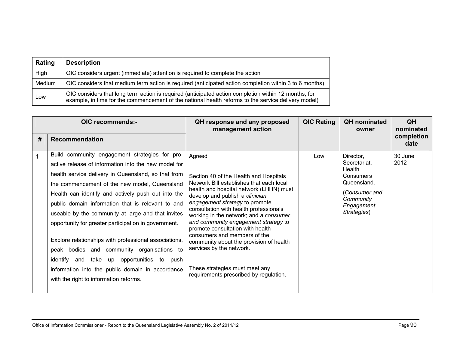| Rating | <b>Description</b>                                                                                                                                                                                          |
|--------|-------------------------------------------------------------------------------------------------------------------------------------------------------------------------------------------------------------|
| High   | OIC considers urgent (immediate) attention is required to complete the action                                                                                                                               |
| Medium | OIC considers that medium term action is required (anticipated action completion within 3 to 6 months)                                                                                                      |
| Low    | OIC considers that long term action is required (anticipated action completion within 12 months, for<br>example, in time for the commencement of the national health reforms to the service delivery model) |

| OIC recommends:- |                                                                                                                                                                                                                                                                                                                                                                                                                                                                                                                                                                                                                                                                                                  | QH response and any proposed<br>management action                                                                                                                                                                                                                                                                                                                                                                                                                                                                                                               | <b>OIC Rating</b> | <b>QH</b> nominated<br>owner                                                                                               | QH<br>nominated    |
|------------------|--------------------------------------------------------------------------------------------------------------------------------------------------------------------------------------------------------------------------------------------------------------------------------------------------------------------------------------------------------------------------------------------------------------------------------------------------------------------------------------------------------------------------------------------------------------------------------------------------------------------------------------------------------------------------------------------------|-----------------------------------------------------------------------------------------------------------------------------------------------------------------------------------------------------------------------------------------------------------------------------------------------------------------------------------------------------------------------------------------------------------------------------------------------------------------------------------------------------------------------------------------------------------------|-------------------|----------------------------------------------------------------------------------------------------------------------------|--------------------|
| #                | <b>Recommendation</b>                                                                                                                                                                                                                                                                                                                                                                                                                                                                                                                                                                                                                                                                            |                                                                                                                                                                                                                                                                                                                                                                                                                                                                                                                                                                 |                   |                                                                                                                            | completion<br>date |
|                  | Build community engagement strategies for pro-<br>active release of information into the new model for<br>health service delivery in Queensland, so that from<br>the commencement of the new model, Queensland<br>Health can identify and actively push out into the<br>public domain information that is relevant to and<br>useable by the community at large and that invites<br>opportunity for greater participation in government.<br>Explore relationships with professional associations,<br>peak bodies and community organisations to<br>identify<br>take up opportunities to push<br>and<br>information into the public domain in accordance<br>with the right to information reforms. | Agreed<br>Section 40 of the Health and Hospitals<br>Network Bill establishes that each local<br>health and hospital network (LHHN) must<br>develop and publish a clinician<br>engagement strategy to promote<br>consultation with health professionals<br>working in the network; and a consumer<br>and community engagement strategy to<br>promote consultation with health<br>consumers and members of the<br>community about the provision of health<br>services by the network.<br>These strategies must meet any<br>requirements prescribed by regulation. | Low               | Director,<br>Secretariat,<br>Health<br>Consumers<br>Queensland.<br>(Consumer and<br>Community<br>Engagement<br>Strategies) | 30 June<br>2012    |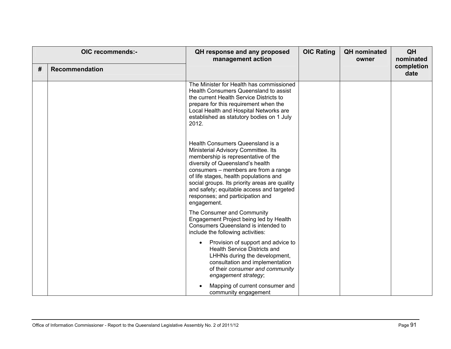| # | OIC recommends:-<br><b>Recommendation</b> | QH response and any proposed<br>management action                                                                                                                                                                                                                                                                                                                                     | <b>OIC Rating</b> | <b>QH</b> nominated<br>owner | QH<br>nominated<br>completion<br>date |
|---|-------------------------------------------|---------------------------------------------------------------------------------------------------------------------------------------------------------------------------------------------------------------------------------------------------------------------------------------------------------------------------------------------------------------------------------------|-------------------|------------------------------|---------------------------------------|
|   |                                           | The Minister for Health has commissioned<br>Health Consumers Queensland to assist<br>the current Health Service Districts to<br>prepare for this requirement when the<br>Local Health and Hospital Networks are<br>established as statutory bodies on 1 July<br>2012.                                                                                                                 |                   |                              |                                       |
|   |                                           | Health Consumers Queensland is a<br>Ministerial Advisory Committee. Its<br>membership is representative of the<br>diversity of Queensland's health<br>consumers – members are from a range<br>of life stages, health populations and<br>social groups. Its priority areas are quality<br>and safety; equitable access and targeted<br>responses; and participation and<br>engagement. |                   |                              |                                       |
|   |                                           | The Consumer and Community<br>Engagement Project being led by Health<br>Consumers Queensland is intended to<br>include the following activities:                                                                                                                                                                                                                                      |                   |                              |                                       |
|   |                                           | Provision of support and advice to<br>$\bullet$<br><b>Health Service Districts and</b><br>LHHNs during the development,<br>consultation and implementation<br>of their consumer and community<br>engagement strategy;                                                                                                                                                                 |                   |                              |                                       |
|   |                                           | Mapping of current consumer and<br>community engagement                                                                                                                                                                                                                                                                                                                               |                   |                              |                                       |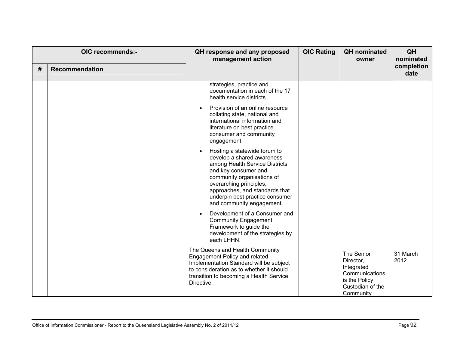| # | OIC recommends:-<br><b>Recommendation</b> | QH response and any proposed<br>management action                                                                                                                                                                                                                                            | <b>OIC Rating</b> | <b>QH</b> nominated<br>owner                                                                              | QH<br>nominated<br>completion<br>date |
|---|-------------------------------------------|----------------------------------------------------------------------------------------------------------------------------------------------------------------------------------------------------------------------------------------------------------------------------------------------|-------------------|-----------------------------------------------------------------------------------------------------------|---------------------------------------|
|   |                                           | strategies, practice and<br>documentation in each of the 17<br>health service districts.                                                                                                                                                                                                     |                   |                                                                                                           |                                       |
|   |                                           | Provision of an online resource<br>$\bullet$<br>collating state, national and<br>international information and<br>literature on best practice<br>consumer and community<br>engagement.                                                                                                       |                   |                                                                                                           |                                       |
|   |                                           | Hosting a statewide forum to<br>$\bullet$<br>develop a shared awareness<br>among Health Service Districts<br>and key consumer and<br>community organisations of<br>overarching principles,<br>approaches, and standards that<br>underpin best practice consumer<br>and community engagement. |                   |                                                                                                           |                                       |
|   |                                           | Development of a Consumer and<br>$\bullet$<br><b>Community Engagement</b><br>Framework to guide the<br>development of the strategies by<br>each LHHN.                                                                                                                                        |                   |                                                                                                           |                                       |
|   |                                           | The Queensland Health Community<br>Engagement Policy and related<br>Implementation Standard will be subject<br>to consideration as to whether it should<br>transition to becoming a Health Service<br>Directive.                                                                             |                   | The Senior<br>Director,<br>Integrated<br>Communications<br>is the Policy<br>Custodian of the<br>Community | 31 March<br>2012.                     |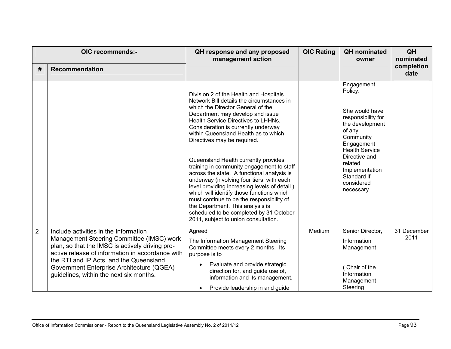| #              | OIC recommends:-<br><b>Recommendation</b>                                                                                                                                                                                                                                                                                    | QH response and any proposed<br>management action                                                                                                                                                                                                                                                                                                                                                                                                                                                                                                                                                                                                                                                                                                                   | <b>OIC Rating</b> | <b>QH</b> nominated<br>owner                                                                                                                                                                                                           | QH<br>nominated<br>completion<br>date |
|----------------|------------------------------------------------------------------------------------------------------------------------------------------------------------------------------------------------------------------------------------------------------------------------------------------------------------------------------|---------------------------------------------------------------------------------------------------------------------------------------------------------------------------------------------------------------------------------------------------------------------------------------------------------------------------------------------------------------------------------------------------------------------------------------------------------------------------------------------------------------------------------------------------------------------------------------------------------------------------------------------------------------------------------------------------------------------------------------------------------------------|-------------------|----------------------------------------------------------------------------------------------------------------------------------------------------------------------------------------------------------------------------------------|---------------------------------------|
|                |                                                                                                                                                                                                                                                                                                                              | Division 2 of the Health and Hospitals<br>Network Bill details the circumstances in<br>which the Director General of the<br>Department may develop and issue<br>Health Service Directives to LHHNs.<br>Consideration is currently underway<br>within Queensland Health as to which<br>Directives may be required.<br>Queensland Health currently provides<br>training in community engagement to staff<br>across the state. A functional analysis is<br>underway (involving four tiers, with each<br>level providing increasing levels of detail.)<br>which will identify those functions which<br>must continue to be the responsibility of<br>the Department. This analysis is<br>scheduled to be completed by 31 October<br>2011, subject to union consultation. |                   | Engagement<br>Policy.<br>She would have<br>responsibility for<br>the development<br>of any<br>Community<br>Engagement<br><b>Health Service</b><br>Directive and<br>related<br>Implementation<br>Standard if<br>considered<br>necessary |                                       |
| $\overline{2}$ | Include activities in the Information<br>Management Steering Committee (IMSC) work<br>plan, so that the IMSC is actively driving pro-<br>active release of information in accordance with<br>the RTI and IP Acts, and the Queensland<br>Government Enterprise Architecture (QGEA)<br>guidelines, within the next six months. | Agreed<br>The Information Management Steering<br>Committee meets every 2 months. Its<br>purpose is to<br>Evaluate and provide strategic<br>$\bullet$<br>direction for, and guide use of,<br>information and its management.<br>Provide leadership in and guide<br>$\bullet$                                                                                                                                                                                                                                                                                                                                                                                                                                                                                         | Medium            | Senior Director,<br>Information<br>Management<br>Chair of the<br>Information<br>Management<br>Steering                                                                                                                                 | 31 December<br>2011                   |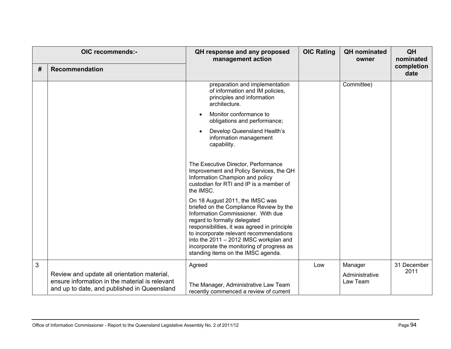| # | OIC recommends:-<br><b>Recommendation</b>                                                                                                    | QH response and any proposed<br>management action                                                                                                                                                                                                                                                                                                                        | <b>OIC Rating</b> | <b>QH</b> nominated<br>owner          | QH<br>nominated<br>completion<br>date |
|---|----------------------------------------------------------------------------------------------------------------------------------------------|--------------------------------------------------------------------------------------------------------------------------------------------------------------------------------------------------------------------------------------------------------------------------------------------------------------------------------------------------------------------------|-------------------|---------------------------------------|---------------------------------------|
|   |                                                                                                                                              | preparation and implementation<br>of information and IM policies,<br>principles and information<br>architecture.                                                                                                                                                                                                                                                         |                   | Committee)                            |                                       |
|   |                                                                                                                                              | Monitor conformance to<br>$\bullet$<br>obligations and performance;                                                                                                                                                                                                                                                                                                      |                   |                                       |                                       |
|   |                                                                                                                                              | Develop Queensland Health's<br>information management<br>capability.                                                                                                                                                                                                                                                                                                     |                   |                                       |                                       |
|   |                                                                                                                                              | The Executive Director, Performance<br>Improvement and Policy Services, the QH<br>Information Champion and policy<br>custodian for RTI and IP is a member of<br>the IMSC.                                                                                                                                                                                                |                   |                                       |                                       |
|   |                                                                                                                                              | On 18 August 2011, the IMSC was<br>briefed on the Compliance Review by the<br>Information Commissioner. With due<br>regard to formally delegated<br>responsibilities, it was agreed in principle<br>to incorporate relevant recommendations<br>into the 2011 - 2012 IMSC workplan and<br>incorporate the monitoring of progress as<br>standing items on the IMSC agenda. |                   |                                       |                                       |
| 3 | Review and update all orientation material,<br>ensure information in the material is relevant<br>and up to date, and published in Queensland | Agreed<br>The Manager, Administrative Law Team<br>recently commenced a review of current                                                                                                                                                                                                                                                                                 | Low               | Manager<br>Administrative<br>Law Team | 31 December<br>2011                   |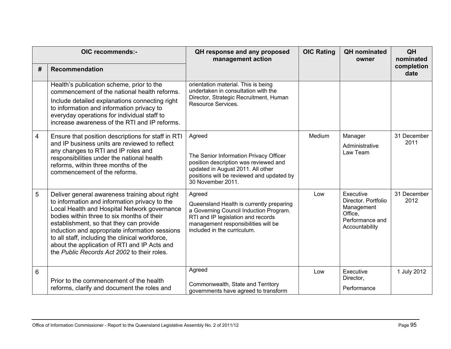|   | OIC recommends:-                                                                                                                                                                                                                                                                                                                                                                                                                             | QH response and any proposed<br>management action                                                                                                                                                        | <b>OIC Rating</b> | <b>QH</b> nominated<br>owner                                                                   | QH<br>nominated     |
|---|----------------------------------------------------------------------------------------------------------------------------------------------------------------------------------------------------------------------------------------------------------------------------------------------------------------------------------------------------------------------------------------------------------------------------------------------|----------------------------------------------------------------------------------------------------------------------------------------------------------------------------------------------------------|-------------------|------------------------------------------------------------------------------------------------|---------------------|
| # | Recommendation                                                                                                                                                                                                                                                                                                                                                                                                                               |                                                                                                                                                                                                          |                   |                                                                                                | completion<br>date  |
|   | Health's publication scheme, prior to the<br>commencement of the national health reforms.<br>Include detailed explanations connecting right<br>to information and information privacy to<br>everyday operations for individual staff to<br>increase awareness of the RTI and IP reforms.                                                                                                                                                     | orientation material. This is being<br>undertaken in consultation with the<br>Director, Strategic Recruitment, Human<br>Resource Services.                                                               |                   |                                                                                                |                     |
| 4 | Ensure that position descriptions for staff in RTI<br>and IP business units are reviewed to reflect<br>any changes to RTI and IP roles and<br>responsibilities under the national health<br>reforms, within three months of the<br>commencement of the reforms.                                                                                                                                                                              | Agreed<br>The Senior Information Privacy Officer<br>position description was reviewed and<br>updated in August 2011. All other<br>positions will be reviewed and updated by<br>30 November 2011.         | Medium            | Manager<br>Administrative<br>Law Team                                                          | 31 December<br>2011 |
| 5 | Deliver general awareness training about right<br>to information and information privacy to the<br>Local Health and Hospital Network governance<br>bodies within three to six months of their<br>establishment, so that they can provide<br>induction and appropriate information sessions<br>to all staff, including the clinical workforce,<br>about the application of RTI and IP Acts and<br>the Public Records Act 2002 to their roles. | Agreed<br>Queensland Health is currently preparing<br>a Governing Council Induction Program.<br>RTI and IP legislation and records<br>management responsibilities will be<br>included in the curriculum. | Low               | Executive<br>Director, Portfolio<br>Management<br>Office.<br>Performance and<br>Accountability | 31 December<br>2012 |
| 6 | Prior to the commencement of the health<br>reforms, clarify and document the roles and                                                                                                                                                                                                                                                                                                                                                       | Agreed<br>Commonwealth, State and Territory<br>governments have agreed to transform                                                                                                                      | Low               | Executive<br>Director,<br>Performance                                                          | 1 July 2012         |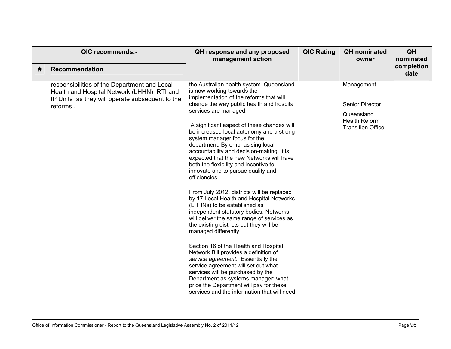| OIC recommends:- |                                                                                                                                                           | QH response and any proposed<br>management action                                                                                                                                                                                                                                                                                                                                                                                                                                                                                                                                                                                                                                                                                                                                                                                                                                                                                                                                                                                                                                                                                                                        | <b>OIC Rating</b> | <b>QH</b> nominated<br>owner                                                                    | QH<br>nominated    |
|------------------|-----------------------------------------------------------------------------------------------------------------------------------------------------------|--------------------------------------------------------------------------------------------------------------------------------------------------------------------------------------------------------------------------------------------------------------------------------------------------------------------------------------------------------------------------------------------------------------------------------------------------------------------------------------------------------------------------------------------------------------------------------------------------------------------------------------------------------------------------------------------------------------------------------------------------------------------------------------------------------------------------------------------------------------------------------------------------------------------------------------------------------------------------------------------------------------------------------------------------------------------------------------------------------------------------------------------------------------------------|-------------------|-------------------------------------------------------------------------------------------------|--------------------|
| #                | Recommendation                                                                                                                                            |                                                                                                                                                                                                                                                                                                                                                                                                                                                                                                                                                                                                                                                                                                                                                                                                                                                                                                                                                                                                                                                                                                                                                                          |                   |                                                                                                 | completion<br>date |
|                  | responsibilities of the Department and Local<br>Health and Hospital Network (LHHN) RTI and<br>IP Units as they will operate subsequent to the<br>reforms. | the Australian health system. Queensland<br>is now working towards the<br>implementation of the reforms that will<br>change the way public health and hospital<br>services are managed.<br>A significant aspect of these changes will<br>be increased local autonomy and a strong<br>system manager focus for the<br>department. By emphasising local<br>accountability and decision-making, it is<br>expected that the new Networks will have<br>both the flexibility and incentive to<br>innovate and to pursue quality and<br>efficiencies.<br>From July 2012, districts will be replaced<br>by 17 Local Health and Hospital Networks<br>(LHHNs) to be established as<br>independent statutory bodies. Networks<br>will deliver the same range of services as<br>the existing districts but they will be<br>managed differently.<br>Section 16 of the Health and Hospital<br>Network Bill provides a definition of<br>service agreement. Essentially the<br>service agreement will set out what<br>services will be purchased by the<br>Department as systems manager; what<br>price the Department will pay for these<br>services and the information that will need |                   | Management<br>Senior Director<br>Queensland<br><b>Health Reform</b><br><b>Transition Office</b> |                    |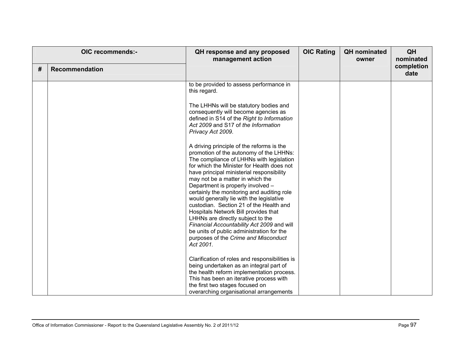| OIC recommends:- |                       | QH response and any proposed<br>management action                                                                                                                                                                                                                                                                                                                                                                                                                                                                                                                                                                                                                      | <b>OIC Rating</b> | <b>QH</b> nominated<br>owner | QH<br>nominated    |
|------------------|-----------------------|------------------------------------------------------------------------------------------------------------------------------------------------------------------------------------------------------------------------------------------------------------------------------------------------------------------------------------------------------------------------------------------------------------------------------------------------------------------------------------------------------------------------------------------------------------------------------------------------------------------------------------------------------------------------|-------------------|------------------------------|--------------------|
| #                | <b>Recommendation</b> |                                                                                                                                                                                                                                                                                                                                                                                                                                                                                                                                                                                                                                                                        |                   |                              | completion<br>date |
|                  |                       | to be provided to assess performance in<br>this regard.                                                                                                                                                                                                                                                                                                                                                                                                                                                                                                                                                                                                                |                   |                              |                    |
|                  |                       | The LHHNs will be statutory bodies and<br>consequently will become agencies as<br>defined in S14 of the Right to Information<br>Act 2009 and S17 of the Information<br>Privacy Act 2009.                                                                                                                                                                                                                                                                                                                                                                                                                                                                               |                   |                              |                    |
|                  |                       | A driving principle of the reforms is the<br>promotion of the autonomy of the LHHNs:<br>The compliance of LHHNs with legislation<br>for which the Minister for Health does not<br>have principal ministerial responsibility<br>may not be a matter in which the<br>Department is properly involved -<br>certainly the monitoring and auditing role<br>would generally lie with the legislative<br>custodian. Section 21 of the Health and<br>Hospitals Network Bill provides that<br>LHHNs are directly subject to the<br>Financial Accountability Act 2009 and will<br>be units of public administration for the<br>purposes of the Crime and Misconduct<br>Act 2001. |                   |                              |                    |
|                  |                       | Clarification of roles and responsibilities is<br>being undertaken as an integral part of<br>the health reform implementation process.<br>This has been an iterative process with<br>the first two stages focused on<br>overarching organisational arrangements                                                                                                                                                                                                                                                                                                                                                                                                        |                   |                              |                    |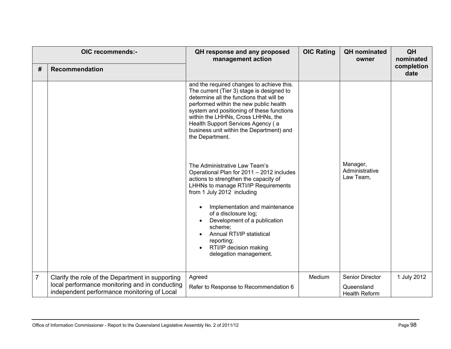| OIC recommends:-<br>#<br><b>Recommendation</b> |                                                                                                                                                   | QH response and any proposed<br>management action                                                                                                                                                                                                                                                                                                                   | <b>OIC Rating</b> | <b>QH</b> nominated<br>owner                          | QH<br>nominated<br>completion |
|------------------------------------------------|---------------------------------------------------------------------------------------------------------------------------------------------------|---------------------------------------------------------------------------------------------------------------------------------------------------------------------------------------------------------------------------------------------------------------------------------------------------------------------------------------------------------------------|-------------------|-------------------------------------------------------|-------------------------------|
|                                                |                                                                                                                                                   |                                                                                                                                                                                                                                                                                                                                                                     |                   |                                                       | date                          |
|                                                |                                                                                                                                                   | and the required changes to achieve this.<br>The current (Tier 3) stage is designed to<br>determine all the functions that will be<br>performed within the new public health<br>system and positioning of these functions<br>within the LHHNs, Cross LHHNs, the<br>Health Support Services Agency (a<br>business unit within the Department) and<br>the Department. |                   |                                                       |                               |
|                                                |                                                                                                                                                   | The Administrative Law Team's<br>Operational Plan for 2011 - 2012 includes<br>actions to strengthen the capacity of<br>LHHNs to manage RTI/IP Requirements<br>from 1 July 2012 including                                                                                                                                                                            |                   | Manager,<br>Administrative<br>Law Team,               |                               |
|                                                |                                                                                                                                                   | Implementation and maintenance<br>$\bullet$<br>of a disclosure log;<br>Development of a publication<br>scheme;<br>Annual RTI/IP statistical<br>reporting;<br>RTI/IP decision making<br>delegation management.                                                                                                                                                       |                   |                                                       |                               |
| $\overline{7}$                                 | Clarify the role of the Department in supporting<br>local performance monitoring and in conducting<br>independent performance monitoring of Local | Agreed<br>Refer to Response to Recommendation 6                                                                                                                                                                                                                                                                                                                     | Medium            | Senior Director<br>Queensland<br><b>Health Reform</b> | 1 July 2012                   |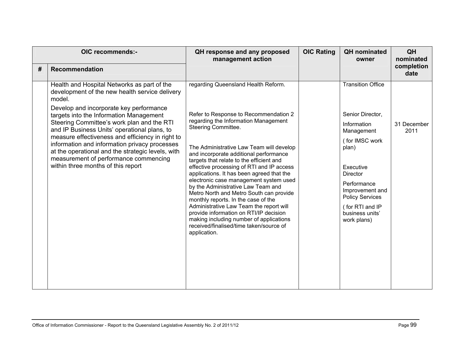| OIC recommends:- |                                                                                                                                                                                                 | QH response and any proposed<br>management action                                                                                                                                       | <b>OIC Rating</b> | <b>QH</b> nominated<br>owner                             | QH<br>nominated<br>completion |
|------------------|-------------------------------------------------------------------------------------------------------------------------------------------------------------------------------------------------|-----------------------------------------------------------------------------------------------------------------------------------------------------------------------------------------|-------------------|----------------------------------------------------------|-------------------------------|
| #                | <b>Recommendation</b>                                                                                                                                                                           |                                                                                                                                                                                         |                   |                                                          | date                          |
|                  | Health and Hospital Networks as part of the<br>development of the new health service delivery<br>model.<br>Develop and incorporate key performance                                              | regarding Queensland Health Reform.                                                                                                                                                     |                   | <b>Transition Office</b>                                 |                               |
|                  | targets into the Information Management<br>Steering Committee's work plan and the RTI                                                                                                           | Refer to Response to Recommendation 2<br>regarding the Information Management                                                                                                           |                   | Senior Director,                                         |                               |
|                  | and IP Business Units' operational plans, to                                                                                                                                                    | Steering Committee.                                                                                                                                                                     |                   | Information<br>Management                                | 31 December<br>2011           |
|                  | measure effectiveness and efficiency in right to<br>information and information privacy processes<br>at the operational and the strategic levels, with<br>measurement of performance commencing | The Administrative Law Team will develop<br>and incorporate additional performance<br>targets that relate to the efficient and                                                          |                   | (for IMSC work<br>plan)                                  |                               |
|                  | within three months of this report                                                                                                                                                              | effective processing of RTI and IP access<br>applications. It has been agreed that the                                                                                                  |                   | Executive<br><b>Director</b>                             |                               |
|                  |                                                                                                                                                                                                 | electronic case management system used<br>by the Administrative Law Team and<br>Metro North and Metro South can provide<br>monthly reports. In the case of the                          |                   | Performance<br>Improvement and<br><b>Policy Services</b> |                               |
|                  |                                                                                                                                                                                                 | Administrative Law Team the report will<br>provide information on RTI/IP decision<br>making including number of applications<br>received/finalised/time taken/source of<br>application. |                   | (for RTI and IP<br>business units'<br>work plans)        |                               |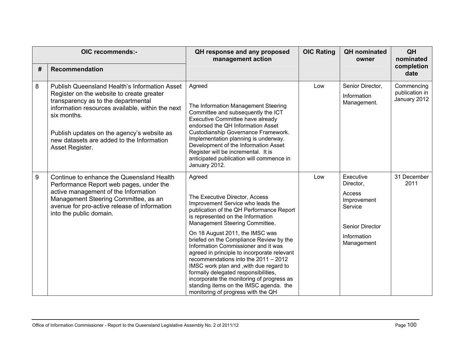| OIC recommends:- |                                                                                                                                                                                                                                                                                                                           | QH response and any proposed<br>management action                                                                                                                                                                                                                                                                                                                                                                                                                                                                                                                                                                            | <b>OIC Rating</b> | <b>QH</b> nominated<br>owner                                                                                      | QH<br>nominated                              |
|------------------|---------------------------------------------------------------------------------------------------------------------------------------------------------------------------------------------------------------------------------------------------------------------------------------------------------------------------|------------------------------------------------------------------------------------------------------------------------------------------------------------------------------------------------------------------------------------------------------------------------------------------------------------------------------------------------------------------------------------------------------------------------------------------------------------------------------------------------------------------------------------------------------------------------------------------------------------------------------|-------------------|-------------------------------------------------------------------------------------------------------------------|----------------------------------------------|
| #                | <b>Recommendation</b>                                                                                                                                                                                                                                                                                                     |                                                                                                                                                                                                                                                                                                                                                                                                                                                                                                                                                                                                                              |                   |                                                                                                                   | completion<br>date                           |
| 8                | <b>Publish Queensland Health's Information Asset</b><br>Register on the website to create greater<br>transparency as to the departmental<br>information resources available, within the next<br>six months.<br>Publish updates on the agency's website as<br>new datasets are added to the Information<br>Asset Register. | Agreed<br>The Information Management Steering<br>Committee and subsequently the ICT<br>Executive Committee have already<br>endorsed the QH Information Asset<br>Custodianship Governance Framework.<br>Implementation planning is underway.<br>Development of the Information Asset<br>Register will be incremental. It is<br>anticipated publication will commence in<br>January 2012.                                                                                                                                                                                                                                      | Low               | Senior Director,<br>Information<br>Management.                                                                    | Commencing<br>publication in<br>January 2012 |
| 9                | Continue to enhance the Queensland Health<br>Performance Report web pages, under the<br>active management of the Information<br>Management Steering Committee, as an<br>avenue for pro-active release of information<br>into the public domain.                                                                           | Agreed<br>The Executive Director, Access<br>Improvement Service who leads the<br>publication of the QH Performance Report<br>is represented on the Information<br>Management Steering Committee.<br>On 18 August 2011, the IMSC was<br>briefed on the Compliance Review by the<br>Information Commissioner and it was<br>agreed in principle to incorporate relevant<br>recommendations into the 2011 - 2012<br>IMSC work plan and , with due regard to<br>formally delegated responsibilities,<br>incorporate the monitoring of progress as<br>standing items on the IMSC agenda. the<br>monitoring of progress with the QH | Low               | Executive<br>Director,<br><b>Access</b><br>Improvement<br>Service<br>Senior Director<br>Information<br>Management | 31 December<br>2011                          |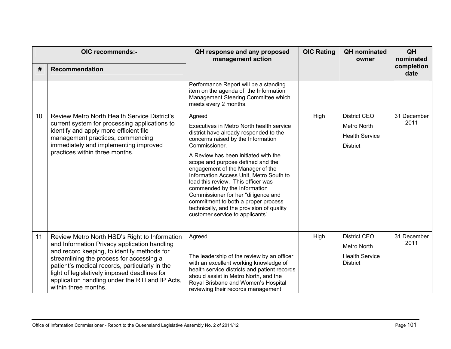| OIC recommends:- |                                                                                                                                                                                                                                                                                                                                                                       | QH response and any proposed<br>management action                                                                                                                                                                                                                                                                                                                                             | <b>OIC Rating</b> | <b>QH</b> nominated<br>owner             | QH<br>nominated     |
|------------------|-----------------------------------------------------------------------------------------------------------------------------------------------------------------------------------------------------------------------------------------------------------------------------------------------------------------------------------------------------------------------|-----------------------------------------------------------------------------------------------------------------------------------------------------------------------------------------------------------------------------------------------------------------------------------------------------------------------------------------------------------------------------------------------|-------------------|------------------------------------------|---------------------|
| #                | <b>Recommendation</b>                                                                                                                                                                                                                                                                                                                                                 |                                                                                                                                                                                                                                                                                                                                                                                               |                   |                                          | completion<br>date  |
|                  |                                                                                                                                                                                                                                                                                                                                                                       | Performance Report will be a standing<br>item on the agenda of the Information<br>Management Steering Committee which<br>meets every 2 months.                                                                                                                                                                                                                                                |                   |                                          |                     |
| 10 <sup>°</sup>  | Review Metro North Health Service District's<br>current system for processing applications to<br>identify and apply more efficient file<br>management practices, commencing<br>immediately and implementing improved<br>practices within three months.                                                                                                                | Agreed                                                                                                                                                                                                                                                                                                                                                                                        | High              | <b>District CEO</b>                      | 31 December<br>2011 |
|                  |                                                                                                                                                                                                                                                                                                                                                                       | Executives in Metro North health service<br>district have already responded to the<br>concerns raised by the Information<br>Commissioner.                                                                                                                                                                                                                                                     |                   | Metro North                              |                     |
|                  |                                                                                                                                                                                                                                                                                                                                                                       |                                                                                                                                                                                                                                                                                                                                                                                               |                   | <b>Health Service</b>                    |                     |
|                  |                                                                                                                                                                                                                                                                                                                                                                       |                                                                                                                                                                                                                                                                                                                                                                                               |                   | <b>District</b>                          |                     |
|                  |                                                                                                                                                                                                                                                                                                                                                                       | A Review has been initiated with the<br>scope and purpose defined and the<br>engagement of the Manager of the<br>Information Access Unit, Metro South to<br>lead this review. This officer was<br>commended by the Information<br>Commissioner for her "diligence and<br>commitment to both a proper process<br>technically, and the provision of quality<br>customer service to applicants". |                   |                                          |                     |
| 11               | Review Metro North HSD's Right to Information<br>and Information Privacy application handling<br>and record keeping, to identify methods for<br>streamlining the process for accessing a<br>patient's medical records, particularly in the<br>light of legislatively imposed deadlines for<br>application handling under the RTI and IP Acts,<br>within three months. | Agreed<br>The leadership of the review by an officer<br>with an excellent working knowledge of                                                                                                                                                                                                                                                                                                | High              | <b>District CEO</b>                      | 31 December<br>2011 |
|                  |                                                                                                                                                                                                                                                                                                                                                                       |                                                                                                                                                                                                                                                                                                                                                                                               |                   | Metro North                              |                     |
|                  |                                                                                                                                                                                                                                                                                                                                                                       |                                                                                                                                                                                                                                                                                                                                                                                               |                   | <b>Health Service</b><br><b>District</b> |                     |
|                  |                                                                                                                                                                                                                                                                                                                                                                       | health service districts and patient records                                                                                                                                                                                                                                                                                                                                                  |                   |                                          |                     |
|                  |                                                                                                                                                                                                                                                                                                                                                                       | should assist in Metro North, and the<br>Royal Brisbane and Women's Hospital<br>reviewing their records management                                                                                                                                                                                                                                                                            |                   |                                          |                     |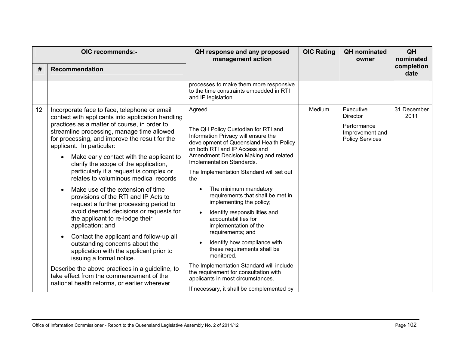| OIC recommends:- |                                                                                                                                                                                                                                                                                                                                                                                                                                                                                                                                                                                                                                                                                                                                                                                                                                                                                                                                    | QH response and any proposed<br>management action                                                                                                                                                                                                                                                                                                                                                                                                                                                                                                                                                                                                                                                                                        | <b>OIC Rating</b> | <b>QH</b> nominated<br>owner                                                             | QH<br>nominated     |
|------------------|------------------------------------------------------------------------------------------------------------------------------------------------------------------------------------------------------------------------------------------------------------------------------------------------------------------------------------------------------------------------------------------------------------------------------------------------------------------------------------------------------------------------------------------------------------------------------------------------------------------------------------------------------------------------------------------------------------------------------------------------------------------------------------------------------------------------------------------------------------------------------------------------------------------------------------|------------------------------------------------------------------------------------------------------------------------------------------------------------------------------------------------------------------------------------------------------------------------------------------------------------------------------------------------------------------------------------------------------------------------------------------------------------------------------------------------------------------------------------------------------------------------------------------------------------------------------------------------------------------------------------------------------------------------------------------|-------------------|------------------------------------------------------------------------------------------|---------------------|
| #                | <b>Recommendation</b>                                                                                                                                                                                                                                                                                                                                                                                                                                                                                                                                                                                                                                                                                                                                                                                                                                                                                                              |                                                                                                                                                                                                                                                                                                                                                                                                                                                                                                                                                                                                                                                                                                                                          |                   |                                                                                          | completion<br>date  |
|                  |                                                                                                                                                                                                                                                                                                                                                                                                                                                                                                                                                                                                                                                                                                                                                                                                                                                                                                                                    | processes to make them more responsive<br>to the time constraints embedded in RTI<br>and IP legislation.                                                                                                                                                                                                                                                                                                                                                                                                                                                                                                                                                                                                                                 |                   |                                                                                          |                     |
| 12               | Incorporate face to face, telephone or email<br>contact with applicants into application handling<br>practices as a matter of course, in order to<br>streamline processing, manage time allowed<br>for processing, and improve the result for the<br>applicant. In particular:<br>Make early contact with the applicant to<br>clarify the scope of the application,<br>particularly if a request is complex or<br>relates to voluminous medical records<br>Make use of the extension of time<br>provisions of the RTI and IP Acts to<br>request a further processing period to<br>avoid deemed decisions or requests for<br>the applicant to re-lodge their<br>application; and<br>Contact the applicant and follow-up all<br>outstanding concerns about the<br>application with the applicant prior to<br>issuing a formal notice.<br>Describe the above practices in a guideline, to<br>take effect from the commencement of the | Agreed<br>The QH Policy Custodian for RTI and<br>Information Privacy will ensure the<br>development of Queensland Health Policy<br>on both RTI and IP Access and<br>Amendment Decision Making and related<br>Implementation Standards.<br>The Implementation Standard will set out<br>the<br>The minimum mandatory<br>$\bullet$<br>requirements that shall be met in<br>implementing the policy;<br>Identify responsibilities and<br>$\bullet$<br>accountabilities for<br>implementation of the<br>requirements; and<br>Identify how compliance with<br>$\bullet$<br>these requirements shall be<br>monitored.<br>The Implementation Standard will include<br>the requirement for consultation with<br>applicants in most circumstances. | Medium            | Executive<br><b>Director</b><br>Performance<br>Improvement and<br><b>Policy Services</b> | 31 December<br>2011 |
|                  | national health reforms, or earlier wherever                                                                                                                                                                                                                                                                                                                                                                                                                                                                                                                                                                                                                                                                                                                                                                                                                                                                                       | If necessary, it shall be complemented by                                                                                                                                                                                                                                                                                                                                                                                                                                                                                                                                                                                                                                                                                                |                   |                                                                                          |                     |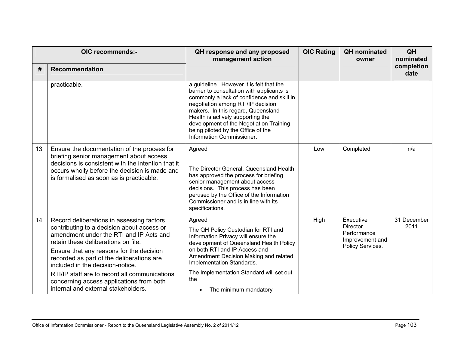| OIC recommends:- |                                                                                                                                                                                                                                                                                                                                                                                                                                            | QH response and any proposed<br>management action                                                                                                                                                                                                                                                                                                                  | <b>OIC Rating</b> | <b>QH</b> nominated<br>owner                                                 | QH<br>nominated     |
|------------------|--------------------------------------------------------------------------------------------------------------------------------------------------------------------------------------------------------------------------------------------------------------------------------------------------------------------------------------------------------------------------------------------------------------------------------------------|--------------------------------------------------------------------------------------------------------------------------------------------------------------------------------------------------------------------------------------------------------------------------------------------------------------------------------------------------------------------|-------------------|------------------------------------------------------------------------------|---------------------|
| #                | <b>Recommendation</b>                                                                                                                                                                                                                                                                                                                                                                                                                      |                                                                                                                                                                                                                                                                                                                                                                    |                   |                                                                              | completion<br>date  |
|                  | practicable.                                                                                                                                                                                                                                                                                                                                                                                                                               | a guideline. However it is felt that the<br>barrier to consultation with applicants is<br>commonly a lack of confidence and skill in<br>negotiation among RTI/IP decision<br>makers. In this regard, Queensland<br>Health is actively supporting the<br>development of the Negotiation Training<br>being piloted by the Office of the<br>Information Commissioner. |                   |                                                                              |                     |
| 13               | Ensure the documentation of the process for<br>briefing senior management about access<br>decisions is consistent with the intention that it<br>occurs wholly before the decision is made and<br>is formalised as soon as is practicable.                                                                                                                                                                                                  | Agreed<br>The Director General, Queensland Health<br>has approved the process for briefing<br>senior management about access<br>decisions. This process has been<br>perused by the Office of the Information<br>Commissioner and is in line with its<br>specifications.                                                                                            | Low               | Completed                                                                    | n/a                 |
| 14               | Record deliberations in assessing factors<br>contributing to a decision about access or<br>amendment under the RTI and IP Acts and<br>retain these deliberations on file.<br>Ensure that any reasons for the decision<br>recorded as part of the deliberations are<br>included in the decision-notice.<br>RTI/IP staff are to record all communications<br>concerning access applications from both<br>internal and external stakeholders. | Agreed<br>The QH Policy Custodian for RTI and<br>Information Privacy will ensure the<br>development of Queensland Health Policy<br>on both RTI and IP Access and<br>Amendment Decision Making and related<br>Implementation Standards.<br>The Implementation Standard will set out<br>the<br>The minimum mandatory<br>$\bullet$                                    | High              | Executive<br>Director.<br>Performance<br>Improvement and<br>Policy Services. | 31 December<br>2011 |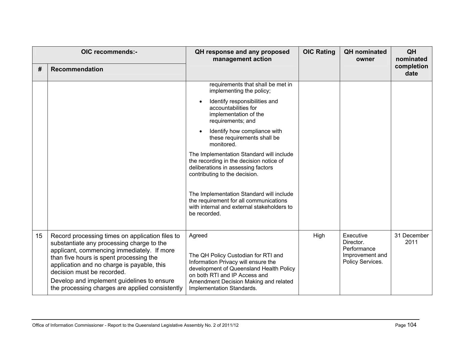| #  | OIC recommends:-<br><b>Recommendation</b>                                                                                                                                                                                                                                                                                                                          | QH response and any proposed<br>management action                                                                                                                                                                                      | <b>OIC Rating</b> | <b>QH</b> nominated<br>owner                                                 | QH<br>nominated<br>completion<br>date |
|----|--------------------------------------------------------------------------------------------------------------------------------------------------------------------------------------------------------------------------------------------------------------------------------------------------------------------------------------------------------------------|----------------------------------------------------------------------------------------------------------------------------------------------------------------------------------------------------------------------------------------|-------------------|------------------------------------------------------------------------------|---------------------------------------|
|    |                                                                                                                                                                                                                                                                                                                                                                    | requirements that shall be met in<br>implementing the policy;                                                                                                                                                                          |                   |                                                                              |                                       |
|    |                                                                                                                                                                                                                                                                                                                                                                    | Identify responsibilities and<br>$\bullet$<br>accountabilities for<br>implementation of the<br>requirements; and                                                                                                                       |                   |                                                                              |                                       |
|    |                                                                                                                                                                                                                                                                                                                                                                    | Identify how compliance with<br>$\bullet$<br>these requirements shall be<br>monitored.                                                                                                                                                 |                   |                                                                              |                                       |
|    |                                                                                                                                                                                                                                                                                                                                                                    | The Implementation Standard will include<br>the recording in the decision notice of<br>deliberations in assessing factors<br>contributing to the decision.                                                                             |                   |                                                                              |                                       |
|    |                                                                                                                                                                                                                                                                                                                                                                    | The Implementation Standard will include<br>the requirement for all communications<br>with internal and external stakeholders to<br>be recorded.                                                                                       |                   |                                                                              |                                       |
| 15 | Record processing times on application files to<br>substantiate any processing charge to the<br>applicant, commencing immediately. If more<br>than five hours is spent processing the<br>application and no charge is payable, this<br>decision must be recorded.<br>Develop and implement guidelines to ensure<br>the processing charges are applied consistently | Agreed<br>The QH Policy Custodian for RTI and<br>Information Privacy will ensure the<br>development of Queensland Health Policy<br>on both RTI and IP Access and<br>Amendment Decision Making and related<br>Implementation Standards. | High              | Executive<br>Director.<br>Performance<br>Improvement and<br>Policy Services. | 31 December<br>2011                   |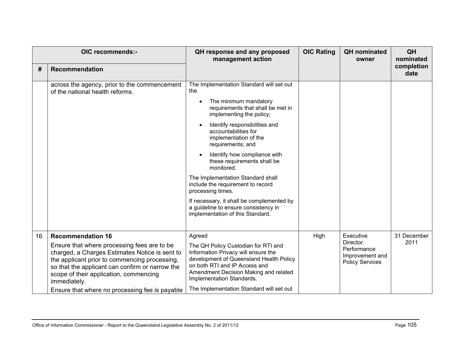|    | OIC recommends:-                                                                                                                                                                                                                                            | QH response and any proposed<br>management action                                                                                                                                                                            | <b>OIC Rating</b> | <b>QH</b> nominated<br>owner                                          | QH<br>nominated    |
|----|-------------------------------------------------------------------------------------------------------------------------------------------------------------------------------------------------------------------------------------------------------------|------------------------------------------------------------------------------------------------------------------------------------------------------------------------------------------------------------------------------|-------------------|-----------------------------------------------------------------------|--------------------|
| #  | <b>Recommendation</b>                                                                                                                                                                                                                                       |                                                                                                                                                                                                                              |                   |                                                                       | completion<br>date |
|    | across the agency, prior to the commencement<br>of the national health reforms.                                                                                                                                                                             | The Implementation Standard will set out<br>the                                                                                                                                                                              |                   |                                                                       |                    |
|    |                                                                                                                                                                                                                                                             | The minimum mandatory<br>$\bullet$<br>requirements that shall be met in<br>implementing the policy;                                                                                                                          |                   |                                                                       |                    |
|    |                                                                                                                                                                                                                                                             | Identify responsibilities and<br>$\bullet$<br>accountabilities for<br>implementation of the<br>requirements; and                                                                                                             |                   |                                                                       |                    |
|    |                                                                                                                                                                                                                                                             | Identify how compliance with<br>these requirements shall be<br>monitored.                                                                                                                                                    |                   |                                                                       |                    |
|    |                                                                                                                                                                                                                                                             | The Implementation Standard shall<br>include the requirement to record<br>processing times.                                                                                                                                  |                   |                                                                       |                    |
|    |                                                                                                                                                                                                                                                             | If necessary, it shall be complemented by<br>a guideline to ensure consistency in<br>implementation of this Standard.                                                                                                        |                   |                                                                       |                    |
| 16 | <b>Recommendation 16</b>                                                                                                                                                                                                                                    | Agreed                                                                                                                                                                                                                       | High              | Executive                                                             | 31 December        |
|    | Ensure that where processing fees are to be<br>charged, a Charges Estimates Notice is sent to<br>the applicant prior to commencing processing,<br>so that the applicant can confirm or narrow the<br>scope of their application, commencing<br>immediately. | The QH Policy Custodian for RTI and<br>Information Privacy will ensure the<br>development of Queensland Health Policy<br>on both RTI and IP Access and<br>Amendment Decision Making and related<br>Implementation Standards. |                   | Director.<br>Performance<br>Improvement and<br><b>Policy Services</b> | 2011               |
|    | Ensure that where no processing fee is payable                                                                                                                                                                                                              | The Implementation Standard will set out                                                                                                                                                                                     |                   |                                                                       |                    |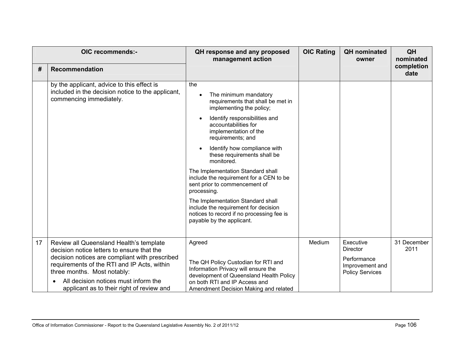|    | OIC recommends:-                                                                                                                                                                                                  | QH response and any proposed<br>management action                                                                                                                                               | <b>OIC Rating</b> | <b>QH</b> nominated<br>owner                             | QH<br>nominated     |
|----|-------------------------------------------------------------------------------------------------------------------------------------------------------------------------------------------------------------------|-------------------------------------------------------------------------------------------------------------------------------------------------------------------------------------------------|-------------------|----------------------------------------------------------|---------------------|
| #  | Recommendation                                                                                                                                                                                                    |                                                                                                                                                                                                 |                   |                                                          | completion<br>date  |
|    | by the applicant, advice to this effect is<br>included in the decision notice to the applicant,<br>commencing immediately.                                                                                        | the<br>The minimum mandatory<br>requirements that shall be met in<br>implementing the policy;                                                                                                   |                   |                                                          |                     |
|    |                                                                                                                                                                                                                   | Identify responsibilities and<br>accountabilities for<br>implementation of the<br>requirements; and                                                                                             |                   |                                                          |                     |
|    |                                                                                                                                                                                                                   | Identify how compliance with<br>these requirements shall be<br>monitored.                                                                                                                       |                   |                                                          |                     |
|    |                                                                                                                                                                                                                   | The Implementation Standard shall<br>include the requirement for a CEN to be<br>sent prior to commencement of<br>processing.                                                                    |                   |                                                          |                     |
|    |                                                                                                                                                                                                                   | The Implementation Standard shall<br>include the requirement for decision<br>notices to record if no processing fee is<br>payable by the applicant.                                             |                   |                                                          |                     |
| 17 | Review all Queensland Health's template<br>decision notice letters to ensure that the                                                                                                                             | Agreed                                                                                                                                                                                          | Medium            | Executive<br><b>Director</b>                             | 31 December<br>2011 |
|    | decision notices are compliant with prescribed<br>requirements of the RTI and IP Acts, within<br>three months. Most notably:<br>All decision notices must inform the<br>applicant as to their right of review and | The QH Policy Custodian for RTI and<br>Information Privacy will ensure the<br>development of Queensland Health Policy<br>on both RTI and IP Access and<br>Amendment Decision Making and related |                   | Performance<br>Improvement and<br><b>Policy Services</b> |                     |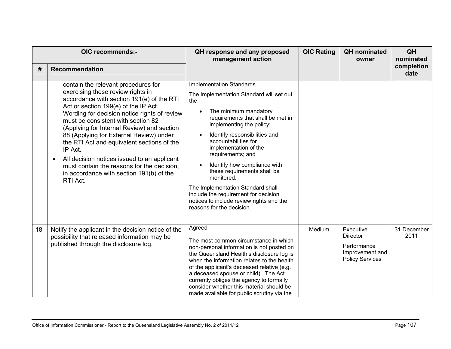|    | OIC recommends:-                                                                                                                                                                                                                                                                                                                                                                                                                                                                                                                                                        | QH response and any proposed<br>management action                                                                                                                                                                                                                                                                                                                                                                                                                                                                             | <b>OIC Rating</b> | <b>QH</b> nominated<br>owner                                                             | QH<br>nominated     |
|----|-------------------------------------------------------------------------------------------------------------------------------------------------------------------------------------------------------------------------------------------------------------------------------------------------------------------------------------------------------------------------------------------------------------------------------------------------------------------------------------------------------------------------------------------------------------------------|-------------------------------------------------------------------------------------------------------------------------------------------------------------------------------------------------------------------------------------------------------------------------------------------------------------------------------------------------------------------------------------------------------------------------------------------------------------------------------------------------------------------------------|-------------------|------------------------------------------------------------------------------------------|---------------------|
| #  | <b>Recommendation</b>                                                                                                                                                                                                                                                                                                                                                                                                                                                                                                                                                   |                                                                                                                                                                                                                                                                                                                                                                                                                                                                                                                               |                   |                                                                                          | completion<br>date  |
|    | contain the relevant procedures for<br>exercising these review rights in<br>accordance with section 191(e) of the RTI<br>Act or section 199(e) of the IP Act.<br>Wording for decision notice rights of review<br>must be consistent with section 82<br>(Applying for Internal Review) and section<br>88 (Applying for External Review) under<br>the RTI Act and equivalent sections of the<br>IP Act.<br>All decision notices issued to an applicant<br>$\bullet$<br>must contain the reasons for the decision,<br>in accordance with section 191(b) of the<br>RTI Act. | Implementation Standards.<br>The Implementation Standard will set out<br>the<br>The minimum mandatory<br>$\bullet$<br>requirements that shall be met in<br>implementing the policy;<br>Identify responsibilities and<br>accountabilities for<br>implementation of the<br>requirements; and<br>Identify how compliance with<br>these requirements shall be<br>monitored.<br>The Implementation Standard shall<br>include the requirement for decision<br>notices to include review rights and the<br>reasons for the decision. |                   |                                                                                          |                     |
| 18 | Notify the applicant in the decision notice of the<br>possibility that released information may be<br>published through the disclosure log.                                                                                                                                                                                                                                                                                                                                                                                                                             | Agreed<br>The most common circumstance in which<br>non-personal information is not posted on<br>the Queensland Health's disclosure log is<br>when the information relates to the health<br>of the applicant's deceased relative (e.g.<br>a deceased spouse or child). The Act<br>currently obliges the agency to formally<br>consider whether this material should be<br>made available for public scrutiny via the                                                                                                           | Medium            | Executive<br><b>Director</b><br>Performance<br>Improvement and<br><b>Policy Services</b> | 31 December<br>2011 |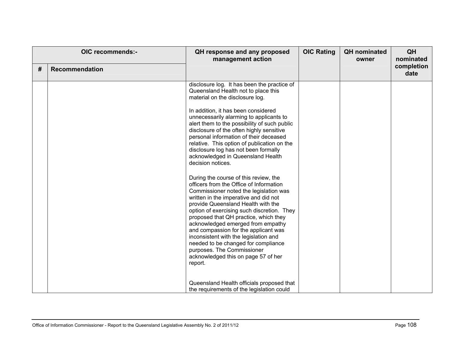| OIC recommends:- |                       | QH response and any proposed<br>management action                                                                                                                                                                                                                                                                                                                                                                                                                                                                                                                                                                                                                                                                                                                                                                                                                                                                                                               | <b>OIC Rating</b> | <b>QH</b> nominated<br>owner | QH<br>nominated    |
|------------------|-----------------------|-----------------------------------------------------------------------------------------------------------------------------------------------------------------------------------------------------------------------------------------------------------------------------------------------------------------------------------------------------------------------------------------------------------------------------------------------------------------------------------------------------------------------------------------------------------------------------------------------------------------------------------------------------------------------------------------------------------------------------------------------------------------------------------------------------------------------------------------------------------------------------------------------------------------------------------------------------------------|-------------------|------------------------------|--------------------|
| #                | <b>Recommendation</b> |                                                                                                                                                                                                                                                                                                                                                                                                                                                                                                                                                                                                                                                                                                                                                                                                                                                                                                                                                                 |                   |                              | completion<br>date |
|                  |                       | disclosure log. It has been the practice of<br>Queensland Health not to place this<br>material on the disclosure log.<br>In addition, it has been considered<br>unnecessarily alarming to applicants to<br>alert them to the possibility of such public<br>disclosure of the often highly sensitive<br>personal information of their deceased<br>relative. This option of publication on the<br>disclosure log has not been formally<br>acknowledged in Queensland Health<br>decision notices.<br>During the course of this review, the<br>officers from the Office of Information<br>Commissioner noted the legislation was<br>written in the imperative and did not<br>provide Queensland Health with the<br>option of exercising such discretion. They<br>proposed that QH practice, which they<br>acknowledged emerged from empathy<br>and compassion for the applicant was<br>inconsistent with the legislation and<br>needed to be changed for compliance |                   |                              |                    |
|                  |                       | purposes. The Commissioner<br>acknowledged this on page 57 of her<br>report.                                                                                                                                                                                                                                                                                                                                                                                                                                                                                                                                                                                                                                                                                                                                                                                                                                                                                    |                   |                              |                    |
|                  |                       | Queensland Health officials proposed that<br>the requirements of the legislation could                                                                                                                                                                                                                                                                                                                                                                                                                                                                                                                                                                                                                                                                                                                                                                                                                                                                          |                   |                              |                    |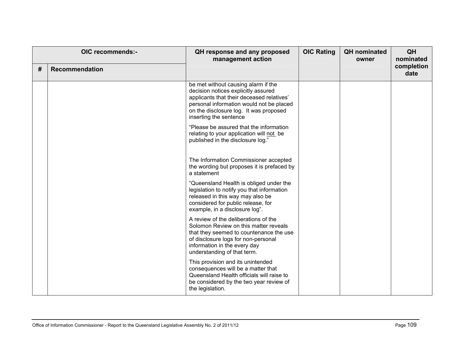| # | OIC recommends:-<br><b>Recommendation</b> | QH response and any proposed<br>management action                                                                                                                                                                                       | <b>OIC Rating</b> | <b>QH</b> nominated<br>owner | QH<br>nominated<br>completion<br>date |
|---|-------------------------------------------|-----------------------------------------------------------------------------------------------------------------------------------------------------------------------------------------------------------------------------------------|-------------------|------------------------------|---------------------------------------|
|   |                                           | be met without causing alarm if the<br>decision notices explicitly assured<br>applicants that their deceased relatives'<br>personal information would not be placed<br>on the disclosure log. It was proposed<br>inserting the sentence |                   |                              |                                       |
|   |                                           | "Please be assured that the information<br>relating to your application will not be<br>published in the disclosure log."                                                                                                                |                   |                              |                                       |
|   |                                           | The Information Commissioner accepted<br>the wording but proposes it is prefaced by<br>a statement                                                                                                                                      |                   |                              |                                       |
|   |                                           | "Queensland Health is obliged under the<br>legislation to notify you that information<br>released in this way may also be<br>considered for public release, for<br>example, in a disclosure log".                                       |                   |                              |                                       |
|   |                                           | A review of the deliberations of the<br>Solomon Review on this matter reveals<br>that they seemed to countenance the use<br>of disclosure logs for non-personal<br>information in the every day<br>understanding of that term.          |                   |                              |                                       |
|   |                                           | This provision and its unintended<br>consequences will be a matter that<br>Queensland Health officials will raise to<br>be considered by the two year review of<br>the legislation.                                                     |                   |                              |                                       |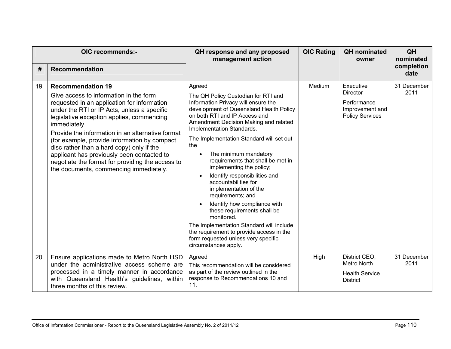| OIC recommends:- |                                                                                                                                                                                                                                                                                                                                                                                                                                                                                                                            | QH response and any proposed<br>management action                                                                                                                                                                                                                                                                                                                                                                                                                                                                                                                                                                                                                                                                                                                     | <b>OIC Rating</b><br><b>QH</b> nominated<br>owner | QH<br>nominated                                                                          |                     |
|------------------|----------------------------------------------------------------------------------------------------------------------------------------------------------------------------------------------------------------------------------------------------------------------------------------------------------------------------------------------------------------------------------------------------------------------------------------------------------------------------------------------------------------------------|-----------------------------------------------------------------------------------------------------------------------------------------------------------------------------------------------------------------------------------------------------------------------------------------------------------------------------------------------------------------------------------------------------------------------------------------------------------------------------------------------------------------------------------------------------------------------------------------------------------------------------------------------------------------------------------------------------------------------------------------------------------------------|---------------------------------------------------|------------------------------------------------------------------------------------------|---------------------|
| #                | Recommendation                                                                                                                                                                                                                                                                                                                                                                                                                                                                                                             |                                                                                                                                                                                                                                                                                                                                                                                                                                                                                                                                                                                                                                                                                                                                                                       |                                                   |                                                                                          | completion<br>date  |
| 19               | <b>Recommendation 19</b><br>Give access to information in the form<br>requested in an application for information<br>under the RTI or IP Acts, unless a specific<br>legislative exception applies, commencing<br>immediately.<br>Provide the information in an alternative format<br>(for example, provide information by compact<br>disc rather than a hard copy) only if the<br>applicant has previously been contacted to<br>negotiate the format for providing the access to<br>the documents, commencing immediately. | Agreed<br>The QH Policy Custodian for RTI and<br>Information Privacy will ensure the<br>development of Queensland Health Policy<br>on both RTI and IP Access and<br>Amendment Decision Making and related<br>Implementation Standards.<br>The Implementation Standard will set out<br>the<br>The minimum mandatory<br>$\bullet$<br>requirements that shall be met in<br>implementing the policy;<br>Identify responsibilities and<br>$\bullet$<br>accountabilities for<br>implementation of the<br>requirements; and<br>Identify how compliance with<br>$\bullet$<br>these requirements shall be<br>monitored.<br>The Implementation Standard will include<br>the requirement to provide access in the<br>form requested unless very specific<br>circumstances apply. | Medium                                            | Executive<br><b>Director</b><br>Performance<br>Improvement and<br><b>Policy Services</b> | 31 December<br>2011 |
| 20               | Ensure applications made to Metro North HSD<br>under the administrative access scheme are<br>processed in a timely manner in accordance<br>with Queensland Health's guidelines, within<br>three months of this review.                                                                                                                                                                                                                                                                                                     | Agreed<br>This recommendation will be considered<br>as part of the review outlined in the<br>response to Recommendations 10 and<br>11.                                                                                                                                                                                                                                                                                                                                                                                                                                                                                                                                                                                                                                | High                                              | District CEO,<br>Metro North<br><b>Health Service</b><br><b>District</b>                 | 31 December<br>2011 |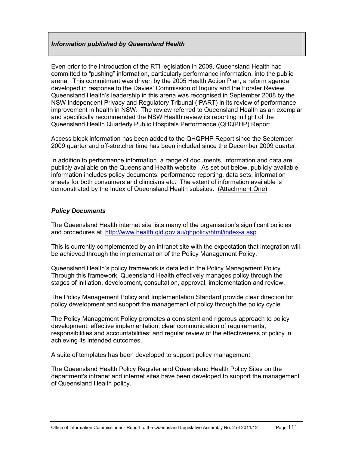## *Information published by Queensland Health*

Even prior to the introduction of the RTI legislation in 2009, Queensland Health had committed to "pushing" information, particularly performance information, into the public arena. This commitment was driven by the 2005 Health Action Plan, a reform agenda developed in response to the Davies' Commission of Inquiry and the Forster Review. Queensland Health's leadership in this arena was recognised in September 2008 by the NSW Independent Privacy and Regulatory Tribunal (IPART) in its review of performance improvement in health in NSW. The review referred to Queensland Health as an exemplar and specifically recommended the NSW Health review its reporting in light of the Queensland Health Quarterly Public Hospitals Performance (QHQPHP) Report.

Access block information has been added to the QHQPHP Report since the September 2009 quarter and off-stretcher time has been included since the December 2009 quarter.

In addition to performance information, a range of documents, information and data are publicly available on the Queensland Health website. As set out below, publicly available information includes policy documents; performance reporting, data sets, information sheets for both consumers and clinicians etc. The extent of information available is demonstrated by the Index of Queensland Health subsites. (Attachment One)

### *Policy Documents*

The Queensland Health internet site lists many of the organisation's significant policies and procedures at <http://www.health.qld.gov.au/qhpolicy/html/index-a.asp>

This is currently complemented by an intranet site with the expectation that integration will be achieved through the implementation of the Policy Management Policy.

Queensland Health's policy framework is detailed in the Policy Management Policy. Through this framework, Queensland Health effectively manages policy through the stages of initiation, development, consultation, approval, implementation and review.

The Policy Management Policy and Implementation Standard provide clear direction for policy development and support the management of policy through the policy cycle.

The Policy Management Policy promotes a consistent and rigorous approach to policy development; effective implementation; clear communication of requirements, responsibilities and accountabilities; and regular review of the effectiveness of policy in achieving its intended outcomes.

A suite of templates has been developed to support policy management.

The Queensland Health Policy Register and Queensland Health Policy Sites on the department's intranet and internet sites have been developed to support the management of Queensland Health policy.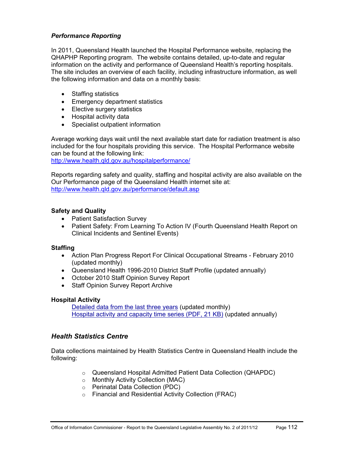## *Performance Reporting*

In 2011, Queensland Health launched the Hospital Performance website, replacing the QHAPHP Reporting program. The website contains detailed, up-to-date and regular information on the activity and performance of Queensland Health's reporting hospitals. The site includes an overview of each facility, including infrastructure information, as well the following information and data on a monthly basis:

- Staffing statistics
- Emergency department statistics
- Elective surgery statistics
- Hospital activity data
- Specialist outpatient information

Average working days wait until the next available start date for radiation treatment is also included for the four hospitals providing this service. The Hospital Performance website can be found at the following link:

<http://www.health.qld.gov.au/hospitalperformance/>

Reports regarding safety and quality, staffing and hospital activity are also available on the Our Performance page of the Queensland Health internet site at: <http://www.health.qld.gov.au/performance/default.asp>

### **Safety and Quality**

- [Patient Satisfaction Survey](http://www.health.qld.gov.au/quality/pat_sat_survey/patsat.asp)
- [Patient Safety: From Learning To Action IV](http://www.health.qld.gov.au/patientsafety/documents/lta4.pdf) (Fourth Queensland Health Report on Clinical Incidents and Sentinel Events)

### **Staffing**

- [Action Plan Progress Report For Clinical Occupational Streams February 2010](http://www.health.qld.gov.au/performance/staffing/pr_staff.pdf)  (updated monthly)
- [Queensland Health 1996-2010 District Staff Profile](http://www.health.qld.gov.au/performance/staffing/staff14yr_10.pdf) (updated annually)
- [October 2010 Staff Opinion Survey Report](http://www.health.qld.gov.au/performance/docs/SOSoct2010.pdf)
- Staff Opinion Survey Report Archive

### **Hospital Activity**

[Detailed data from the last three years](http://www.health.qld.gov.au/hic/QHID/Hospital_Activity/default.asp) (updated monthly) [Hospital activity and capacity time series \(PDF, 21 KB\)](http://www.health.qld.gov.au/performance/docs/hospital_activity.pdf) (updated annually)

# *Health Statistics Centre*

Data collections maintained by Health Statistics Centre in Queensland Health include the following:

- o Queensland Hospital Admitted Patient Data Collection (QHAPDC)
- o Monthly Activity Collection (MAC)
- o Perinatal Data Collection (PDC)
- o Financial and Residential Activity Collection (FRAC)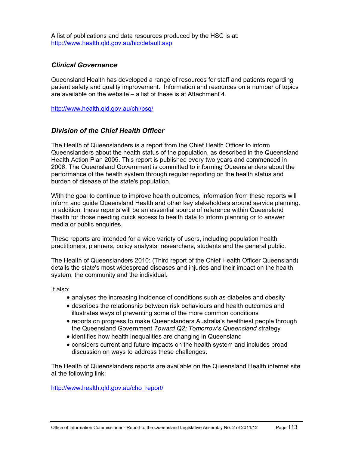A list of publications and data resources produced by the HSC is at: <http://www.health.qld.gov.au/hic/default.asp>

## *Clinical Governance*

Queensland Health has developed a range of resources for staff and patients regarding patient safety and quality improvement. Information and resources on a number of topics are available on the website – a list of these is at Attachment 4.

<http://www.health.qld.gov.au/chi/psq/>

## *Division of the Chief Health Officer*

The Health of Queenslanders is a report from the Chief Health Officer to inform Queenslanders about the health status of the population, as described in the Queensland Health Action Plan 2005. This report is published every two years and commenced in 2006. The Queensland Government is committed to informing Queenslanders about the performance of the health system through regular reporting on the health status and burden of disease of the state's population.

With the goal to continue to improve health outcomes, information from these reports will inform and guide Queensland Health and other key stakeholders around service planning. In addition, these reports will be an essential source of reference within Queensland Health for those needing quick access to health data to inform planning or to answer media or public enquiries.

These reports are intended for a wide variety of users, including population health practitioners, planners, policy analysts, researchers, students and the general public.

The Health of Queenslanders 2010: (Third report of the Chief Health Officer Queensland) details the state's most widespread diseases and injuries and their impact on the health system, the community and the individual.

It also:

- analyses the increasing incidence of conditions such as diabetes and obesity
- describes the relationship between risk behaviours and health outcomes and illustrates ways of preventing some of the more common conditions
- reports on progress to make Queenslanders Australia's healthiest people through the Queensland Government *Toward Q2: Tomorrow's Queensland* strategy
- identifies how health inequalities are changing in Queensland
- considers current and future impacts on the health system and includes broad discussion on ways to address these challenges.

The Health of Queenslanders reports are available on the Queensland Health internet site at the following link:

[http://www.health.qld.gov.au/cho\\_report/](http://www.health.qld.gov.au/cho_report/)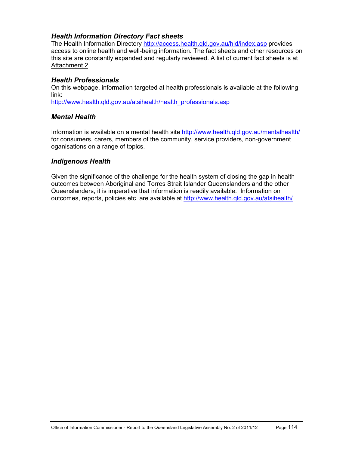# *Health Information Directory Fact sheets*

The Health Information Directory <http://access.health.qld.gov.au/hid/index.asp> provides access to online health and well-being information. The fact sheets and other resources on this site are constantly expanded and regularly reviewed. A list of current fact sheets is at Attachment 2.

## *Health Professionals*

On this webpage, information targeted at health professionals is available at the following link:

[http://www.health.qld.gov.au/atsihealth/health\\_professionals.asp](http://www.health.qld.gov.au/atsihealth/health_professionals.asp)

# *Mental Health*

Information is available on a mental health site<http://www.health.qld.gov.au/mentalhealth/> for consumers, carers, members of the community, service providers, non-government oganisations on a range of topics.

## *Indigenous Health*

Given the significance of the challenge for the health system of closing the gap in health outcomes between Aboriginal and Torres Strait Islander Queenslanders and the other Queenslanders, it is imperative that information is readily available. Information on outcomes, reports, policies etc are available at http://www.health.gld.gov.au/atsihealth/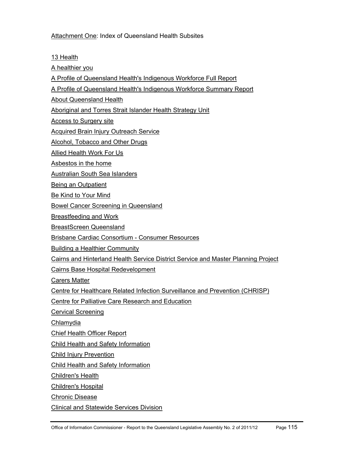## Attachment One: Index of Queensland Health Subsites

[13 Health](http://www.health.qld.gov.au/13health/)

[A healthier you](http://www.health.qld.gov.au/healthieryou/)

[A Profile of Queensland Health's Indigenous Workforce Full Report](http://www.health.qld.gov.au/indigenous_health/workfull.pdf)

[A Profile of Queensland Health's Indigenous Workforce Summary Report](http://www.health.qld.gov.au/indigenous_health/worksummary.pdf)

[About Queensland Health](http://www.health.qld.gov.au/about_qhealth/)

[Aboriginal and Torres Strait Islander Health Strategy Unit](http://www.health.qld.gov.au/atsihealth/)

[Access to Surgery site](http://www.health.qld.gov.au/Surgical_access/)

[Acquired Brain Injury Outreach Service](http://www.health.qld.gov.au/abios/)

[Alcohol, Tobacco and Other Drugs](http://www.health.qld.gov.au/atod/)

[Allied Health Work For Us](http://www.health.qld.gov.au/allied/)

[Asbestos in the home](http://www.health.qld.gov.au/asbestos/)

[Australian South Sea Islanders](http://www.health.qld.gov.au/assi/)

[Being an Outpatient](http://www.health.qld.gov.au/outpatient/)

[Be Kind to Your Mind](http://www.health.qld.gov.au/bekindtoyourmind/)

[Bowel Cancer Screening in Queensland](http://www.health.qld.gov.au/bowelcancer/)

[Breastfeeding and Work](http://www.health.qld.gov.au/breastfeeding/)

[BreastScreen Queensland](http://www.health.qld.gov.au/breastscreen/)

[Brisbane Cardiac Consortium - Consumer Resources](http://www.health.qld.gov.au/heart_info/)

[Building a Healthier Community](http://www.health.qld.gov.au/buildinghealth/)

[Cairns and Hinterland Health Service District Service and Master Planning Project](http://www.health.qld.gov.au/cairns_hinterland/)

[Cairns Base Hospital Redevelopment](http://www.health.qld.gov.au/cbhredevelopment/)

[Carers Matter](http://www.health.qld.gov.au/mhcarer/)

[Centre for Healthcare Related Infection Surveillance and Prevention \(CHRISP\)](http://www.health.qld.gov.au/chrisp/)

[Centre for Palliative Care Research and Education](http://www.health.qld.gov.au/cpcre/)

[Cervical Screening](http://www.health.qld.gov.au/cervicalscreening/)

[Chlamydia](http://www.health.qld.gov.au/sexhealth/chlamydia/)

[Chief Health Officer Report](http://www.health.qld.gov.au/cho_report/)

[Child Health and Safety Information](http://www.health.qld.gov.au/child-youth/)

[Child Injury Prevention](http://www.health.qld.gov.au/chipp/)

[Child Health and Safety Information](http://www.health.qld.gov.au/child-youth/)

[Children's Health](http://www.health.qld.gov.au/childrenshealth/)

[Children's Hospital](http://www.health.qld.gov.au/childrenshospital/)

[Chronic Disease](http://www.health.qld.gov.au/chronicdisease/)

[Clinical and Statewide Services Division](http://www.health.qld.gov.au/qhcss/)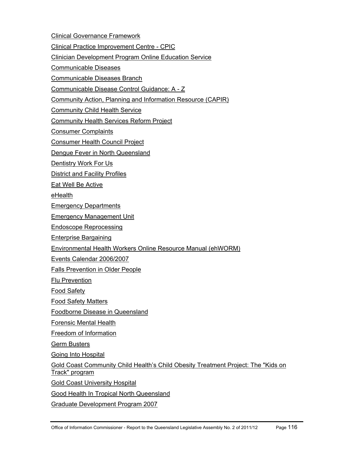[Clinical Governance Framework](http://www.health.qld.gov.au/clinicalgov/)

[Clinical Practice Improvement Centre - CPIC](http://www.health.qld.gov.au/cpic/)

[Clinician Development Program Online Education Service](http://www.health.qld.gov.au/cdp/)

[Communicable Diseases](http://www.health.qld.gov.au/communicablediseases/)

[Communicable Diseases Branch](http://www.health.qld.gov.au/ph/cdb/)

[Communicable Disease Control Guidance: A - Z](http://www.health.qld.gov.au/cdcg/)

[Community Action, Planning and Information Resource \(CAPIR\)](http://www.health.qld.gov.au/capir/)

[Community Child Health Service](http://www.health.qld.gov.au/cchs/)

[Community Health Services Reform Project](http://www.health.qld.gov.au/chsrp/)

[Consumer Complaints](http://www.health.qld.gov.au/complaints/)

[Consumer Health Council Project](http://www.health.qld.gov.au/consumerhlth/)

[Dengue Fever in North Queensland](http://www.health.qld.gov.au/dengue/)

[Dentistry Work For Us](http://www.health.qld.gov.au/dentistry/)

[District and Facility Profiles](http://www.health.qld.gov.au/wwwprofiles/)

[Eat Well Be Active](http://www.health.qld.gov.au/eatwellbeactive/)

[eHealth](http://www.health.qld.gov.au/ehealth/)

[Emergency Departments](http://www.health.qld.gov.au/emergency/)

[Emergency Management Unit](http://www.health.qld.gov.au/emergtrans/)

[Endoscope Reprocessing](http://www.health.qld.gov.au/EndoscopeReprocessing/)

[Enterprise Bargaining](http://www.health.qld.gov.au/eb/)

[Environmental Health Workers Online Resource Manual \(ehWORM\)](http://www.health.qld.gov.au/ehworm/)

[Events Calendar 2006/2007](http://www.health.qld.gov.au/calendar/)

[Falls Prevention in Older People](http://www.health.qld.gov.au/fallsprevention/)

[Flu Prevention](http://www.health.qld.gov.au/flu/)

[Food Safety](http://www.health.qld.gov.au/foodsafety/)

[Food Safety Matters](http://www.health.qld.gov.au/foodsafetymatters/)

[Foodborne Disease in Queensland](http://www.health.qld.gov.au/foodsafety/fbdiseases/)

[Forensic Mental Health](http://www.health.qld.gov.au/forensicmentalhealth/)

[Freedom of Information](http://www.health.qld.gov.au/foi/)

[Germ Busters](http://www.health.qld.gov.au/germbusters/)

[Going Into Hospital](http://www.health.qld.gov.au/hospital/)

[Gold Coast Community Child Health's Child Obesity Treatment Project: The "Kids on](http://www.health.qld.gov.au/kot/)  [Track" program](http://www.health.qld.gov.au/kot/)

[Gold Coast University Hospital](http://www.health.qld.gov.au/gcuhospital/)

[Good Health In Tropical North Queensland](http://www.health.qld.gov.au/goodhealthintnq/)

[Graduate Development Program 2007](http://www.health.qld.gov.au/gradev_2007/)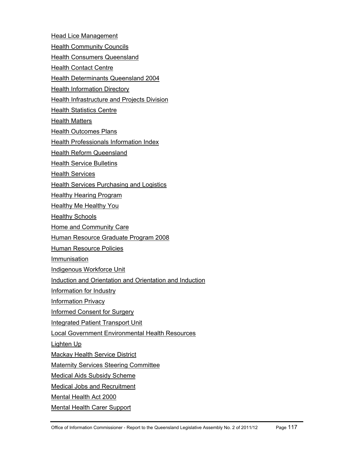[Head Lice Management](http://www.health.qld.gov.au/headlice/) [Health Community Councils](http://www.health.qld.gov.au/hcc/) [Health Consumers Queensland](http://www.health.qld.gov.au/hcq/) **[Health Contact Centre](http://www.health.qld.gov.au/wwwhccp/)** [Health Determinants Queensland 2004](http://www.health.qld.gov.au/hdq/) [Health Information Directory](http://access.health.qld.gov.au/hid/index.asp) **[Health Infrastructure and Projects Division](http://www.health.qld.gov.au/cwamb/)** [Health Statistics Centre](http://www.health.qld.gov.au/hic/) [Health Matters](http://www.health.qld.gov.au/news/health_matters/) [Health Outcomes Plans](http://www.health.qld.gov.au/hop/) [Health Professionals Information Index](http://www.health.qld.gov.au/health_professionals/) **[Health Reform Queensland](http://www.health.qld.gov.au/health-reform/)** [Health Service Bulletins](http://www.health.qld.gov.au/HealthBulletins/) [Health Services](http://www.health.qld.gov.au/healthservices/) **[Health Services Purchasing and Logistics](http://www.health.qld.gov.au/hspl/)** [Healthy Hearing Program](http://www.health.qld.gov.au/hearing/) **[Healthy Me Healthy You](http://www.health.qld.gov.au/healthymehealthyyou/)** [Healthy Schools](http://www.health.qld.gov.au/healthyschools/) [Home and Community Care](http://www.health.qld.gov.au/hacc/) [Human Resource Graduate Program 2008](http://www.health.qld.gov.au/hrgradprogram/) [Human Resource Policies](http://www.health.qld.gov.au/hrpolicies/) [Immunisation](http://www.health.qld.gov.au/immunisation/) [Indigenous Workforce Unit](http://www.health.qld.gov.au/indigenous_workforce/) [Induction and Orientation and Orientation and Induction](http://www.health.qld.gov.au/orientation/) [Information for Industry](http://www.health.qld.gov.au/industry/) [Information Privacy](http://www.health.qld.gov.au/privacy/) [Informed Consent for Surgery](http://www.health.qld.gov.au/informedconsent/) [Integrated Patient Transport Unit](http://www.health.qld.gov.au/iptu/) [Local Government Environmental Health Resources](http://www.health.qld.gov.au/eholocalgov/)  [Lighten Up](http://www.health.qld.gov.au/lightenup/) [Mackay Health Service District](http://www.health.qld.gov.au/mackay/) [Maternity Services Steering Committee](http://www.health.qld.gov.au/maternity/) [Medical Aids Subsidy Scheme](http://www.health.qld.gov.au/mass/) [Medical Jobs and Recruitment](http://www.health.qld.gov.au/medical/) [Mental Health Act 2000](http://www.health.qld.gov.au/mha2000/) [Mental Health Carer Support](http://www.health.qld.gov.au/mhcarer/)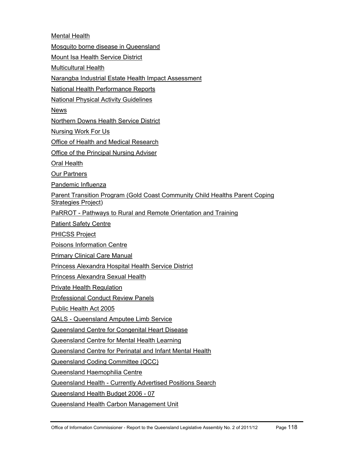[Mental Health](http://www.health.qld.gov.au/mentalhealth/)

[Mosquito borne disease in Queensland](http://www.health.qld.gov.au/mozziediseases/)

[Mount Isa Health Service District](http://www.health.qld.gov.au/mt_isa/)

[Multicultural Health](http://www.health.qld.gov.au/multicultural/)

[Narangba Industrial Estate Health Impact Assessment](http://www.health.qld.gov.au/narangbahia/)

[National Health Performance Reports](http://www.health.qld.gov.au/nathlthrpt/)

[National Physical Activity Guidelines](http://www.health.qld.gov.au/npag/)

**[News](http://www.health.qld.gov.au/news/)** 

[Northern Downs Health Service District](http://www.health.qld.gov.au/northern_downs/)

[Nursing Work For Us](http://www.health.qld.gov.au/nursing/)

[Office of Health and Medical Research](http://www.health.qld.gov.au/ohmr/)

[Office of the Principal Nursing Adviser](http://www.health.qld.gov.au/opna/)

[Oral Health](http://www.health.qld.gov.au/oralhealth/)

[Our Partners](http://www.health.qld.gov.au/partners/)

[Pandemic Influenza](http://www.health.qld.gov.au/pandemicinfluenza/)

[Parent Transition Program \(Gold Coast Community Child Healths Parent Coping](http://www.health.qld.gov.au/ptp/)  [Strategies Project\)](http://www.health.qld.gov.au/ptp/)

[PaRROT - Pathways to Rural and Remote Orientation and Training](http://www.health.qld.gov.au/parrot/)

[Patient Safety Centre](http://www.health.qld.gov.au/patientsafety/)

[PHICSS Project](http://www.health.qld.gov.au/phicss/) 

[Poisons Information Centre](http://www.health.qld.gov.au/PoisonsInformationCentre/)

[Primary Clinical Care Manual](http://www.health.qld.gov.au/pccm/)

[Princess Alexandra Hospital Health Service District](http://www.health.qld.gov.au/pahospital/)

[Princess Alexandra Sexual Health](http://www.health.qld.gov.au/pash/)

[Private Health Regulation](http://www.health.qld.gov.au/privatehealth/)

[Professional Conduct Review Panels](http://www.health.qld.gov.au/pcrp/)

[Public Health Act 2005](http://www.health.qld.gov.au/publichealthact/)

[QALS - Queensland Amputee Limb Service](http://www.health.qld.gov.au/qals/)

[Queensland Centre for Congenital Heart Disease](http://www.health.qld.gov.au/qldheartkids/)

[Queensland Centre for Mental Health Learning](http://www.health.qld.gov.au/qcmhl/)

[Queensland Centre for Perinatal and Infant Mental Health](http://www.health.qld.gov.au/qcpimh/)

[Queensland Coding Committee \(QCC\)](http://www.health.qld.gov.au/qcc/)

[Queensland Haemophilia Centre](http://www.health.qld.gov.au/haemophilia/)

[Queensland Health - Currently Advertised Positions Search](http://www.health.qld.gov.au/jobs/)

[Queensland Health Budget 2006 - 07](http://www.health.qld.gov.au/budget/)

[Queensland Health Carbon Management Unit](http://www.health.qld.gov.au/carbon_management/)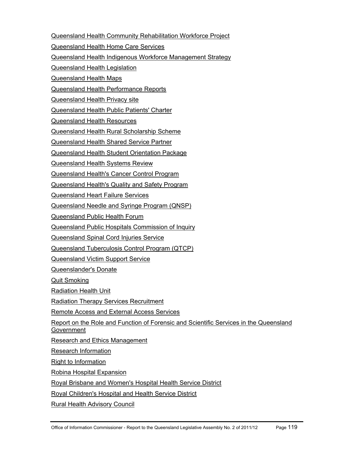[Queensland Health Community Rehabilitation Workforce Project](http://www.health.qld.gov.au/qhcrwp/)

[Queensland Health Home Care Services](http://www.health.qld.gov.au/homecare/)

[Queensland Health Indigenous Workforce Management Strategy](http://www.health.qld.gov.au/indigenous_health/workforce.pdf)

[Queensland Health Legislation](http://www.health.qld.gov.au/legislation/)

[Queensland Health Maps](http://www.health.qld.gov.au/maps/)

[Queensland Health Performance Reports](http://www.health.qld.gov.au/performance/)

[Queensland Health Privacy site](http://www.health.qld.gov.au/privacy/)

[Queensland Health Public Patients' Charter](http://www.health.qld.gov.au/qhppc/)

[Queensland Health Resources](http://www.health.qld.gov.au/healthtopics/)

[Queensland Health Rural Scholarship Scheme](http://www.health.qld.gov.au/orh/)

[Queensland Health Shared Service Partner](http://www.health.qld.gov.au/qhssp/)

[Queensland Health Student Orientation Package](http://www.health.qld.gov.au/sop/)

[Queensland Health Systems Review](http://www.health.qld.gov.au/health_sys_review/)

[Queensland Health's Cancer Control Program](http://www.health.qld.gov.au/cancercontrol/)

[Queensland Health's Quality and Safety Program](http://www.health.qld.gov.au/quality/)

[Queensland Heart Failure Services](http://www.health.qld.gov.au/heart_failure/)

[Queensland Needle and Syringe Program \(QNSP\)](http://www.health.qld.gov.au/qnsp/)

[Queensland Public Health Forum](http://www.health.qld.gov.au/QPHF/)

[Queensland Public Hospitals Commission of Inquiry](http://www.health.qld.gov.au/inquiry/)

[Queensland Spinal Cord Injuries Service](http://www.health.qld.gov.au/qscis/)

[Queensland Tuberculosis Control Program \(QTCP\)](http://www.health.qld.gov.au/qtbcc/)

[Queensland Victim Support Service](http://www.health.qld.gov.au/qhvss/)

[Queenslander's Donate](http://www.health.qld.gov.au/queenslandersdonate/)

[Quit Smoking](http://www.health.qld.gov.au/quitsmoking/)

[Radiation Health Unit](http://www.health.qld.gov.au/radiationhealth/)

[Radiation Therapy Services Recruitment](http://www.health.qld.gov.au/radiation_therapists/)

[Remote Access and External Access Services](https://webaccess.health.qld.gov.au/vpn/index.html)

[Report on the Role and Function of Forensic and Scientific Services in the Queensland](http://www.health.qld.gov.au/forensic_review/)  [Government](http://www.health.qld.gov.au/forensic_review/)

[Research and Ethics Management](http://www.health.qld.gov.au/ethics/)

[Research Information](http://www.health.qld.gov.au/research_information/)

[Right to Information](http://www.health.qld.gov.au/foi/rti.asp)

[Robina Hospital Expansion](http://www.health.qld.gov.au/robinahospital/)

[Royal Brisbane and Women's Hospital Health Service District](http://www.health.qld.gov.au/rbwh/)

[Royal Children's Hospital and Health Service District](http://www.health.qld.gov.au/rch/)

[Rural Health Advisory Council](http://www.health.qld.gov.au/rhac/)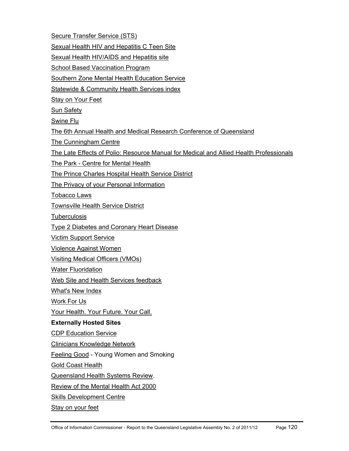[Secure Transfer Service \(STS\)](http://www.health.qld.gov.au/wwwsts/)

[Sexual Health HIV and Hepatitis C Teen Site](http://www.health.qld.gov.au/istaysafe/)

[Sexual Health HIV/AIDS and Hepatitis site](http://www.health.qld.gov.au/sexhealth/)

**[School Based Vaccination Program](http://www.health.qld.gov.au/immunisation/sbvp/)** 

[Southern Zone Mental Health Education Service](http://www.health.qld.gov.au/szmhes/)

[Statewide & Community Health Services index](http://www.health.qld.gov.au/services/)

[Stay on Your Feet](http://www.health.qld.gov.au/stayonyourfeet/)

[Sun Safety](http://www.sunsafety.qld.gov.au/)

[Swine Flu](http://www.health.qld.gov.au/swineflu/)

[The 6th Annual Health and Medical Research Conference of Queensland](http://www.health.qld.gov.au/asm/)

[The Cunningham Centre](http://www.health.qld.gov.au/cunningham/)

[The Late Effects of Polio: Resource Manual for Medical and Allied Health Professionals](http://www.health.qld.gov.au/polio/)

[The Park - Centre for Mental Health](http://www.health.qld.gov.au/the_park/)

[The Prince Charles Hospital Health Service District](http://www.health.qld.gov.au/northside/)

[The Privacy of your Personal Information](http://www.health.qld.gov.au/imb/privacy_your.pdf)

[Tobacco Laws](http://www.health.qld.gov.au/tobaccolaws/)

[Townsville Health Service District](http://www.health.qld.gov.au/townsville/)

**[Tuberculosis](http://www.health.qld.gov.au/qtbcc/)** 

[Type 2 Diabetes and Coronary Heart Disease](http://www.health.qld.gov.au/diabetes_chd_resource/)

[Victim Support Service](http://www.health.qld.gov.au/qhvss/)

[Violence Against Women](http://www.health.qld.gov.au/violence/)

[Visiting Medical Officers \(VMOs\)](http://www.health.qld.gov.au/vmo/)

**[Water Fluoridation](http://www.health.qld.gov.au/fluoride/)** 

[Web Site and Health Services feedback](http://www.health.qld.gov.au/masters/feedback.asp)

[What's New Index](http://www.health.qld.gov.au/whatsnew/)

[Work For Us](http://www.health.qld.gov.au/workforus/)

[Your Health. Your Future. Your Call.](http://www.health.qld.gov.au/stateofyourhealth/) 

# **Externally Hosted Sites**

[CDP Education Service](http://learning.medeserv.com.au/qldhealth_cdp/)

[Clinicians Knowledge Network](http://ckn.health.qld.gov.au/)

[Feeling Good](http://feelinggood.com.au/) - Young Women and Smoking

[Gold Coast Health](http://www.goldcoasthealth.com.au/)

[Queensland Health Systems Review](http://www.healthreview.com.au/).

[Review of the Mental Health Act 2000](http://reviewmha.com.au/) 

[Skills Development Centre](http://www.sdc.qld.edu.au/)

[Stay on your feet](http://www.health.qld.gov.au/stayonyourfeet/)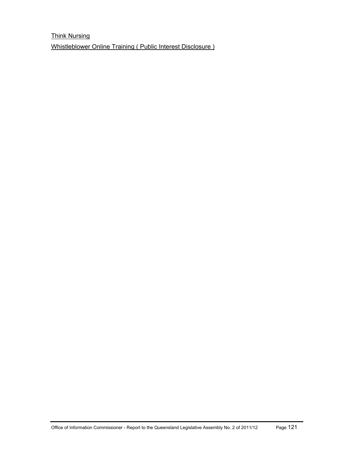[Think Nursing](http://www.thinknursing.com/) [Whistleblower Online Training \( Public Interest Disclosure \)](http://elearn.com.au/qh_external/iwsu)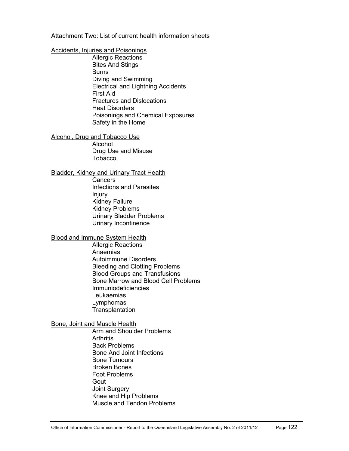Attachment Two: List of current health information sheets

### [Accidents, Injuries and Poisonings](http://access.health.qld.gov.au/hid/AccidentsInjuriesandPoisonings/index.asp)

[Allergic Reactions](http://access.health.qld.gov.au/hid/AccidentsInjuriesandPoisonings/AllergicReactions/index.asp)  [Bites And Stings](http://access.health.qld.gov.au/hid/AccidentsInjuriesandPoisonings/BitesAndStings/index.asp)  [Burns](http://access.health.qld.gov.au/hid/AccidentsInjuriesandPoisonings/Burns/index.asp)  [Diving and Swimming](http://access.health.qld.gov.au/hid/AccidentsInjuriesandPoisonings/DivingandSwimming/index.asp)  [Electrical and Lightning Accidents](http://access.health.qld.gov.au/hid/AccidentsInjuriesandPoisonings/ElectricalandLightningAccidents/index.asp) [First Aid](http://access.health.qld.gov.au/hid/AccidentsInjuriesandPoisonings/FirstAid/index.asp) [Fractures and Dislocations](http://access.health.qld.gov.au/hid/AccidentsInjuriesandPoisonings/FracturesandDislocations/index.asp) [Heat Disorders](http://access.health.qld.gov.au/hid/AccidentsInjuriesandPoisonings/HeatDisorders/index.asp) [Poisonings and Chemical Exposures](http://access.health.qld.gov.au/hid/AccidentsInjuriesandPoisonings/PoisoningsandChemicalExposures/index.asp) [Safety in the Home](http://access.health.qld.gov.au/hid/AccidentsInjuriesandPoisonings/SafetyintheHome/index.asp)

[Alcohol, Drug and Tobacco Use](http://access.health.qld.gov.au/hid/AlcoholDrugandTobaccoUse/index.asp) [Alcohol](http://access.health.qld.gov.au/hid/AlcoholDrugandTobaccoUse/Alcohol/index.asp)  [Drug Use and Misuse](http://access.health.qld.gov.au/hid/AlcoholDrugandTobaccoUse/DrugUseandMisuse/index.asp)  **[Tobacco](http://access.health.qld.gov.au/hid/AlcoholDrugandTobaccoUse/Tobacco/index.asp)** 

[Bladder, Kidney and Urinary Tract Health](http://access.health.qld.gov.au/hid/BladderKidneyandUrinaryTractHealth/index.asp)

[Cancers](http://access.health.qld.gov.au/hid/BladderKidneyandUrinaryTractHealth/Cancers/index.asp)  [Infections and Parasites](http://access.health.qld.gov.au/hid/BladderKidneyandUrinaryTractHealth/InfectionsandParasites/index.asp) [Injury](http://access.health.qld.gov.au/hid/BladderKidneyandUrinaryTractHealth/Injury/index.asp)  [Kidney Failure](http://access.health.qld.gov.au/hid/BladderKidneyandUrinaryTractHealth/KidneyFailure/index.asp) [Kidney Problems](http://access.health.qld.gov.au/hid/BladderKidneyandUrinaryTractHealth/KidneyProblems/index.asp) [Urinary Bladder Problems](http://access.health.qld.gov.au/hid/BladderKidneyandUrinaryTractHealth/UrinaryBladderProblems/index.asp)  [Urinary Incontinence](http://access.health.qld.gov.au/hid/BladderKidneyandUrinaryTractHealth/UrinaryIncontinence/index.asp) 

### [Blood and Immune System Health](http://access.health.qld.gov.au/hid/BloodandImmuneSystemHealth/index.asp)

[Allergic Reactions](http://access.health.qld.gov.au/hid/BloodandImmuneSystemHealth/AllergicReactions/index.asp)  [Anaemias](http://access.health.qld.gov.au/hid/BloodandImmuneSystemHealth/Anaemias/index.asp)  [Autoimmune Disorders](http://access.health.qld.gov.au/hid/BloodandImmuneSystemHealth/AutoimmuneDisorders/index.asp)  [Bleeding and Clotting Problems](http://access.health.qld.gov.au/hid/BloodandImmuneSystemHealth/BleedingandClottingProblems/index.asp)  [Blood Groups and Transfusions](http://access.health.qld.gov.au/hid/BloodandImmuneSystemHealth/BloodGroupsandTransfusions/index.asp)  [Bone Marrow and Blood Cell Problems](http://access.health.qld.gov.au/hid/BloodandImmuneSystemHealth/BoneMarrowandBloodCellProblems/index.asp) [Immuniodeficiencies](http://access.health.qld.gov.au/hid/BloodandImmuneSystemHealth/Immuniodeficiencies/index.asp)  [Leukaemias](http://access.health.qld.gov.au/hid/BloodandImmuneSystemHealth/Leukaemias/index.asp) [Lymphomas](http://access.health.qld.gov.au/hid/BloodandImmuneSystemHealth/Lymphomas/index.asp)  **Transplantation** 

[Bone, Joint and Muscle Health](http://access.health.qld.gov.au/hid/BoneJointandMuscleHealth/index.asp)

[Arm and Shoulder Problems](http://access.health.qld.gov.au/hid/BoneJointandMuscleHealth/ArmandShoulderProblems/index.asp) **[Arthritis](http://access.health.qld.gov.au/hid/BoneJointandMuscleHealth/Arthritis/index.asp)** [Back Problems](http://access.health.qld.gov.au/hid/BoneJointandMuscleHealth/BackProblems/index.asp)  [Bone And Joint Infections](http://access.health.qld.gov.au/hid/BoneJointandMuscleHealth/BoneAndJointInfections/index.asp)  [Bone Tumours](http://access.health.qld.gov.au/hid/BoneJointandMuscleHealth/BoneTumours/index.asp) [Broken Bones](http://access.health.qld.gov.au/hid/BoneJointandMuscleHealth/BrokenBones/index.asp)  [Foot Problems](http://access.health.qld.gov.au/hid/BoneJointandMuscleHealth/FootProblems/index.asp) [Gout](http://access.health.qld.gov.au/hid/BoneJointandMuscleHealth/Gout/index.asp)  [Joint Surgery](http://access.health.qld.gov.au/hid/BoneJointandMuscleHealth/JointSurgery/index.asp)  [Knee and Hip Problems](http://access.health.qld.gov.au/hid/BoneJointandMuscleHealth/KneeandHipProblems/index.asp) [Muscle and Tendon Problems](http://access.health.qld.gov.au/hid/BoneJointandMuscleHealth/MuscleandTendonProblems/index.asp)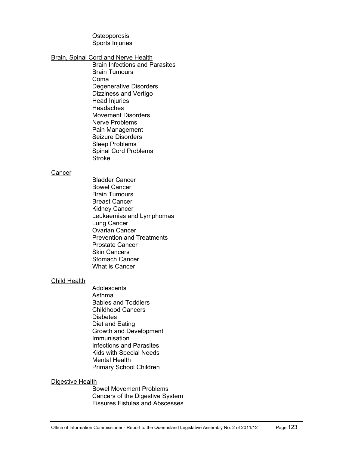**Osteoporosis** [Sports Injuries](http://access.health.qld.gov.au/hid/BoneJointandMuscleHealth/SportsInjuries/index.asp)

### [Brain, Spinal Cord and Nerve Health](http://access.health.qld.gov.au/hid/BrainSpinalCordandNerveHealth/index.asp)

[Brain Infections and Parasites](http://access.health.qld.gov.au/hid/BrainSpinalCordandNerveHealth/BrainInfectionsandParasites/index.asp) [Brain Tumours](http://access.health.qld.gov.au/hid/BrainSpinalCordandNerveHealth/BrainTumours/index.asp) [Coma](http://access.health.qld.gov.au/hid/BrainSpinalCordandNerveHealth/Coma/index.asp) [Degenerative Disorders](http://access.health.qld.gov.au/hid/BrainSpinalCordandNerveHealth/DegenerativeDisorders/index.asp) [Dizziness and Vertigo](http://access.health.qld.gov.au/hid/BrainSpinalCordandNerveHealth/DizzinessandVertigo/index.asp) [Head Injuries](http://access.health.qld.gov.au/hid/BrainSpinalCordandNerveHealth/HeadInjuries/index.asp)  **Headaches** [Movement Disorders](http://access.health.qld.gov.au/hid/BrainSpinalCordandNerveHealth/MovementDisorders/index.asp) [Nerve Problems](http://access.health.qld.gov.au/hid/BrainSpinalCordandNerveHealth/NerveProblems/index.asp)  [Pain Management](http://access.health.qld.gov.au/hid/BrainSpinalCordandNerveHealth/PainManagement/index.asp) [Seizure Disorders](http://access.health.qld.gov.au/hid/BrainSpinalCordandNerveHealth/SeizureDisorders/index.asp) [Sleep Problems](http://access.health.qld.gov.au/hid/BrainSpinalCordandNerveHealth/SleepProblems/index.asp)  [Spinal Cord Problems](http://access.health.qld.gov.au/hid/BrainSpinalCordandNerveHealth/SpinalCordProblems/index.asp)  **Stroke** 

#### **[Cancer](http://access.health.qld.gov.au/hid/Cancer/index.asp)**

[Bladder Cancer](http://access.health.qld.gov.au/hid/Cancer/BladderCancer/index.asp) [Bowel Cancer](http://access.health.qld.gov.au/hid/Cancer/BowelCancer/index.asp) [Brain Tumours](http://access.health.qld.gov.au/hid/Cancer/BrainTumours/index.asp) [Breast Cancer](http://access.health.qld.gov.au/hid/Cancer/BreastCancer/index.asp) [Kidney Cancer](http://access.health.qld.gov.au/hid/Cancer/KidneyCancer/index.asp) [Leukaemias and Lymphomas](http://access.health.qld.gov.au/hid/Cancer/LeukaemiasandLymphomas/index.asp)  [Lung Cancer](http://access.health.qld.gov.au/hid/Cancer/LungCancer/index.asp)  [Ovarian Cancer](http://access.health.qld.gov.au/hid/Cancer/OvarianCancer/index.asp)  [Prevention and Treatments](http://access.health.qld.gov.au/hid/Cancer/PreventionandTreatments/index.asp)  [Prostate Cancer](http://access.health.qld.gov.au/hid/Cancer/ProstateCancer/index.asp) [Skin Cancers](http://access.health.qld.gov.au/hid/Cancer/SkinCancers/index.asp) [Stomach Cancer](http://access.health.qld.gov.au/hid/Cancer/StomachCancer/index.asp)  [What is Cancer](http://access.health.qld.gov.au/hid/Cancer/WhatisCancer/index.asp)

### [Child Health](http://access.health.qld.gov.au/hid/ChildHealth/index.asp)

**Adolescents** [Asthma](http://access.health.qld.gov.au/hid/ChildHealth/Asthma/index.asp) [Babies and Toddlers](http://access.health.qld.gov.au/hid/ChildHealth/BabiesandToddlers/index.asp)  [Childhood Cancers](http://access.health.qld.gov.au/hid/ChildHealth/ChildhoodCancers/index.asp) **[Diabetes](http://access.health.qld.gov.au/hid/ChildHealth/Diabetes/index.asp)** [Diet and Eating](http://access.health.qld.gov.au/hid/ChildHealth/DietandEating/index.asp) [Growth and Development](http://access.health.qld.gov.au/hid/ChildHealth/GrowthandDevelopment/index.asp)  [Immunisation](http://access.health.qld.gov.au/hid/ChildHealth/Immunisation/index.asp) [Infections and Parasites](http://access.health.qld.gov.au/hid/ChildHealth/InfectionsandParasites/index.asp) [Kids with Special Needs](http://access.health.qld.gov.au/hid/ChildHealth/KidswithSpecialNeeds/index.asp)  [Mental Health](http://access.health.qld.gov.au/hid/ChildHealth/MentalHealth/index.asp)  [Primary School Children](http://access.health.qld.gov.au/hid/ChildHealth/PrimarySchoolChildren/index.asp)

### [Digestive Health](http://access.health.qld.gov.au/hid/DigestiveHealth/index.asp)

[Bowel Movement Problems](http://access.health.qld.gov.au/hid/DigestiveHealth/BowelMovementProblems/index.asp)  [Cancers of the Digestive System](http://access.health.qld.gov.au/hid/DigestiveHealth/CancersoftheDigestiveSystem/index.asp) [Fissures Fistulas and Abscesses](http://access.health.qld.gov.au/hid/DigestiveHealth/FissuresFistulasandAbscesses/index.asp)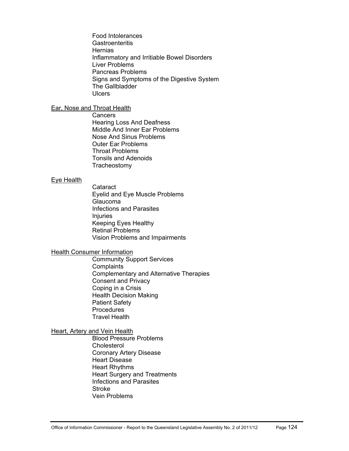[Food Intolerances](http://access.health.qld.gov.au/hid/DigestiveHealth/FoodIntolerances/index.asp)  **[Gastroenteritis](http://access.health.qld.gov.au/hid/DigestiveHealth/Gastroenteritis/index.asp) Hernias** [Inflammatory and Irritiable Bowel Disorders](http://access.health.qld.gov.au/hid/DigestiveHealth/InflammatoryandIrritiableBowelDisorders/index.asp) [Liver Problems](http://access.health.qld.gov.au/hid/DigestiveHealth/LiverProblems/index.asp) [Pancreas Problems](http://access.health.qld.gov.au/hid/DigestiveHealth/PancreasProblems/index.asp)  [Signs and Symptoms of the Digestive System](http://access.health.qld.gov.au/hid/DigestiveHealth/SignsandSymptomsoftheDigestiveSystem/index.asp) [The Gallbladder](http://access.health.qld.gov.au/hid/DigestiveHealth/TheGallbladder/index.asp) **[Ulcers](http://access.health.qld.gov.au/hid/DigestiveHealth/Ulcers/index.asp)** 

## [Ear, Nose and Throat Health](http://access.health.qld.gov.au/hid/EarNoseandThroatHealth/index.asp)

**Cancers** [Hearing Loss And Deafness](http://access.health.qld.gov.au/hid/EarNoseandThroatHealth/HearingLossAndDeafness/index.asp)  [Middle And Inner Ear Problems](http://access.health.qld.gov.au/hid/EarNoseandThroatHealth/MiddleAndInnerEarProblems/index.asp)  [Nose And Sinus Problems](http://access.health.qld.gov.au/hid/EarNoseandThroatHealth/NoseAndSinusProblems/index.asp) [Outer Ear Problems](http://access.health.qld.gov.au/hid/EarNoseandThroatHealth/OuterEarProblems/index.asp) [Throat Problems](http://access.health.qld.gov.au/hid/EarNoseandThroatHealth/ThroatProblems/index.asp) [Tonsils and Adenoids](http://access.health.qld.gov.au/hid/EarNoseandThroatHealth/TonsilsandAdenoids/index.asp) **[Tracheostomy](http://access.health.qld.gov.au/hid/EarNoseandThroatHealth/Tracheostomy/index.asp)** 

#### [Eye Health](http://access.health.qld.gov.au/hid/EyeHealth/index.asp)

**[Cataract](http://access.health.qld.gov.au/hid/EyeHealth/Cataract/index.asp)** [Eyelid and Eye Muscle Problems](http://access.health.qld.gov.au/hid/EyeHealth/EyelidandEyeMuscleProblems/index.asp)  [Glaucoma](http://access.health.qld.gov.au/hid/EyeHealth/Glaucoma/index.asp)  [Infections and Parasites](http://access.health.qld.gov.au/hid/EyeHealth/InfectionsandParasites/index.asp) [Injuries](http://access.health.qld.gov.au/hid/EyeHealth/Injuries/index.asp) [Keeping Eyes Healthy](http://access.health.qld.gov.au/hid/EyeHealth/KeepingEyesHealthy/index.asp) [Retinal Problems](http://access.health.qld.gov.au/hid/EyeHealth/RetinalProblems/index.asp)  [Vision Problems and Impairments](http://access.health.qld.gov.au/hid/EyeHealth/VisionProblemsandImpairments/index.asp)

### [Health Consumer Information](http://access.health.qld.gov.au/hid/HealthConsumerInformation/index.asp)

[Community Support Services](http://access.health.qld.gov.au/hid/HealthConsumerInformation/CommunitySupportServices/index.asp) **Complaints** [Complementary and Alternative Therapies](http://access.health.qld.gov.au/hid/HealthConsumerInformation/ComplementaryandAlternativeTherapies/index.asp)  [Consent and Privacy](http://access.health.qld.gov.au/hid/HealthConsumerInformation/ConsentandPrivacy/index.asp) [Coping in a Crisis](http://access.health.qld.gov.au/hid/HealthConsumerInformation/CopinginaCrisis/index.asp) [Health Decision Making](http://access.health.qld.gov.au/hid/HealthConsumerInformation/HealthDecisionMaking/index.asp) [Patient Safety](http://access.health.qld.gov.au/hid/HealthConsumerInformation/PatientSafety/index.asp) **[Procedures](http://access.health.qld.gov.au/hid/HealthConsumerInformation/Procedures/index.asp)** [Travel Health](http://access.health.qld.gov.au/hid/HealthConsumerInformation/TravelHealth/index.asp)

### **Heart, Artery and Vein Health**

[Blood Pressure Problems](http://access.health.qld.gov.au/hid/HeartArteryandVeinHealth/BloodPressureProblems/index.asp)  **Cholesterol** [Coronary Artery Disease](http://access.health.qld.gov.au/hid/HeartArteryandVeinHealth/CoronaryArteryDisease/index.asp) [Heart Disease](http://access.health.qld.gov.au/hid/HeartArteryandVeinHealth/HeartDisease/index.asp)  [Heart Rhythms](http://access.health.qld.gov.au/hid/HeartArteryandVeinHealth/HeartRhythms/index.asp) [Heart Surgery and Treatments](http://access.health.qld.gov.au/hid/HeartArteryandVeinHealth/HeartSurgeryandTreatments/index.asp) [Infections and Parasites](http://access.health.qld.gov.au/hid/HeartArteryandVeinHealth/InfectionsandParasites/index.asp) **Stroke** [Vein Problems](http://access.health.qld.gov.au/hid/HeartArteryandVeinHealth/VeinProblems/index.asp)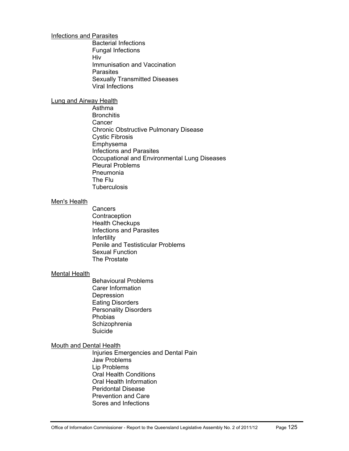#### [Infections and Parasites](http://access.health.qld.gov.au/hid/InfectionsandParasites/index.asp)

[Bacterial Infections](http://access.health.qld.gov.au/hid/InfectionsandParasites/BacterialInfections/index.asp)  [Fungal Infections](http://access.health.qld.gov.au/hid/InfectionsandParasites/FungalInfections/index.asp)  [Hiv](http://access.health.qld.gov.au/hid/InfectionsandParasites/Hiv/index.asp)  [Immunisation and Vaccination](http://access.health.qld.gov.au/hid/InfectionsandParasites/ImmunisationandVaccination/index.asp)  **Parasites** [Sexually Transmitted Diseases](http://access.health.qld.gov.au/hid/InfectionsandParasites/SexuallyTransmittedDiseases/index.asp)  [Viral Infections](http://access.health.qld.gov.au/hid/InfectionsandParasites/ViralInfections/index.asp)

#### [Lung and Airway Health](http://access.health.qld.gov.au/hid/LungandAirwayHealth/index.asp)

[Asthma](http://access.health.qld.gov.au/hid/LungandAirwayHealth/Asthma/index.asp) **[Bronchitis](http://access.health.qld.gov.au/hid/LungandAirwayHealth/Bronchitis/index.asp) [Cancer](http://access.health.qld.gov.au/hid/LungandAirwayHealth/Cancer/index.asp)** [Chronic Obstructive Pulmonary Disease](http://access.health.qld.gov.au/hid/LungandAirwayHealth/ChronicObstructivePulmonaryDisease/index.asp)  [Cystic Fibrosis](http://access.health.qld.gov.au/hid/LungandAirwayHealth/CysticFibrosis/index.asp) [Emphysema](http://access.health.qld.gov.au/hid/LungandAirwayHealth/Emphysema/index.asp) [Infections and Parasites](http://access.health.qld.gov.au/hid/LungandAirwayHealth/InfectionsandParasites/index.asp) [Occupational and Environmental Lung Diseases](http://access.health.qld.gov.au/hid/LungandAirwayHealth/OccupationalandEnvironmentalLungDiseases/index.asp)  [Pleural Problems](http://access.health.qld.gov.au/hid/LungandAirwayHealth/PleuralProblems/index.asp)  [Pneumonia](http://access.health.qld.gov.au/hid/LungandAirwayHealth/Pneumonia/index.asp) [The Flu](http://access.health.qld.gov.au/hid/LungandAirwayHealth/TheFlu/index.asp) **[Tuberculosis](http://access.health.qld.gov.au/hid/LungandAirwayHealth/Tuberculosis/index.asp)** 

### [Men's Health](http://access.health.qld.gov.au/hid/MensHealth/index.asp)

[Cancers](http://access.health.qld.gov.au/hid/MensHealth/Cancers/index.asp)  **[Contraception](http://access.health.qld.gov.au/hid/MensHealth/Contraception/index.asp)** [Health Checkups](http://access.health.qld.gov.au/hid/MensHealth/HealthCheckups/index.asp)  [Infections and Parasites](http://access.health.qld.gov.au/hid/MensHealth/InfectionsandParasites/index.asp) [Infertility](http://access.health.qld.gov.au/hid/MensHealth/Infertility/index.asp)  [Penile and Testisticular Problems](http://access.health.qld.gov.au/hid/MensHealth/PenileandTestisticularProblems/index.asp) [Sexual Function](http://access.health.qld.gov.au/hid/MensHealth/SexualFunction/index.asp)  [The Prostate](http://access.health.qld.gov.au/hid/MensHealth/TheProstate/index.asp) 

#### [Mental Health](http://access.health.qld.gov.au/hid/MentalHealth/index.asp)

[Behavioural Problems](http://access.health.qld.gov.au/hid/MentalHealth/BehaviouralProblems/index.asp) [Carer Information](http://access.health.qld.gov.au/hid/MentalHealth/CarerInformation/index.asp) **Depression** [Eating Disorders](http://access.health.qld.gov.au/hid/MentalHealth/EatingDisorders/index.asp) [Personality Disorders](http://access.health.qld.gov.au/hid/MentalHealth/PersonalityDisorders/index.asp) [Phobias](http://access.health.qld.gov.au/hid/MentalHealth/Phobias/index.asp)  **Schizophrenia** [Suicide](http://access.health.qld.gov.au/hid/MentalHealth/Suicide/index.asp) 

### [Mouth and Dental Health](http://access.health.qld.gov.au/hid/MouthandDentalHealth/index.asp)

[Injuries Emergencies and Dental Pain](http://access.health.qld.gov.au/hid/MouthandDentalHealth/InjuriesEmergenciesandDentalPain/index.asp)  [Jaw Problems](http://access.health.qld.gov.au/hid/MouthandDentalHealth/JawProblems/index.asp)  [Lip Problems](http://access.health.qld.gov.au/hid/MouthandDentalHealth/LipProblems/index.asp) [Oral Health Conditions](http://access.health.qld.gov.au/hid/MouthandDentalHealth/OralHealthConditions/index.asp)  [Oral Health Information](http://access.health.qld.gov.au/hid/MouthandDentalHealth/OralHealthInformation/index.asp)  [Peridontal Disease](http://access.health.qld.gov.au/hid/MouthandDentalHealth/PeridontalDisease/index.asp) [Prevention and Care](http://access.health.qld.gov.au/hid/MouthandDentalHealth/PreventionandCare/index.asp)  [Sores and Infections](http://access.health.qld.gov.au/hid/MouthandDentalHealth/SoresandInfections/index.asp)